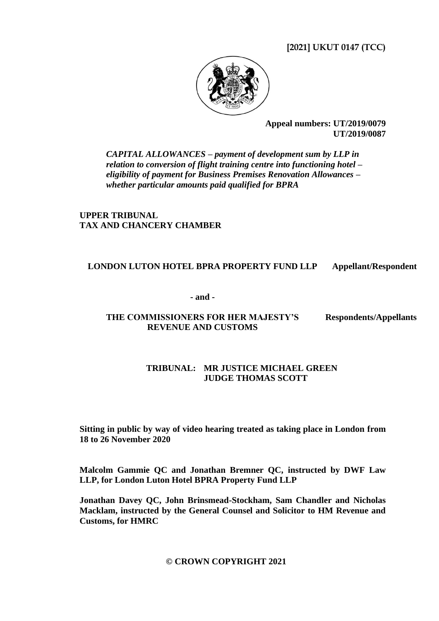**[2021] UKUT 0147 (TCC)**



**Appeal numbers: UT/2019/0079 UT/2019/0087**

*CAPITAL ALLOWANCES – payment of development sum by LLP in relation to conversion of flight training centre into functioning hotel – eligibility of payment for Business Premises Renovation Allowances – whether particular amounts paid qualified for BPRA*

**UPPER TRIBUNAL TAX AND CHANCERY CHAMBER**

# **LONDON LUTON HOTEL BPRA PROPERTY FUND LLP Appellant/Respondent**

**- and -**

# **THE COMMISSIONERS FOR HER MAJESTY'S REVENUE AND CUSTOMS**

**Respondents/Appellants**

# **TRIBUNAL: MR JUSTICE MICHAEL GREEN JUDGE THOMAS SCOTT**

**Sitting in public by way of video hearing treated as taking place in London from 18 to 26 November 2020**

**Malcolm Gammie QC and Jonathan Bremner QC, instructed by DWF Law LLP, for London Luton Hotel BPRA Property Fund LLP**

**Jonathan Davey QC, John Brinsmead-Stockham, Sam Chandler and Nicholas Macklam, instructed by the General Counsel and Solicitor to HM Revenue and Customs, for HMRC**

# **© CROWN COPYRIGHT 2021**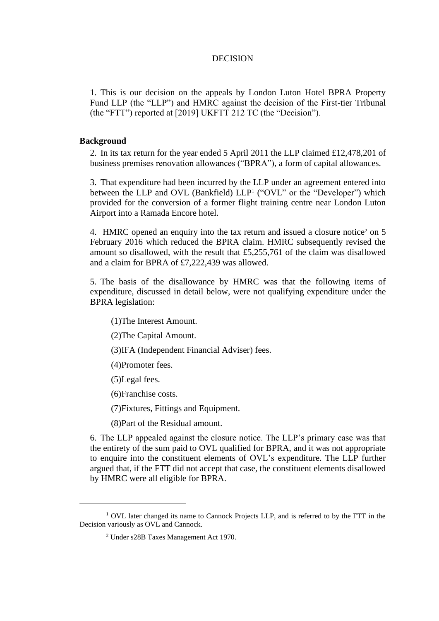### DECISION

1. This is our decision on the appeals by London Luton Hotel BPRA Property Fund LLP (the "LLP") and HMRC against the decision of the First-tier Tribunal (the "FTT") reported at [2019] UKFTT 212 TC (the "Decision").

# **Background**

2. In its tax return for the year ended 5 April 2011 the LLP claimed £12,478,201 of business premises renovation allowances ("BPRA"), a form of capital allowances.

3. That expenditure had been incurred by the LLP under an agreement entered into between the LLP and OVL (Bankfield) LLP<sup>1</sup> ("OVL" or the "Developer") which provided for the conversion of a former flight training centre near London Luton Airport into a Ramada Encore hotel.

4. HMRC opened an enquiry into the tax return and issued a closure notice<sup>2</sup> on 5 February 2016 which reduced the BPRA claim. HMRC subsequently revised the amount so disallowed, with the result that £5,255,761 of the claim was disallowed and a claim for BPRA of £7,222,439 was allowed.

5. The basis of the disallowance by HMRC was that the following items of expenditure, discussed in detail below, were not qualifying expenditure under the BPRA legislation:

(1)The Interest Amount.

(2)The Capital Amount.

(3)IFA (Independent Financial Adviser) fees.

(4)Promoter fees.

(5)Legal fees.

(6)Franchise costs.

(7)Fixtures, Fittings and Equipment.

(8)Part of the Residual amount.

6. The LLP appealed against the closure notice. The LLP's primary case was that the entirety of the sum paid to OVL qualified for BPRA, and it was not appropriate to enquire into the constituent elements of OVL's expenditure. The LLP further argued that, if the FTT did not accept that case, the constituent elements disallowed by HMRC were all eligible for BPRA.

<sup>&</sup>lt;sup>1</sup> OVL later changed its name to Cannock Projects LLP, and is referred to by the FTT in the Decision variously as OVL and Cannock.

<sup>2</sup> Under s28B Taxes Management Act 1970.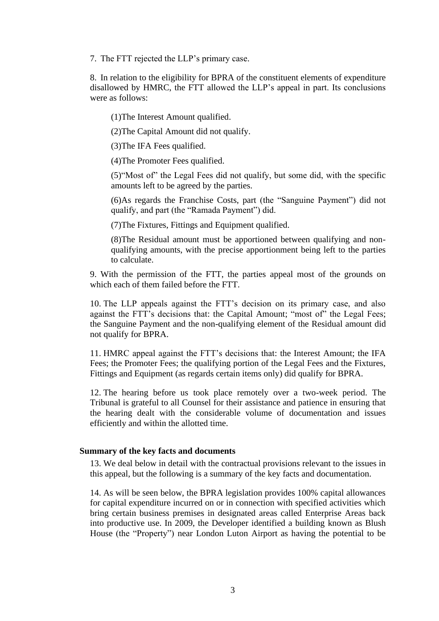7. The FTT rejected the LLP's primary case.

8. In relation to the eligibility for BPRA of the constituent elements of expenditure disallowed by HMRC, the FTT allowed the LLP's appeal in part. Its conclusions were as follows:

(1)The Interest Amount qualified.

(2)The Capital Amount did not qualify.

(3)The IFA Fees qualified.

(4)The Promoter Fees qualified.

(5)"Most of" the Legal Fees did not qualify, but some did, with the specific amounts left to be agreed by the parties.

(6)As regards the Franchise Costs, part (the "Sanguine Payment") did not qualify, and part (the "Ramada Payment") did.

(7)The Fixtures, Fittings and Equipment qualified.

(8)The Residual amount must be apportioned between qualifying and nonqualifying amounts, with the precise apportionment being left to the parties to calculate.

9. With the permission of the FTT, the parties appeal most of the grounds on which each of them failed before the FTT.

10. The LLP appeals against the FTT's decision on its primary case, and also against the FTT's decisions that: the Capital Amount; "most of" the Legal Fees; the Sanguine Payment and the non-qualifying element of the Residual amount did not qualify for BPRA.

11. HMRC appeal against the FTT's decisions that: the Interest Amount; the IFA Fees; the Promoter Fees; the qualifying portion of the Legal Fees and the Fixtures, Fittings and Equipment (as regards certain items only) did qualify for BPRA.

12. The hearing before us took place remotely over a two-week period. The Tribunal is grateful to all Counsel for their assistance and patience in ensuring that the hearing dealt with the considerable volume of documentation and issues efficiently and within the allotted time.

## **Summary of the key facts and documents**

13. We deal below in detail with the contractual provisions relevant to the issues in this appeal, but the following is a summary of the key facts and documentation.

14. As will be seen below, the BPRA legislation provides 100% capital allowances for capital expenditure incurred on or in connection with specified activities which bring certain business premises in designated areas called Enterprise Areas back into productive use. In 2009, the Developer identified a building known as Blush House (the "Property") near London Luton Airport as having the potential to be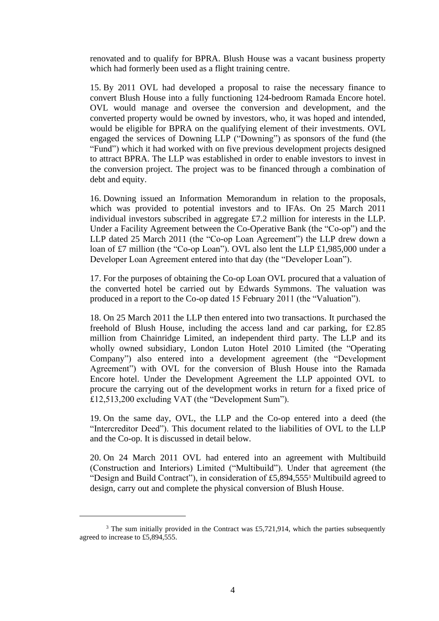renovated and to qualify for BPRA. Blush House was a vacant business property which had formerly been used as a flight training centre.

15. By 2011 OVL had developed a proposal to raise the necessary finance to convert Blush House into a fully functioning 124-bedroom Ramada Encore hotel. OVL would manage and oversee the conversion and development, and the converted property would be owned by investors, who, it was hoped and intended, would be eligible for BPRA on the qualifying element of their investments. OVL engaged the services of Downing LLP ("Downing") as sponsors of the fund (the "Fund") which it had worked with on five previous development projects designed to attract BPRA. The LLP was established in order to enable investors to invest in the conversion project. The project was to be financed through a combination of debt and equity.

16. Downing issued an Information Memorandum in relation to the proposals, which was provided to potential investors and to IFAs. On 25 March 2011 individual investors subscribed in aggregate £7.2 million for interests in the LLP. Under a Facility Agreement between the Co-Operative Bank (the "Co-op") and the LLP dated 25 March 2011 (the "Co-op Loan Agreement") the LLP drew down a loan of £7 million (the "Co-op Loan"). OVL also lent the LLP £1,985,000 under a Developer Loan Agreement entered into that day (the "Developer Loan").

17. For the purposes of obtaining the Co-op Loan OVL procured that a valuation of the converted hotel be carried out by Edwards Symmons. The valuation was produced in a report to the Co-op dated 15 February 2011 (the "Valuation").

18. On 25 March 2011 the LLP then entered into two transactions. It purchased the freehold of Blush House, including the access land and car parking, for £2.85 million from Chainridge Limited, an independent third party. The LLP and its wholly owned subsidiary, London Luton Hotel 2010 Limited (the "Operating Company") also entered into a development agreement (the "Development Agreement") with OVL for the conversion of Blush House into the Ramada Encore hotel. Under the Development Agreement the LLP appointed OVL to procure the carrying out of the development works in return for a fixed price of £12,513,200 excluding VAT (the "Development Sum").

19. On the same day, OVL, the LLP and the Co-op entered into a deed (the "Intercreditor Deed"). This document related to the liabilities of OVL to the LLP and the Co-op. It is discussed in detail below.

20. On 24 March 2011 OVL had entered into an agreement with Multibuild (Construction and Interiors) Limited ("Multibuild"). Under that agreement (the "Design and Build Contract"), in consideration of £5,894,555<sup>3</sup> Multibuild agreed to design, carry out and complete the physical conversion of Blush House.

 $3$  The sum initially provided in the Contract was £5,721,914, which the parties subsequently agreed to increase to £5,894,555.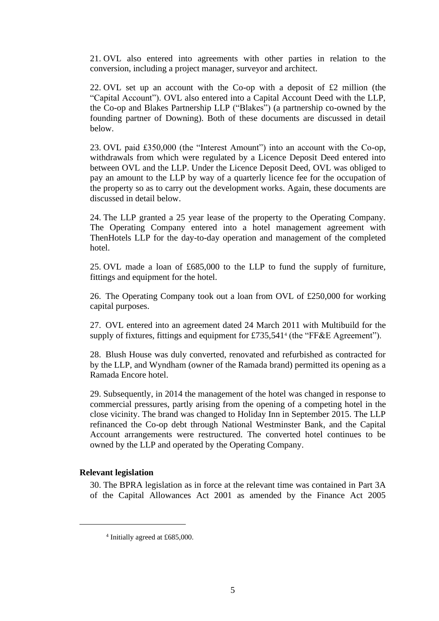21. OVL also entered into agreements with other parties in relation to the conversion, including a project manager, surveyor and architect.

22. OVL set up an account with the Co-op with a deposit of £2 million (the "Capital Account"). OVL also entered into a Capital Account Deed with the LLP, the Co-op and Blakes Partnership LLP ("Blakes") (a partnership co-owned by the founding partner of Downing). Both of these documents are discussed in detail below.

23. OVL paid £350,000 (the "Interest Amount") into an account with the Co-op, withdrawals from which were regulated by a Licence Deposit Deed entered into between OVL and the LLP. Under the Licence Deposit Deed, OVL was obliged to pay an amount to the LLP by way of a quarterly licence fee for the occupation of the property so as to carry out the development works. Again, these documents are discussed in detail below.

24. The LLP granted a 25 year lease of the property to the Operating Company. The Operating Company entered into a hotel management agreement with ThenHotels LLP for the day-to-day operation and management of the completed hotel.

25. OVL made a loan of £685,000 to the LLP to fund the supply of furniture, fittings and equipment for the hotel.

26. The Operating Company took out a loan from OVL of £250,000 for working capital purposes.

27. OVL entered into an agreement dated 24 March 2011 with Multibuild for the supply of fixtures, fittings and equipment for £735,541<sup>4</sup> (the "FF&E Agreement").

28. Blush House was duly converted, renovated and refurbished as contracted for by the LLP, and Wyndham (owner of the Ramada brand) permitted its opening as a Ramada Encore hotel.

29. Subsequently, in 2014 the management of the hotel was changed in response to commercial pressures, partly arising from the opening of a competing hotel in the close vicinity. The brand was changed to Holiday Inn in September 2015. The LLP refinanced the Co-op debt through National Westminster Bank, and the Capital Account arrangements were restructured. The converted hotel continues to be owned by the LLP and operated by the Operating Company.

## **Relevant legislation**

30. The BPRA legislation as in force at the relevant time was contained in Part 3A of the Capital Allowances Act 2001 as amended by the Finance Act 2005

<sup>4</sup> Initially agreed at £685,000.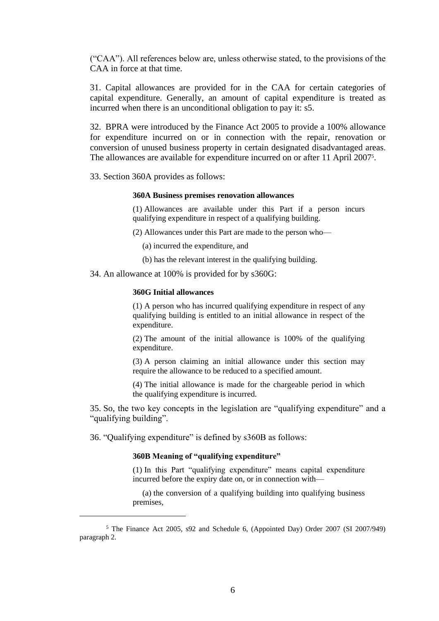("CAA"). All references below are, unless otherwise stated, to the provisions of the CAA in force at that time.

31. Capital allowances are provided for in the CAA for certain categories of capital expenditure. Generally, an amount of capital expenditure is treated as incurred when there is an unconditional obligation to pay it: s5.

32. BPRA were introduced by the Finance Act 2005 to provide a 100% allowance for expenditure incurred on or in connection with the repair, renovation or conversion of unused business property in certain designated disadvantaged areas. The allowances are available for expenditure incurred on or after 11 April 2007<sup>5</sup>.

33. Section 360A provides as follows:

#### **360A Business premises renovation allowances**

(1) Allowances are available under this Part if a person incurs qualifying expenditure in respect of a qualifying building.

(2) Allowances under this Part are made to the person who—

- (a) incurred the expenditure, and
- (b) has the relevant interest in the qualifying building.
- 34. An allowance at 100% is provided for by s360G:

#### **360G Initial allowances**

(1) A person who has incurred qualifying expenditure in respect of any qualifying building is entitled to an initial allowance in respect of the expenditure.

(2) The amount of the initial allowance is 100% of the qualifying expenditure.

(3) A person claiming an initial allowance under this section may require the allowance to be reduced to a specified amount.

(4) The initial allowance is made for the chargeable period in which the qualifying expenditure is incurred.

35. So, the two key concepts in the legislation are "qualifying expenditure" and a "qualifying building".

36. "Qualifying expenditure" is defined by s360B as follows:

### **360B Meaning of "qualifying expenditure"**

(1) In this Part "qualifying expenditure" means capital expenditure incurred before the expiry date on, or in connection with—

(a) the conversion of a qualifying building into qualifying business premises,

<sup>5</sup> The Finance Act 2005, s92 and Schedule 6, (Appointed Day) Order 2007 (SI 2007/949) paragraph 2.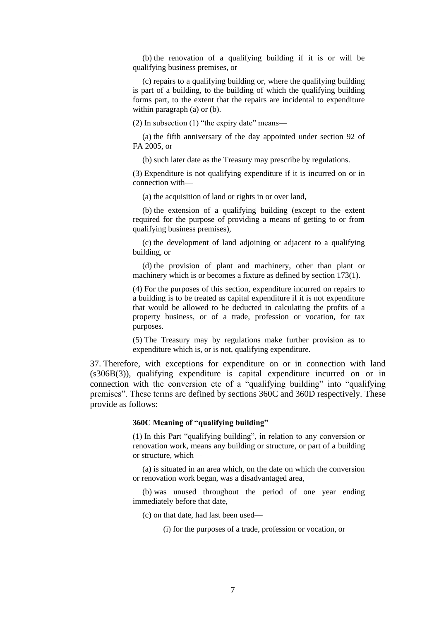(b) the renovation of a qualifying building if it is or will be qualifying business premises, or

(c) repairs to a qualifying building or, where the qualifying building is part of a building, to the building of which the qualifying building forms part, to the extent that the repairs are incidental to expenditure within paragraph (a) or (b).

(2) In subsection (1) "the expiry date" means—

(a) the fifth anniversary of the day appointed under section 92 of FA 2005, or

(b) such later date as the Treasury may prescribe by regulations.

(3) Expenditure is not qualifying expenditure if it is incurred on or in connection with—

(a) the acquisition of land or rights in or over land,

(b) the extension of a qualifying building (except to the extent required for the purpose of providing a means of getting to or from qualifying business premises),

(c) the development of land adjoining or adjacent to a qualifying building, or

(d) the provision of plant and machinery, other than plant or machinery which is or becomes a fixture as defined by section 173(1).

(4) For the purposes of this section, expenditure incurred on repairs to a building is to be treated as capital expenditure if it is not expenditure that would be allowed to be deducted in calculating the profits of a property business, or of a trade, profession or vocation, for tax purposes.

(5) The Treasury may by regulations make further provision as to expenditure which is, or is not, qualifying expenditure.

37. Therefore, with exceptions for expenditure on or in connection with land (s306B(3)), qualifying expenditure is capital expenditure incurred on or in connection with the conversion etc of a "qualifying building" into "qualifying premises". These terms are defined by sections 360C and 360D respectively. These provide as follows:

#### **360C Meaning of "qualifying building"**

(1) In this Part "qualifying building", in relation to any conversion or renovation work, means any building or structure, or part of a building or structure, which—

(a) is situated in an area which, on the date on which the conversion or renovation work began, was a disadvantaged area,

(b) was unused throughout the period of one year ending immediately before that date,

(c) on that date, had last been used—

(i) for the purposes of a trade, profession or vocation, or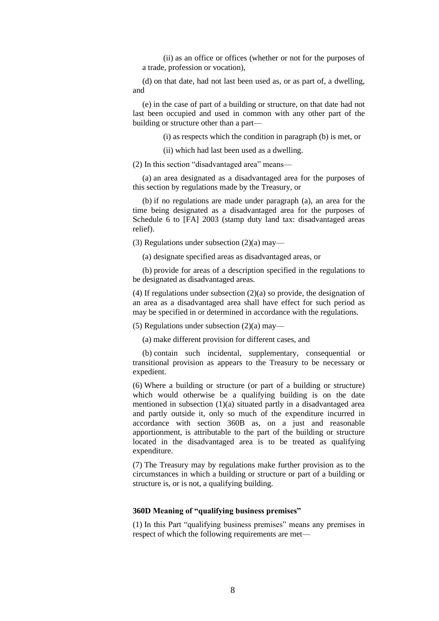(ii) as an office or offices (whether or not for the purposes of a trade, profession or vocation),

(d) on that date, had not last been used as, or as part of, a dwelling, and

(e) in the case of part of a building or structure, on that date had not last been occupied and used in common with any other part of the building or structure other than a part—

(i) as respects which the condition in paragraph (b) is met, or

(ii) which had last been used as a dwelling.

(2) In this section "disadvantaged area" means—

(a) an area designated as a disadvantaged area for the purposes of this section by regulations made by the Treasury, or

(b) if no regulations are made under paragraph (a), an area for the time being designated as a disadvantaged area for the purposes of Schedule 6 to [FA] 2003 (stamp duty land tax: disadvantaged areas relief).

(3) Regulations under subsection (2)(a) may—

(a) designate specified areas as disadvantaged areas, or

(b) provide for areas of a description specified in the regulations to be designated as disadvantaged areas.

(4) If regulations under subsection (2)(a) so provide, the designation of an area as a disadvantaged area shall have effect for such period as may be specified in or determined in accordance with the regulations.

(5) Regulations under subsection (2)(a) may—

(a) make different provision for different cases, and

(b) contain such incidental, supplementary, consequential or transitional provision as appears to the Treasury to be necessary or expedient.

(6) Where a building or structure (or part of a building or structure) which would otherwise be a qualifying building is on the date mentioned in subsection (1)(a) situated partly in a disadvantaged area and partly outside it, only so much of the expenditure incurred in accordance with section 360B as, on a just and reasonable apportionment, is attributable to the part of the building or structure located in the disadvantaged area is to be treated as qualifying expenditure.

(7) The Treasury may by regulations make further provision as to the circumstances in which a building or structure or part of a building or structure is, or is not, a qualifying building.

#### **360D Meaning of "qualifying business premises"**

(1) In this Part "qualifying business premises" means any premises in respect of which the following requirements are met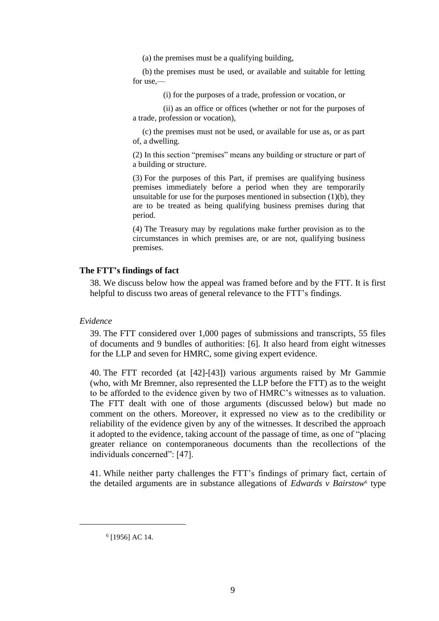(a) the premises must be a qualifying building,

(b) the premises must be used, or available and suitable for letting for use,—

(i) for the purposes of a trade, profession or vocation, or

 (ii) as an office or offices (whether or not for the purposes of a trade, profession or vocation),

(c) the premises must not be used, or available for use as, or as part of, a dwelling.

(2) In this section "premises" means any building or structure or part of a building or structure.

(3) For the purposes of this Part, if premises are qualifying business premises immediately before a period when they are temporarily unsuitable for use for the purposes mentioned in subsection  $(1)(b)$ , they are to be treated as being qualifying business premises during that period.

(4) The Treasury may by regulations make further provision as to the circumstances in which premises are, or are not, qualifying business premises.

## **The FTT's findings of fact**

38. We discuss below how the appeal was framed before and by the FTT. It is first helpful to discuss two areas of general relevance to the FTT's findings.

*Evidence*

39. The FTT considered over 1,000 pages of submissions and transcripts, 55 files of documents and 9 bundles of authorities: [6]. It also heard from eight witnesses for the LLP and seven for HMRC, some giving expert evidence.

40. The FTT recorded (at [42]-[43]) various arguments raised by Mr Gammie (who, with Mr Bremner, also represented the LLP before the FTT) as to the weight to be afforded to the evidence given by two of HMRC's witnesses as to valuation. The FTT dealt with one of those arguments (discussed below) but made no comment on the others. Moreover, it expressed no view as to the credibility or reliability of the evidence given by any of the witnesses. It described the approach it adopted to the evidence, taking account of the passage of time, as one of "placing greater reliance on contemporaneous documents than the recollections of the individuals concerned": [47].

41. While neither party challenges the FTT's findings of primary fact, certain of the detailed arguments are in substance allegations of *Edwards v Bairstow*<sup>6</sup> type

<sup>6</sup> [1956] AC 14.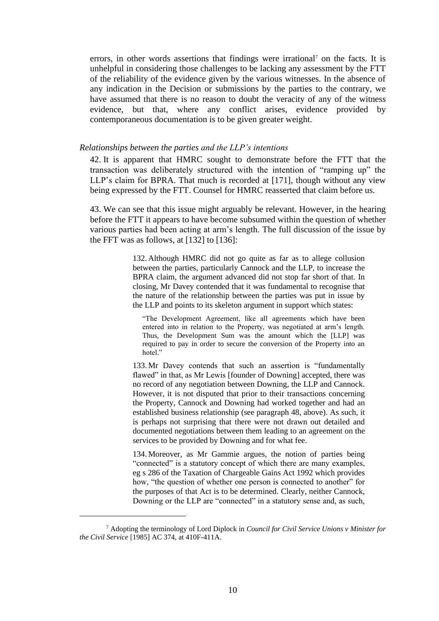errors, in other words assertions that findings were irrational<sup>7</sup> on the facts. It is unhelpful in considering those challenges to be lacking any assessment by the FTT of the reliability of the evidence given by the various witnesses. In the absence of any indication in the Decision or submissions by the parties to the contrary, we have assumed that there is no reason to doubt the veracity of any of the witness evidence, but that, where any conflict arises, evidence provided by contemporaneous documentation is to be given greater weight.

### *Relationships between the parties and the LLP's intentions*

42. It is apparent that HMRC sought to demonstrate before the FTT that the transaction was deliberately structured with the intention of "ramping up" the LLP's claim for BPRA. That much is recorded at [171], though without any view being expressed by the FTT. Counsel for HMRC reasserted that claim before us.

43. We can see that this issue might arguably be relevant. However, in the hearing before the FTT it appears to have become subsumed within the question of whether various parties had been acting at arm's length. The full discussion of the issue by the FFT was as follows, at  $[132]$  to  $[136]$ :

> 132. Although HMRC did not go quite as far as to allege collusion between the parties, particularly Cannock and the LLP, to increase the BPRA claim, the argument advanced did not stop far short of that. In closing, Mr Davey contended that it was fundamental to recognise that the nature of the relationship between the parties was put in issue by the LLP and points to its skeleton argument in support which states:

"The Development Agreement, like all agreements which have been entered into in relation to the Property, was negotiated at arm's length. Thus, the Development Sum was the amount which the [LLP] was required to pay in order to secure the conversion of the Property into an hotel."

133. Mr Davey contends that such an assertion is "fundamentally flawed" in that, as Mr Lewis [founder of Downing] accepted, there was no record of any negotiation between Downing, the LLP and Cannock. However, it is not disputed that prior to their transactions concerning the Property, Cannock and Downing had worked together and had an established business relationship (see paragraph 48, above). As such, it is perhaps not surprising that there were not drawn out detailed and documented negotiations between them leading to an agreement on the services to be provided by Downing and for what fee.

134. Moreover, as Mr Gammie argues, the notion of parties being "connected" is a statutory concept of which there are many examples, eg s 286 of the Taxation of Chargeable Gains Act 1992 which provides how, "the question of whether one person is connected to another" for the purposes of that Act is to be determined. Clearly, neither Cannock, Downing or the LLP are "connected" in a statutory sense and, as such,

<sup>7</sup> Adopting the terminology of Lord Diplock in *Council for Civil Service Unions v Minister for the Civil Service* [1985] AC 374, at 410F-411A.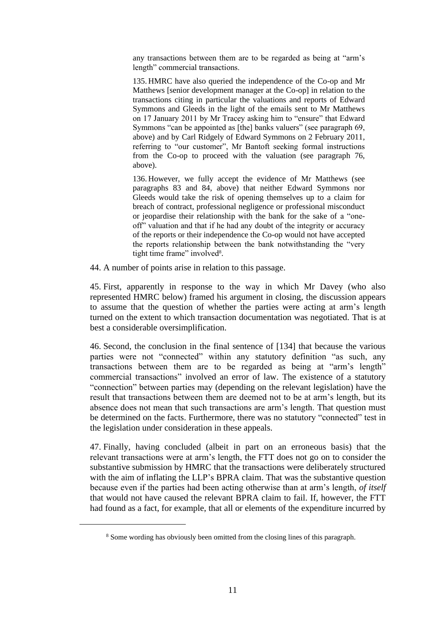any transactions between them are to be regarded as being at "arm's length" commercial transactions.

135. HMRC have also queried the independence of the Co-op and Mr Matthews [senior development manager at the Co-op] in relation to the transactions citing in particular the valuations and reports of Edward Symmons and Gleeds in the light of the emails sent to Mr Matthews on 17 January 2011 by Mr Tracey asking him to "ensure" that Edward Symmons "can be appointed as [the] banks valuers" (see paragraph 69, above) and by Carl Ridgely of Edward Symmons on 2 February 2011, referring to "our customer", Mr Bantoft seeking formal instructions from the Co-op to proceed with the valuation (see paragraph 76, above).

136. However, we fully accept the evidence of Mr Matthews (see paragraphs 83 and 84, above) that neither Edward Symmons nor Gleeds would take the risk of opening themselves up to a claim for breach of contract, professional negligence or professional misconduct or jeopardise their relationship with the bank for the sake of a "oneoff" valuation and that if he had any doubt of the integrity or accuracy of the reports or their independence the Co-op would not have accepted the reports relationship between the bank notwithstanding the "very tight time frame" involved<sup>8</sup>.

44. A number of points arise in relation to this passage.

45. First, apparently in response to the way in which Mr Davey (who also represented HMRC below) framed his argument in closing, the discussion appears to assume that the question of whether the parties were acting at arm's length turned on the extent to which transaction documentation was negotiated. That is at best a considerable oversimplification.

46. Second, the conclusion in the final sentence of [134] that because the various parties were not "connected" within any statutory definition "as such, any transactions between them are to be regarded as being at "arm's length" commercial transactions" involved an error of law. The existence of a statutory "connection" between parties may (depending on the relevant legislation) have the result that transactions between them are deemed not to be at arm's length, but its absence does not mean that such transactions are arm's length. That question must be determined on the facts. Furthermore, there was no statutory "connected" test in the legislation under consideration in these appeals.

47. Finally, having concluded (albeit in part on an erroneous basis) that the relevant transactions were at arm's length, the FTT does not go on to consider the substantive submission by HMRC that the transactions were deliberately structured with the aim of inflating the LLP's BPRA claim. That was the substantive question because even if the parties had been acting otherwise than at arm's length, *of itself* that would not have caused the relevant BPRA claim to fail. If, however, the FTT had found as a fact, for example, that all or elements of the expenditure incurred by

<sup>8</sup> Some wording has obviously been omitted from the closing lines of this paragraph.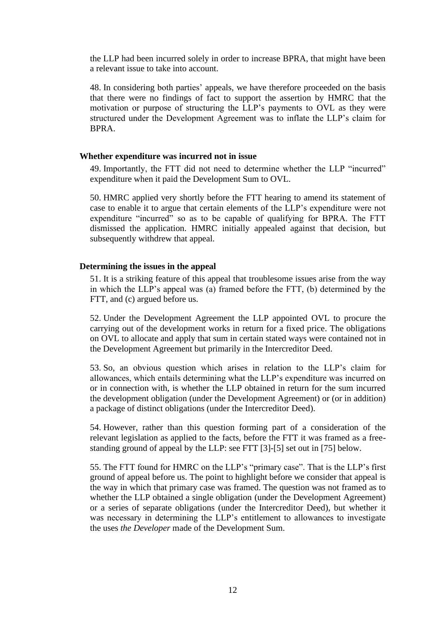the LLP had been incurred solely in order to increase BPRA, that might have been a relevant issue to take into account.

48. In considering both parties' appeals, we have therefore proceeded on the basis that there were no findings of fact to support the assertion by HMRC that the motivation or purpose of structuring the LLP's payments to OVL as they were structured under the Development Agreement was to inflate the LLP's claim for BPRA.

### **Whether expenditure was incurred not in issue**

49. Importantly, the FTT did not need to determine whether the LLP "incurred" expenditure when it paid the Development Sum to OVL.

50. HMRC applied very shortly before the FTT hearing to amend its statement of case to enable it to argue that certain elements of the LLP's expenditure were not expenditure "incurred" so as to be capable of qualifying for BPRA. The FTT dismissed the application. HMRC initially appealed against that decision, but subsequently withdrew that appeal.

#### **Determining the issues in the appeal**

51. It is a striking feature of this appeal that troublesome issues arise from the way in which the LLP's appeal was (a) framed before the FTT, (b) determined by the FTT, and (c) argued before us.

52. Under the Development Agreement the LLP appointed OVL to procure the carrying out of the development works in return for a fixed price. The obligations on OVL to allocate and apply that sum in certain stated ways were contained not in the Development Agreement but primarily in the Intercreditor Deed.

53. So, an obvious question which arises in relation to the LLP's claim for allowances, which entails determining what the LLP's expenditure was incurred on or in connection with, is whether the LLP obtained in return for the sum incurred the development obligation (under the Development Agreement) or (or in addition) a package of distinct obligations (under the Intercreditor Deed).

54. However, rather than this question forming part of a consideration of the relevant legislation as applied to the facts, before the FTT it was framed as a freestanding ground of appeal by the LLP: see FTT [3]-[5] set out in [75] below.

55. The FTT found for HMRC on the LLP's "primary case". That is the LLP's first ground of appeal before us. The point to highlight before we consider that appeal is the way in which that primary case was framed. The question was not framed as to whether the LLP obtained a single obligation (under the Development Agreement) or a series of separate obligations (under the Intercreditor Deed), but whether it was necessary in determining the LLP's entitlement to allowances to investigate the uses *the Developer* made of the Development Sum.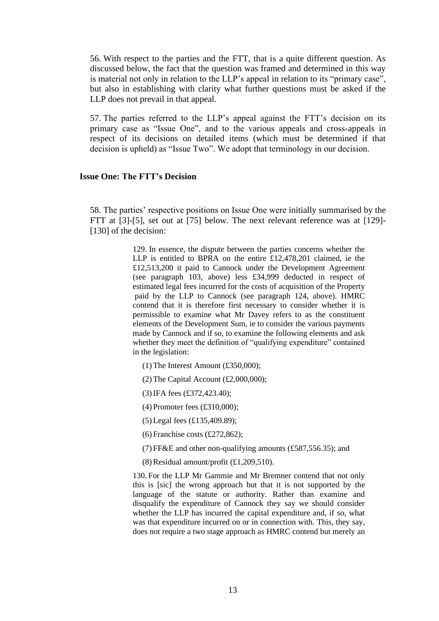56. With respect to the parties and the FTT, that is a quite different question. As discussed below, the fact that the question was framed and determined in this way is material not only in relation to the LLP's appeal in relation to its "primary case", but also in establishing with clarity what further questions must be asked if the LLP does not prevail in that appeal.

57. The parties referred to the LLP's appeal against the FTT's decision on its primary case as "Issue One", and to the various appeals and cross-appeals in respect of its decisions on detailed items (which must be determined if that decision is upheld) as "Issue Two". We adopt that terminology in our decision.

## **Issue One: The FTT's Decision**

58. The parties' respective positions on Issue One were initially summarised by the FTT at [3]-[5], set out at [75] below. The next relevant reference was at [129]- [130] of the decision:

> 129. In essence, the dispute between the parties concerns whether the LLP is entitled to BPRA on the entire £12,478,201 claimed, ie the £12,513,200 it paid to Cannock under the Development Agreement (see paragraph 103, above) less £34,999 deducted in respect of estimated legal fees incurred for the costs of acquisition of the Property paid by the LLP to Cannock (see paragraph 124, above). HMRC contend that it is therefore first necessary to consider whether it is permissible to examine what Mr Davey refers to as the constituent elements of the Development Sum, ie to consider the various payments made by Cannock and if so, to examine the following elements and ask whether they meet the definition of "qualifying expenditure" contained in the legislation:

- (1) The Interest Amount (£350,000);
- (2) The Capital Account  $(\text{\pounds}2,000,000)$ ;
- (3)IFA fees (£372,423.40);
- (4) Promoter fees (£310,000);
- (5) Legal fees (£135,409.89);
- (6) Franchise costs (£272,862);
- (7) FF&E and other non-qualifying amounts (£587,556.35); and
- $(8)$  Residual amount/profit  $(£1,209,510)$ .

130. For the LLP Mr Gammie and Mr Bremner contend that not only this is [sic] the wrong approach but that it is not supported by the language of the statute or authority. Rather than examine and disqualify the expenditure of Cannock they say we should consider whether the LLP has incurred the capital expenditure and, if so, what was that expenditure incurred on or in connection with. This, they say, does not require a two stage approach as HMRC contend but merely an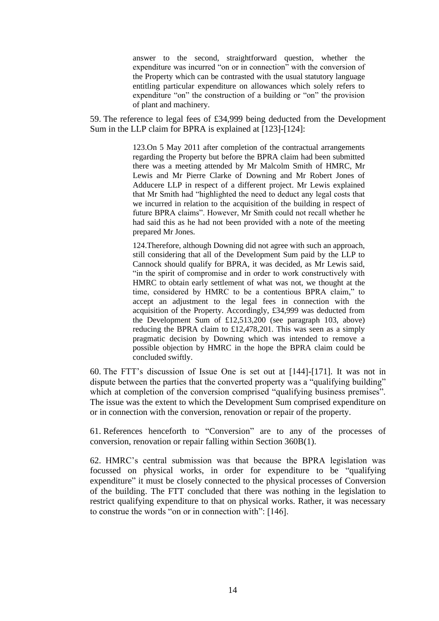answer to the second, straightforward question, whether the expenditure was incurred "on or in connection" with the conversion of the Property which can be contrasted with the usual statutory language entitling particular expenditure on allowances which solely refers to expenditure "on" the construction of a building or "on" the provision of plant and machinery.

59. The reference to legal fees of £34,999 being deducted from the Development Sum in the LLP claim for BPRA is explained at [123]-[124]:

> 123.On 5 May 2011 after completion of the contractual arrangements regarding the Property but before the BPRA claim had been submitted there was a meeting attended by Mr Malcolm Smith of HMRC, Mr Lewis and Mr Pierre Clarke of Downing and Mr Robert Jones of Adducere LLP in respect of a different project. Mr Lewis explained that Mr Smith had "highlighted the need to deduct any legal costs that we incurred in relation to the acquisition of the building in respect of future BPRA claims". However, Mr Smith could not recall whether he had said this as he had not been provided with a note of the meeting prepared Mr Jones.

> 124.Therefore, although Downing did not agree with such an approach, still considering that all of the Development Sum paid by the LLP to Cannock should qualify for BPRA, it was decided, as Mr Lewis said, "in the spirit of compromise and in order to work constructively with HMRC to obtain early settlement of what was not, we thought at the time, considered by HMRC to be a contentious BPRA claim," to accept an adjustment to the legal fees in connection with the acquisition of the Property. Accordingly, £34,999 was deducted from the Development Sum of £12,513,200 (see paragraph 103, above) reducing the BPRA claim to £12,478,201. This was seen as a simply pragmatic decision by Downing which was intended to remove a possible objection by HMRC in the hope the BPRA claim could be concluded swiftly.

60. The FTT's discussion of Issue One is set out at [144]-[171]. It was not in dispute between the parties that the converted property was a "qualifying building" which at completion of the conversion comprised "qualifying business premises". The issue was the extent to which the Development Sum comprised expenditure on or in connection with the conversion, renovation or repair of the property.

61. References henceforth to "Conversion" are to any of the processes of conversion, renovation or repair falling within Section 360B(1).

62. HMRC's central submission was that because the BPRA legislation was focussed on physical works, in order for expenditure to be "qualifying expenditure" it must be closely connected to the physical processes of Conversion of the building. The FTT concluded that there was nothing in the legislation to restrict qualifying expenditure to that on physical works. Rather, it was necessary to construe the words "on or in connection with": [146].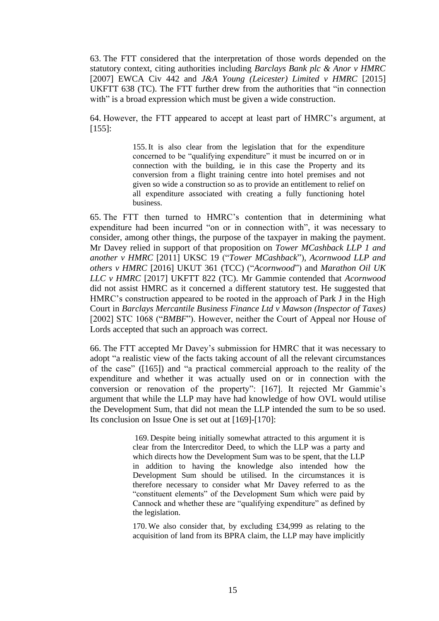63. The FTT considered that the interpretation of those words depended on the statutory context, citing authorities including *Barclays Bank plc & Anor v HMRC* [2007] EWCA Civ 442 and *J&A Young (Leicester) Limited v HMRC* [2015] UKFTT 638 (TC). The FTT further drew from the authorities that "in connection with" is a broad expression which must be given a wide construction.

64. However, the FTT appeared to accept at least part of HMRC's argument, at  $[155]$ :

> 155.It is also clear from the legislation that for the expenditure concerned to be "qualifying expenditure" it must be incurred on or in connection with the building, ie in this case the Property and its conversion from a flight training centre into hotel premises and not given so wide a construction so as to provide an entitlement to relief on all expenditure associated with creating a fully functioning hotel business.

65. The FTT then turned to HMRC's contention that in determining what expenditure had been incurred "on or in connection with", it was necessary to consider, among other things, the purpose of the taxpayer in making the payment. Mr Davey relied in support of that proposition on *Tower MCashback LLP 1 and another v HMRC* [2011] UKSC 19 ("*Tower MCashback*"), *Acornwood LLP and others v HMRC* [2016] UKUT 361 (TCC) ("*Acornwood*") and *Marathon Oil UK LLC v HMRC* [2017] UKFTT 822 (TC). Mr Gammie contended that *Acornwood* did not assist HMRC as it concerned a different statutory test. He suggested that HMRC's construction appeared to be rooted in the approach of Park J in the High Court in *Barclays Mercantile Business Finance Ltd v Mawson (Inspector of Taxes)* [2002] STC 1068 ("*BMBF*"). However, neither the Court of Appeal nor House of Lords accepted that such an approach was correct.

66. The FTT accepted Mr Davey's submission for HMRC that it was necessary to adopt "a realistic view of the facts taking account of all the relevant circumstances of the case" ([165]) and "a practical commercial approach to the reality of the expenditure and whether it was actually used on or in connection with the conversion or renovation of the property": [167]. It rejected Mr Gammie's argument that while the LLP may have had knowledge of how OVL would utilise the Development Sum, that did not mean the LLP intended the sum to be so used. Its conclusion on Issue One is set out at [169]-[170]:

> 169. Despite being initially somewhat attracted to this argument it is clear from the Intercreditor Deed, to which the LLP was a party and which directs how the Development Sum was to be spent, that the LLP in addition to having the knowledge also intended how the Development Sum should be utilised. In the circumstances it is therefore necessary to consider what Mr Davey referred to as the "constituent elements" of the Development Sum which were paid by Cannock and whether these are "qualifying expenditure" as defined by the legislation.

> 170. We also consider that, by excluding £34,999 as relating to the acquisition of land from its BPRA claim, the LLP may have implicitly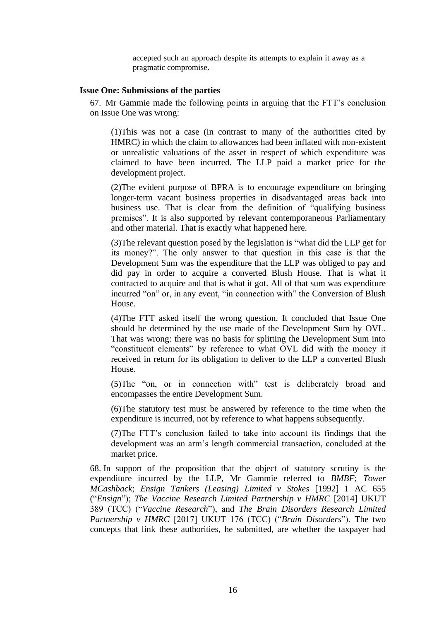accepted such an approach despite its attempts to explain it away as a pragmatic compromise.

### **Issue One: Submissions of the parties**

67. Mr Gammie made the following points in arguing that the FTT's conclusion on Issue One was wrong:

(1)This was not a case (in contrast to many of the authorities cited by HMRC) in which the claim to allowances had been inflated with non-existent or unrealistic valuations of the asset in respect of which expenditure was claimed to have been incurred. The LLP paid a market price for the development project.

(2)The evident purpose of BPRA is to encourage expenditure on bringing longer-term vacant business properties in disadvantaged areas back into business use. That is clear from the definition of "qualifying business premises". It is also supported by relevant contemporaneous Parliamentary and other material. That is exactly what happened here.

(3)The relevant question posed by the legislation is "what did the LLP get for its money?". The only answer to that question in this case is that the Development Sum was the expenditure that the LLP was obliged to pay and did pay in order to acquire a converted Blush House. That is what it contracted to acquire and that is what it got. All of that sum was expenditure incurred "on" or, in any event, "in connection with" the Conversion of Blush House.

(4)The FTT asked itself the wrong question. It concluded that Issue One should be determined by the use made of the Development Sum by OVL. That was wrong: there was no basis for splitting the Development Sum into "constituent elements" by reference to what OVL did with the money it received in return for its obligation to deliver to the LLP a converted Blush House.

(5)The "on, or in connection with" test is deliberately broad and encompasses the entire Development Sum.

(6)The statutory test must be answered by reference to the time when the expenditure is incurred, not by reference to what happens subsequently.

(7)The FTT's conclusion failed to take into account its findings that the development was an arm's length commercial transaction, concluded at the market price.

68. In support of the proposition that the object of statutory scrutiny is the expenditure incurred by the LLP, Mr Gammie referred to *BMBF*; *Tower MCashback*; *Ensign Tankers (Leasing) Limited v Stokes* [1992] 1 AC 655 ("*Ensign*"); *The Vaccine Research Limited Partnership v HMRC* [2014] UKUT 389 (TCC) ("*Vaccine Research*"), and *The Brain Disorders Research Limited Partnership v HMRC* [2017] UKUT 176 (TCC) ("*Brain Disorders*"). The two concepts that link these authorities, he submitted, are whether the taxpayer had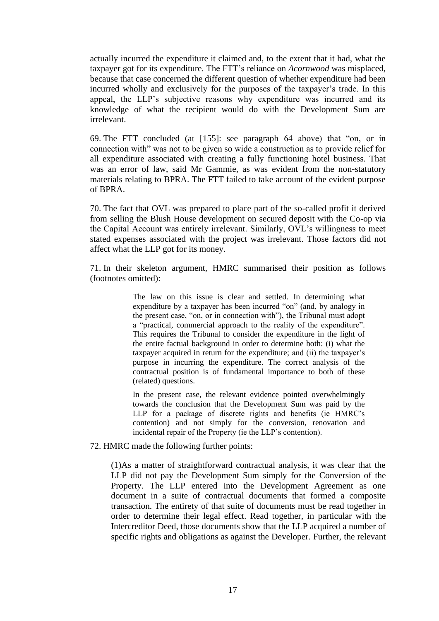actually incurred the expenditure it claimed and, to the extent that it had, what the taxpayer got for its expenditure. The FTT's reliance on *Acornwood* was misplaced, because that case concerned the different question of whether expenditure had been incurred wholly and exclusively for the purposes of the taxpayer's trade. In this appeal, the LLP's subjective reasons why expenditure was incurred and its knowledge of what the recipient would do with the Development Sum are irrelevant.

69. The FTT concluded (at [155]: see paragraph 64 above) that "on, or in connection with" was not to be given so wide a construction as to provide relief for all expenditure associated with creating a fully functioning hotel business. That was an error of law, said Mr Gammie, as was evident from the non-statutory materials relating to BPRA. The FTT failed to take account of the evident purpose of BPRA.

70. The fact that OVL was prepared to place part of the so-called profit it derived from selling the Blush House development on secured deposit with the Co-op via the Capital Account was entirely irrelevant. Similarly, OVL's willingness to meet stated expenses associated with the project was irrelevant. Those factors did not affect what the LLP got for its money.

71. In their skeleton argument, HMRC summarised their position as follows (footnotes omitted):

> The law on this issue is clear and settled. In determining what expenditure by a taxpayer has been incurred "on" (and, by analogy in the present case, "on, or in connection with"), the Tribunal must adopt a "practical, commercial approach to the reality of the expenditure". This requires the Tribunal to consider the expenditure in the light of the entire factual background in order to determine both: (i) what the taxpayer acquired in return for the expenditure; and (ii) the taxpayer's purpose in incurring the expenditure. The correct analysis of the contractual position is of fundamental importance to both of these (related) questions.

> In the present case, the relevant evidence pointed overwhelmingly towards the conclusion that the Development Sum was paid by the LLP for a package of discrete rights and benefits (ie HMRC's contention) and not simply for the conversion, renovation and incidental repair of the Property (ie the LLP's contention).

72. HMRC made the following further points:

(1)As a matter of straightforward contractual analysis, it was clear that the LLP did not pay the Development Sum simply for the Conversion of the Property. The LLP entered into the Development Agreement as one document in a suite of contractual documents that formed a composite transaction. The entirety of that suite of documents must be read together in order to determine their legal effect. Read together, in particular with the Intercreditor Deed, those documents show that the LLP acquired a number of specific rights and obligations as against the Developer. Further, the relevant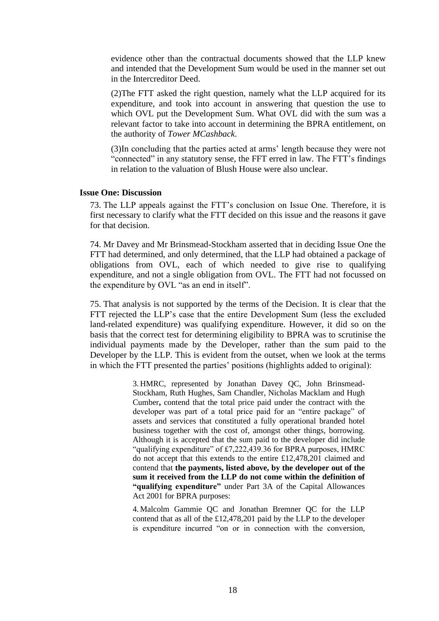evidence other than the contractual documents showed that the LLP knew and intended that the Development Sum would be used in the manner set out in the Intercreditor Deed.

(2)The FTT asked the right question, namely what the LLP acquired for its expenditure, and took into account in answering that question the use to which OVL put the Development Sum. What OVL did with the sum was a relevant factor to take into account in determining the BPRA entitlement, on the authority of *Tower MCashback*.

(3)In concluding that the parties acted at arms' length because they were not "connected" in any statutory sense, the FFT erred in law. The FTT's findings in relation to the valuation of Blush House were also unclear.

### **Issue One: Discussion**

73. The LLP appeals against the FTT's conclusion on Issue One. Therefore, it is first necessary to clarify what the FTT decided on this issue and the reasons it gave for that decision.

74. Mr Davey and Mr Brinsmead-Stockham asserted that in deciding Issue One the FTT had determined, and only determined, that the LLP had obtained a package of obligations from OVL, each of which needed to give rise to qualifying expenditure, and not a single obligation from OVL. The FTT had not focussed on the expenditure by OVL "as an end in itself".

75. That analysis is not supported by the terms of the Decision. It is clear that the FTT rejected the LLP's case that the entire Development Sum (less the excluded land-related expenditure) was qualifying expenditure. However, it did so on the basis that the correct test for determining eligibility to BPRA was to scrutinise the individual payments made by the Developer, rather than the sum paid to the Developer by the LLP. This is evident from the outset, when we look at the terms in which the FTT presented the parties' positions (highlights added to original):

> 3. HMRC, represented by Jonathan Davey QC, John Brinsmead-Stockham, Ruth Hughes, Sam Chandler, Nicholas Macklam and Hugh Cumber**,** contend that the total price paid under the contract with the developer was part of a total price paid for an "entire package" of assets and services that constituted a fully operational branded hotel business together with the cost of, amongst other things, borrowing. Although it is accepted that the sum paid to the developer did include "qualifying expenditure" of £7,222,439.36 for BPRA purposes, HMRC do not accept that this extends to the entire £12,478,201 claimed and contend that **the payments, listed above, by the developer out of the sum it received from the LLP do not come within the definition of "qualifying expenditure"** under Part 3A of the Capital Allowances Act 2001 for BPRA purposes:

> 4. Malcolm Gammie QC and Jonathan Bremner QC for the LLP contend that as all of the £12,478,201 paid by the LLP to the developer is expenditure incurred "on or in connection with the conversion,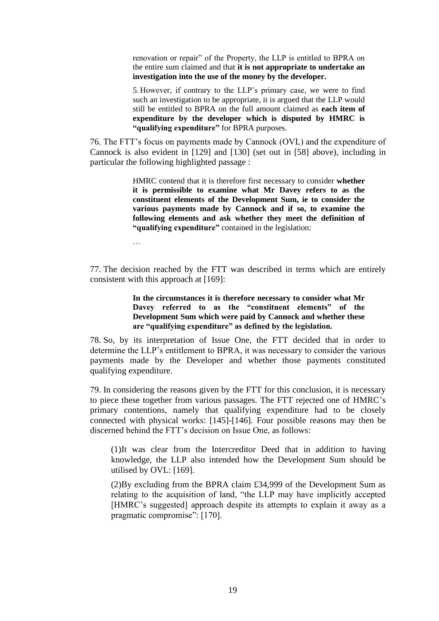renovation or repair" of the Property, the LLP is entitled to BPRA on the entire sum claimed and that **it is not appropriate to undertake an investigation into the use of the money by the developer.**

5. However, if contrary to the LLP's primary case, we were to find such an investigation to be appropriate, it is argued that the LLP would still be entitled to BPRA on the full amount claimed as **each item of expenditure by the developer which is disputed by HMRC is "qualifying expenditure"** for BPRA purposes.

76. The FTT's focus on payments made by Cannock (OVL) and the expenditure of Cannock is also evident in [129] and [130] (set out in [58] above), including in particular the following highlighted passage :

> HMRC contend that it is therefore first necessary to consider **whether it is permissible to examine what Mr Davey refers to as the constituent elements of the Development Sum, ie to consider the various payments made by Cannock and if so, to examine the following elements and ask whether they meet the definition of "qualifying expenditure"** contained in the legislation:

…

77. The decision reached by the FTT was described in terms which are entirely consistent with this approach at [169]:

> **In the circumstances it is therefore necessary to consider what Mr Davey referred to as the "constituent elements" of the Development Sum which were paid by Cannock and whether these are "qualifying expenditure" as defined by the legislation.**

78. So, by its interpretation of Issue One, the FTT decided that in order to determine the LLP's entitlement to BPRA, it was necessary to consider the various payments made by the Developer and whether those payments constituted qualifying expenditure.

79. In considering the reasons given by the FTT for this conclusion, it is necessary to piece these together from various passages. The FTT rejected one of HMRC's primary contentions, namely that qualifying expenditure had to be closely connected with physical works: [145]-[146]. Four possible reasons may then be discerned behind the FTT's decision on Issue One, as follows:

(1)It was clear from the Intercreditor Deed that in addition to having knowledge, the LLP also intended how the Development Sum should be utilised by OVL: [169].

(2)By excluding from the BPRA claim £34,999 of the Development Sum as relating to the acquisition of land, "the LLP may have implicitly accepted [HMRC's suggested] approach despite its attempts to explain it away as a pragmatic compromise": [170].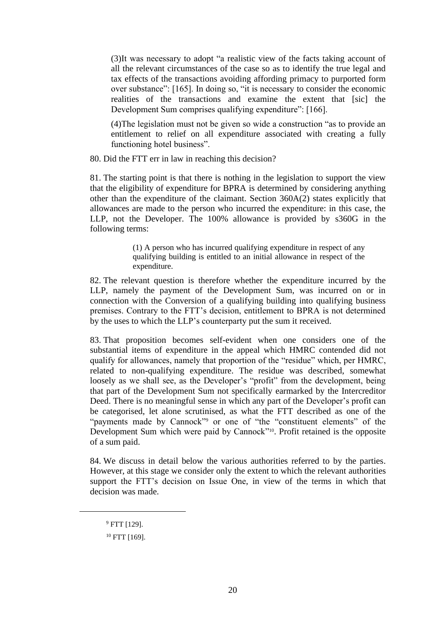(3)It was necessary to adopt "a realistic view of the facts taking account of all the relevant circumstances of the case so as to identify the true legal and tax effects of the transactions avoiding affording primacy to purported form over substance": [165]. In doing so, "it is necessary to consider the economic realities of the transactions and examine the extent that [sic] the Development Sum comprises qualifying expenditure": [166].

(4)The legislation must not be given so wide a construction "as to provide an entitlement to relief on all expenditure associated with creating a fully functioning hotel business".

80. Did the FTT err in law in reaching this decision?

81. The starting point is that there is nothing in the legislation to support the view that the eligibility of expenditure for BPRA is determined by considering anything other than the expenditure of the claimant. Section 360A(2) states explicitly that allowances are made to the person who incurred the expenditure: in this case, the LLP, not the Developer. The 100% allowance is provided by s360G in the following terms:

> (1) A person who has incurred qualifying expenditure in respect of any qualifying building is entitled to an initial allowance in respect of the expenditure.

82. The relevant question is therefore whether the expenditure incurred by the LLP, namely the payment of the Development Sum, was incurred on or in connection with the Conversion of a qualifying building into qualifying business premises. Contrary to the FTT's decision, entitlement to BPRA is not determined by the uses to which the LLP's counterparty put the sum it received.

83. That proposition becomes self-evident when one considers one of the substantial items of expenditure in the appeal which HMRC contended did not qualify for allowances, namely that proportion of the "residue" which, per HMRC, related to non-qualifying expenditure. The residue was described, somewhat loosely as we shall see, as the Developer's "profit" from the development, being that part of the Development Sum not specifically earmarked by the Intercreditor Deed. There is no meaningful sense in which any part of the Developer's profit can be categorised, let alone scrutinised, as what the FTT described as one of the "payments made by Cannock"<sup>9</sup> or one of "the "constituent elements" of the Development Sum which were paid by Cannock"<sup>10</sup>. Profit retained is the opposite of a sum paid.

84. We discuss in detail below the various authorities referred to by the parties. However, at this stage we consider only the extent to which the relevant authorities support the FTT's decision on Issue One, in view of the terms in which that decision was made.

<sup>9</sup> FTT [129].

<sup>&</sup>lt;sup>10</sup> FTT [169].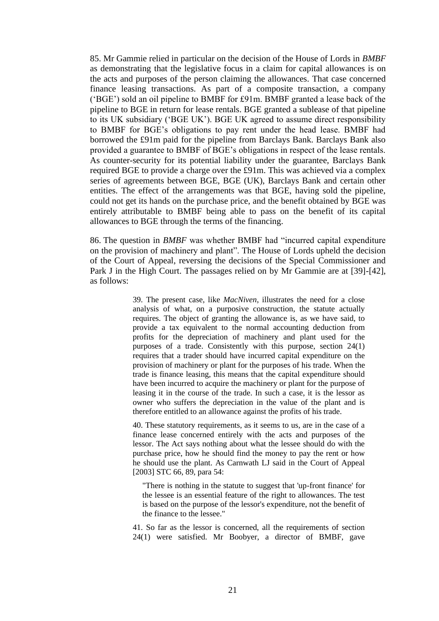85. Mr Gammie relied in particular on the decision of the House of Lords in *BMBF*  as demonstrating that the legislative focus in a claim for capital allowances is on the acts and purposes of the person claiming the allowances. That case concerned finance leasing transactions. As part of a composite transaction, a company ('BGE') sold an oil pipeline to BMBF for £91m. BMBF granted a lease back of the pipeline to BGE in return for lease rentals. BGE granted a sublease of that pipeline to its UK subsidiary ('BGE UK'). BGE UK agreed to assume direct responsibility to BMBF for BGE's obligations to pay rent under the head lease. BMBF had borrowed the £91m paid for the pipeline from Barclays Bank. Barclays Bank also provided a guarantee to BMBF of BGE's obligations in respect of the lease rentals. As counter-security for its potential liability under the guarantee, Barclays Bank required BGE to provide a charge over the £91m. This was achieved via a complex series of agreements between BGE, BGE (UK), Barclays Bank and certain other entities. The effect of the arrangements was that BGE, having sold the pipeline, could not get its hands on the purchase price, and the benefit obtained by BGE was entirely attributable to BMBF being able to pass on the benefit of its capital allowances to BGE through the terms of the financing.

86. The question in *BMBF* was whether BMBF had "incurred capital expenditure on the provision of machinery and plant". The House of Lords upheld the decision of the Court of Appeal, reversing the decisions of the Special Commissioner and Park J in the High Court. The passages relied on by Mr Gammie are at [39]-[42], as follows:

> 39. The present case, like *MacNiven*, illustrates the need for a close analysis of what, on a purposive construction, the statute actually requires. The object of granting the allowance is, as we have said, to provide a tax equivalent to the normal accounting deduction from profits for the depreciation of machinery and plant used for the purposes of a trade. Consistently with this purpose, section 24(1) requires that a trader should have incurred capital expenditure on the provision of machinery or plant for the purposes of his trade. When the trade is finance leasing, this means that the capital expenditure should have been incurred to acquire the machinery or plant for the purpose of leasing it in the course of the trade. In such a case, it is the lessor as owner who suffers the depreciation in the value of the plant and is therefore entitled to an allowance against the profits of his trade.

> 40. These statutory requirements, as it seems to us, are in the case of a finance lease concerned entirely with the acts and purposes of the lessor. The Act says nothing about what the lessee should do with the purchase price, how he should find the money to pay the rent or how he should use the plant. As Carnwath LJ said in the Court of Appeal [\[2003\] STC 66,](http://www.bailii.org/cgi-bin/redirect.cgi?path=/ew/cases/EWCA/Civ/2002/1853.html) 89, para 54:

"There is nothing in the statute to suggest that 'up-front finance' for the lessee is an essential feature of the right to allowances. The test is based on the purpose of the lessor's expenditure, not the benefit of the finance to the lessee."

41. So far as the lessor is concerned, all the requirements of section 24(1) were satisfied. Mr Boobyer, a director of BMBF, gave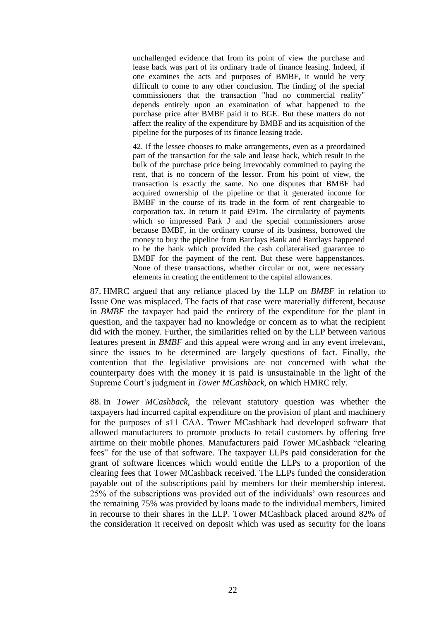unchallenged evidence that from its point of view the purchase and lease back was part of its ordinary trade of finance leasing. Indeed, if one examines the acts and purposes of BMBF, it would be very difficult to come to any other conclusion. The finding of the special commissioners that the transaction "had no commercial reality" depends entirely upon an examination of what happened to the purchase price after BMBF paid it to BGE. But these matters do not affect the reality of the expenditure by BMBF and its acquisition of the pipeline for the purposes of its finance leasing trade.

42. If the lessee chooses to make arrangements, even as a preordained part of the transaction for the sale and lease back, which result in the bulk of the purchase price being irrevocably committed to paying the rent, that is no concern of the lessor. From his point of view, the transaction is exactly the same. No one disputes that BMBF had acquired ownership of the pipeline or that it generated income for BMBF in the course of its trade in the form of rent chargeable to corporation tax. In return it paid £91m. The circularity of payments which so impressed Park J and the special commissioners arose because BMBF, in the ordinary course of its business, borrowed the money to buy the pipeline from Barclays Bank and Barclays happened to be the bank which provided the cash collateralised guarantee to BMBF for the payment of the rent. But these were happenstances. None of these transactions, whether circular or not, were necessary elements in creating the entitlement to the capital allowances.

87. HMRC argued that any reliance placed by the LLP on *BMBF* in relation to Issue One was misplaced. The facts of that case were materially different, because in *BMBF* the taxpayer had paid the entirety of the expenditure for the plant in question, and the taxpayer had no knowledge or concern as to what the recipient did with the money. Further, the similarities relied on by the LLP between various features present in *BMBF* and this appeal were wrong and in any event irrelevant, since the issues to be determined are largely questions of fact. Finally, the contention that the legislative provisions are not concerned with what the counterparty does with the money it is paid is unsustainable in the light of the Supreme Court's judgment in *Tower MCashback*, on which HMRC rely.

88. In *Tower MCashback*, the relevant statutory question was whether the taxpayers had incurred capital expenditure on the provision of plant and machinery for the purposes of s11 CAA. Tower MCashback had developed software that allowed manufacturers to promote products to retail customers by offering free airtime on their mobile phones. Manufacturers paid Tower MCashback "clearing fees" for the use of that software. The taxpayer LLPs paid consideration for the grant of software licences which would entitle the LLPs to a proportion of the clearing fees that Tower MCashback received. The LLPs funded the consideration payable out of the subscriptions paid by members for their membership interest. 25% of the subscriptions was provided out of the individuals' own resources and the remaining 75% was provided by loans made to the individual members, limited in recourse to their shares in the LLP. Tower MCashback placed around 82% of the consideration it received on deposit which was used as security for the loans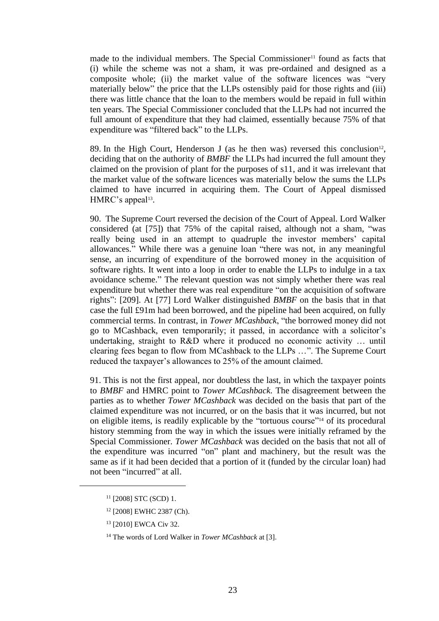made to the individual members. The Special Commissioner<sup>11</sup> found as facts that (i) while the scheme was not a sham, it was pre-ordained and designed as a composite whole; (ii) the market value of the software licences was "very materially below" the price that the LLPs ostensibly paid for those rights and (iii) there was little chance that the loan to the members would be repaid in full within ten years. The Special Commissioner concluded that the LLPs had not incurred the full amount of expenditure that they had claimed, essentially because 75% of that expenditure was "filtered back" to the LLPs.

89. In the High Court, Henderson J (as he then was) reversed this conclusion<sup>12</sup>, deciding that on the authority of *BMBF* the LLPs had incurred the full amount they claimed on the provision of plant for the purposes of s11, and it was irrelevant that the market value of the software licences was materially below the sums the LLPs claimed to have incurred in acquiring them. The Court of Appeal dismissed HMRC's appeal<sup>13</sup>.

90. The Supreme Court reversed the decision of the Court of Appeal. Lord Walker considered (at [75]) that 75% of the capital raised, although not a sham, "was really being used in an attempt to quadruple the investor members' capital allowances." While there was a genuine loan "there was not, in any meaningful sense, an incurring of expenditure of the borrowed money in the acquisition of software rights. It went into a loop in order to enable the LLPs to indulge in a tax avoidance scheme." The relevant question was not simply whether there was real expenditure but whether there was real expenditure "on the acquisition of software rights": [209]. At [77] Lord Walker distinguished *BMBF* on the basis that in that case the full £91m had been borrowed, and the pipeline had been acquired, on fully commercial terms. In contrast, in *Tower MCashback*, "the borrowed money did not go to MCashback, even temporarily; it passed, in accordance with a solicitor's undertaking, straight to R&D where it produced no economic activity … until clearing fees began to flow from MCashback to the LLPs …". The Supreme Court reduced the taxpayer's allowances to 25% of the amount claimed.

91. This is not the first appeal, nor doubtless the last, in which the taxpayer points to *BMBF* and HMRC point to *Tower MCashback*. The disagreement between the parties as to whether *Tower MCashback* was decided on the basis that part of the claimed expenditure was not incurred, or on the basis that it was incurred, but not on eligible items, is readily explicable by the "tortuous course"<sup>14</sup> of its procedural history stemming from the way in which the issues were initially reframed by the Special Commissioner. *Tower MCashback* was decided on the basis that not all of the expenditure was incurred "on" plant and machinery, but the result was the same as if it had been decided that a portion of it (funded by the circular loan) had not been "incurred" at all.

<sup>11</sup> [2008] STC (SCD) 1.

<sup>12</sup> [2008] EWHC 2387 (Ch).

<sup>13</sup> [2010] EWCA Civ 32.

<sup>14</sup> The words of Lord Walker in *Tower MCashback* at [3].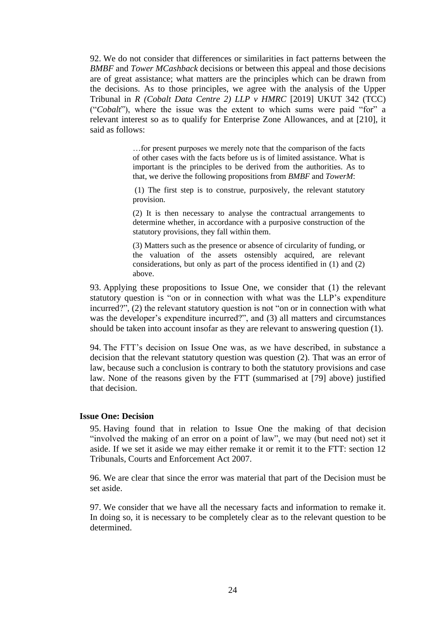92. We do not consider that differences or similarities in fact patterns between the *BMBF* and *Tower MCashback* decisions or between this appeal and those decisions are of great assistance; what matters are the principles which can be drawn from the decisions. As to those principles, we agree with the analysis of the Upper Tribunal in *R (Cobalt Data Centre 2) LLP v HMRC* [2019] UKUT 342 (TCC) ("*Cobalt*"), where the issue was the extent to which sums were paid "for" a relevant interest so as to qualify for Enterprise Zone Allowances, and at [210], it said as follows:

> …for present purposes we merely note that the comparison of the facts of other cases with the facts before us is of limited assistance. What is important is the principles to be derived from the authorities. As to that, we derive the following propositions from *BMBF* and *TowerM*:

> (1) The first step is to construe, purposively, the relevant statutory provision.

> (2) It is then necessary to analyse the contractual arrangements to determine whether, in accordance with a purposive construction of the statutory provisions, they fall within them.

> (3) Matters such as the presence or absence of circularity of funding, or the valuation of the assets ostensibly acquired, are relevant considerations, but only as part of the process identified in (1) and (2) above.

93. Applying these propositions to Issue One, we consider that (1) the relevant statutory question is "on or in connection with what was the LLP's expenditure incurred?", (2) the relevant statutory question is not "on or in connection with what was the developer's expenditure incurred?", and (3) all matters and circumstances should be taken into account insofar as they are relevant to answering question (1).

94. The FTT's decision on Issue One was, as we have described, in substance a decision that the relevant statutory question was question (2). That was an error of law, because such a conclusion is contrary to both the statutory provisions and case law. None of the reasons given by the FTT (summarised at [79] above) justified that decision.

### **Issue One: Decision**

95. Having found that in relation to Issue One the making of that decision "involved the making of an error on a point of law", we may (but need not) set it aside. If we set it aside we may either remake it or remit it to the FTT: section 12 Tribunals, Courts and Enforcement Act 2007.

96. We are clear that since the error was material that part of the Decision must be set aside.

97. We consider that we have all the necessary facts and information to remake it. In doing so, it is necessary to be completely clear as to the relevant question to be determined.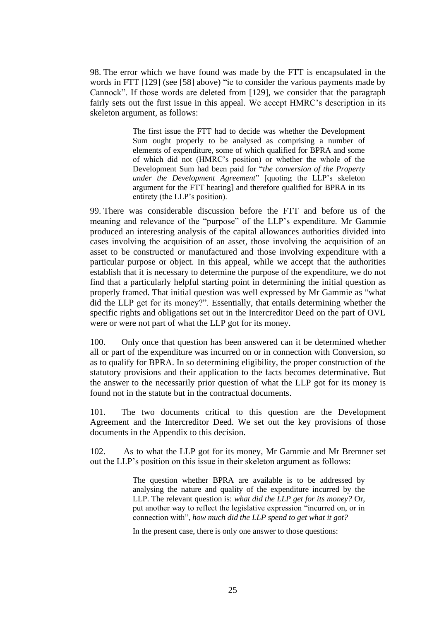98. The error which we have found was made by the FTT is encapsulated in the words in FTT [129] (see [58] above) "ie to consider the various payments made by Cannock". If those words are deleted from [129], we consider that the paragraph fairly sets out the first issue in this appeal. We accept HMRC's description in its skeleton argument, as follows:

> The first issue the FTT had to decide was whether the Development Sum ought properly to be analysed as comprising a number of elements of expenditure, some of which qualified for BPRA and some of which did not (HMRC's position) or whether the whole of the Development Sum had been paid for "*the conversion of the Property under the Development Agreement*" [quoting the LLP's skeleton argument for the FTT hearing] and therefore qualified for BPRA in its entirety (the LLP's position).

99. There was considerable discussion before the FTT and before us of the meaning and relevance of the "purpose" of the LLP's expenditure. Mr Gammie produced an interesting analysis of the capital allowances authorities divided into cases involving the acquisition of an asset, those involving the acquisition of an asset to be constructed or manufactured and those involving expenditure with a particular purpose or object. In this appeal, while we accept that the authorities establish that it is necessary to determine the purpose of the expenditure, we do not find that a particularly helpful starting point in determining the initial question as properly framed. That initial question was well expressed by Mr Gammie as "what did the LLP get for its money?". Essentially, that entails determining whether the specific rights and obligations set out in the Intercreditor Deed on the part of OVL were or were not part of what the LLP got for its money.

100. Only once that question has been answered can it be determined whether all or part of the expenditure was incurred on or in connection with Conversion, so as to qualify for BPRA. In so determining eligibility, the proper construction of the statutory provisions and their application to the facts becomes determinative. But the answer to the necessarily prior question of what the LLP got for its money is found not in the statute but in the contractual documents.

101. The two documents critical to this question are the Development Agreement and the Intercreditor Deed. We set out the key provisions of those documents in the Appendix to this decision.

102. As to what the LLP got for its money, Mr Gammie and Mr Bremner set out the LLP's position on this issue in their skeleton argument as follows:

> The question whether BPRA are available is to be addressed by analysing the nature and quality of the expenditure incurred by the LLP. The relevant question is: *what did the LLP get for its money?* Or, put another way to reflect the legislative expression "incurred on, or in connection with", *how much did the LLP spend to get what it got?*

In the present case, there is only one answer to those questions: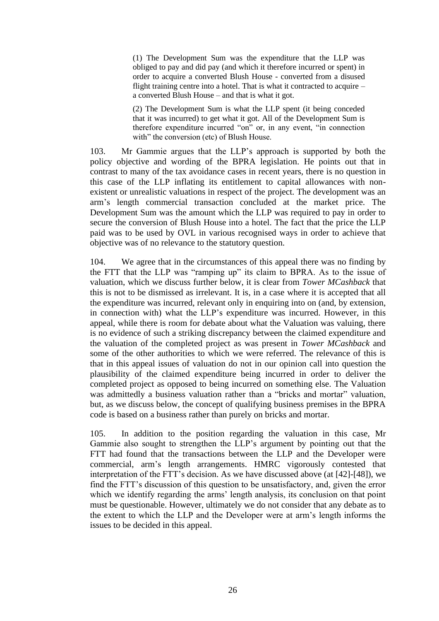(1) The Development Sum was the expenditure that the LLP was obliged to pay and did pay (and which it therefore incurred or spent) in order to acquire a converted Blush House - converted from a disused flight training centre into a hotel. That is what it contracted to acquire – a converted Blush House – and that is what it got.

(2) The Development Sum is what the LLP spent (it being conceded that it was incurred) to get what it got. All of the Development Sum is therefore expenditure incurred "on" or, in any event, "in connection with" the conversion (etc) of Blush House.

103. Mr Gammie argues that the LLP's approach is supported by both the policy objective and wording of the BPRA legislation. He points out that in contrast to many of the tax avoidance cases in recent years, there is no question in this case of the LLP inflating its entitlement to capital allowances with nonexistent or unrealistic valuations in respect of the project. The development was an arm's length commercial transaction concluded at the market price. The Development Sum was the amount which the LLP was required to pay in order to secure the conversion of Blush House into a hotel. The fact that the price the LLP paid was to be used by OVL in various recognised ways in order to achieve that objective was of no relevance to the statutory question.

104. We agree that in the circumstances of this appeal there was no finding by the FTT that the LLP was "ramping up" its claim to BPRA. As to the issue of valuation, which we discuss further below, it is clear from *Tower MCashback* that this is not to be dismissed as irrelevant. It is, in a case where it is accepted that all the expenditure was incurred, relevant only in enquiring into on (and, by extension, in connection with) what the LLP's expenditure was incurred. However, in this appeal, while there is room for debate about what the Valuation was valuing, there is no evidence of such a striking discrepancy between the claimed expenditure and the valuation of the completed project as was present in *Tower MCashback* and some of the other authorities to which we were referred. The relevance of this is that in this appeal issues of valuation do not in our opinion call into question the plausibility of the claimed expenditure being incurred in order to deliver the completed project as opposed to being incurred on something else. The Valuation was admittedly a business valuation rather than a "bricks and mortar" valuation, but, as we discuss below, the concept of qualifying business premises in the BPRA code is based on a business rather than purely on bricks and mortar.

105. In addition to the position regarding the valuation in this case, Mr Gammie also sought to strengthen the LLP's argument by pointing out that the FTT had found that the transactions between the LLP and the Developer were commercial, arm's length arrangements. HMRC vigorously contested that interpretation of the FTT's decision. As we have discussed above (at [42]-[48]), we find the FTT's discussion of this question to be unsatisfactory, and, given the error which we identify regarding the arms' length analysis, its conclusion on that point must be questionable. However, ultimately we do not consider that any debate as to the extent to which the LLP and the Developer were at arm's length informs the issues to be decided in this appeal.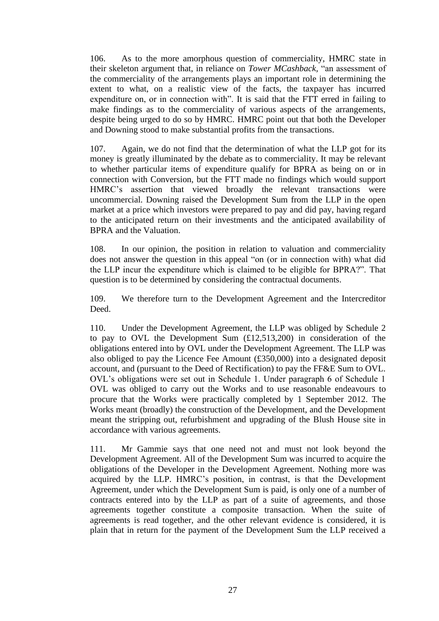106. As to the more amorphous question of commerciality, HMRC state in their skeleton argument that, in reliance on *Tower MCashback,* "an assessment of the commerciality of the arrangements plays an important role in determining the extent to what, on a realistic view of the facts, the taxpayer has incurred expenditure on, or in connection with". It is said that the FTT erred in failing to make findings as to the commerciality of various aspects of the arrangements, despite being urged to do so by HMRC. HMRC point out that both the Developer and Downing stood to make substantial profits from the transactions.

107. Again, we do not find that the determination of what the LLP got for its money is greatly illuminated by the debate as to commerciality. It may be relevant to whether particular items of expenditure qualify for BPRA as being on or in connection with Conversion, but the FTT made no findings which would support HMRC's assertion that viewed broadly the relevant transactions were uncommercial. Downing raised the Development Sum from the LLP in the open market at a price which investors were prepared to pay and did pay, having regard to the anticipated return on their investments and the anticipated availability of BPRA and the Valuation.

108. In our opinion, the position in relation to valuation and commerciality does not answer the question in this appeal "on (or in connection with) what did the LLP incur the expenditure which is claimed to be eligible for BPRA?". That question is to be determined by considering the contractual documents.

109. We therefore turn to the Development Agreement and the Intercreditor Deed.

110. Under the Development Agreement, the LLP was obliged by Schedule 2 to pay to OVL the Development Sum (£12,513,200) in consideration of the obligations entered into by OVL under the Development Agreement. The LLP was also obliged to pay the Licence Fee Amount (£350,000) into a designated deposit account, and (pursuant to the Deed of Rectification) to pay the FF&E Sum to OVL. OVL's obligations were set out in Schedule 1. Under paragraph 6 of Schedule 1 OVL was obliged to carry out the Works and to use reasonable endeavours to procure that the Works were practically completed by 1 September 2012. The Works meant (broadly) the construction of the Development, and the Development meant the stripping out, refurbishment and upgrading of the Blush House site in accordance with various agreements.

111. Mr Gammie says that one need not and must not look beyond the Development Agreement. All of the Development Sum was incurred to acquire the obligations of the Developer in the Development Agreement. Nothing more was acquired by the LLP. HMRC's position, in contrast, is that the Development Agreement, under which the Development Sum is paid, is only one of a number of contracts entered into by the LLP as part of a suite of agreements, and those agreements together constitute a composite transaction. When the suite of agreements is read together, and the other relevant evidence is considered, it is plain that in return for the payment of the Development Sum the LLP received a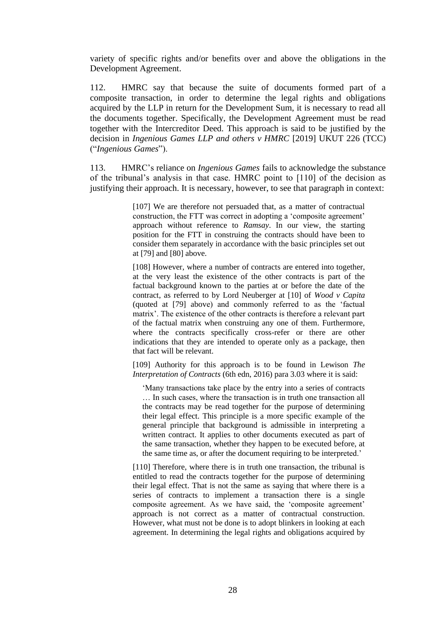variety of specific rights and/or benefits over and above the obligations in the Development Agreement.

112. HMRC say that because the suite of documents formed part of a composite transaction, in order to determine the legal rights and obligations acquired by the LLP in return for the Development Sum, it is necessary to read all the documents together. Specifically, the Development Agreement must be read together with the Intercreditor Deed. This approach is said to be justified by the decision in *Ingenious Games LLP and others v HMRC* [2019] UKUT 226 (TCC) ("*Ingenious Games*").

113. HMRC's reliance on *Ingenious Games* fails to acknowledge the substance of the tribunal's analysis in that case. HMRC point to [110] of the decision as justifying their approach. It is necessary, however, to see that paragraph in context:

> [107] We are therefore not persuaded that, as a matter of contractual construction, the FTT was correct in adopting a 'composite agreement' approach without reference to *Ramsay*. In our view, the starting position for the FTT in construing the contracts should have been to consider them separately in accordance with the basic principles set out at [79] and [80] above.

> [108] However, where a number of contracts are entered into together, at the very least the existence of the other contracts is part of the factual background known to the parties at or before the date of the contract, as referred to by Lord Neuberger at [10] of *Wood v Capita* (quoted at [79] above) and commonly referred to as the 'factual matrix'. The existence of the other contracts is therefore a relevant part of the factual matrix when construing any one of them. Furthermore, where the contracts specifically cross-refer or there are other indications that they are intended to operate only as a package, then that fact will be relevant.

> [109] Authority for this approach is to be found in Lewison *The Interpretation of Contracts* (6th edn, 2016) para 3.03 where it is said:

'Many transactions take place by the entry into a series of contracts … In such cases, where the transaction is in truth one transaction all the contracts may be read together for the purpose of determining their legal effect. This principle is a more specific example of the general principle that background is admissible in interpreting a written contract. It applies to other documents executed as part of the same transaction, whether they happen to be executed before, at the same time as, or after the document requiring to be interpreted.'

[110] Therefore, where there is in truth one transaction, the tribunal is entitled to read the contracts together for the purpose of determining their legal effect. That is not the same as saying that where there is a series of contracts to implement a transaction there is a single composite agreement. As we have said, the 'composite agreement' approach is not correct as a matter of contractual construction. However, what must not be done is to adopt blinkers in looking at each agreement. In determining the legal rights and obligations acquired by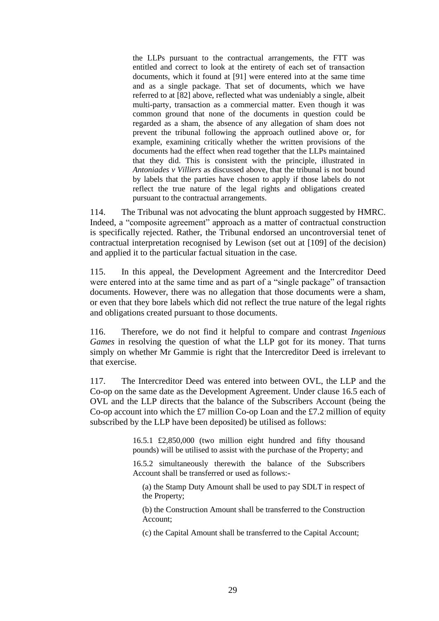the LLPs pursuant to the contractual arrangements, the FTT was entitled and correct to look at the entirety of each set of transaction documents, which it found at [91] were entered into at the same time and as a single package. That set of documents, which we have referred to at [82] above, reflected what was undeniably a single, albeit multi-party, transaction as a commercial matter. Even though it was common ground that none of the documents in question could be regarded as a sham, the absence of any allegation of sham does not prevent the tribunal following the approach outlined above or, for example, examining critically whether the written provisions of the documents had the effect when read together that the LLPs maintained that they did. This is consistent with the principle, illustrated in *Antoniades v Villiers* as discussed above, that the tribunal is not bound by labels that the parties have chosen to apply if those labels do not reflect the true nature of the legal rights and obligations created pursuant to the contractual arrangements.

114. The Tribunal was not advocating the blunt approach suggested by HMRC. Indeed, a "composite agreement" approach as a matter of contractual construction is specifically rejected. Rather, the Tribunal endorsed an uncontroversial tenet of contractual interpretation recognised by Lewison (set out at [109] of the decision) and applied it to the particular factual situation in the case.

115. In this appeal, the Development Agreement and the Intercreditor Deed were entered into at the same time and as part of a "single package" of transaction documents. However, there was no allegation that those documents were a sham, or even that they bore labels which did not reflect the true nature of the legal rights and obligations created pursuant to those documents.

116. Therefore, we do not find it helpful to compare and contrast *Ingenious Games* in resolving the question of what the LLP got for its money. That turns simply on whether Mr Gammie is right that the Intercreditor Deed is irrelevant to that exercise.

117. The Intercreditor Deed was entered into between OVL, the LLP and the Co-op on the same date as the Development Agreement. Under clause 16.5 each of OVL and the LLP directs that the balance of the Subscribers Account (being the Co-op account into which the £7 million Co-op Loan and the £7.2 million of equity subscribed by the LLP have been deposited) be utilised as follows:

> 16.5.1 £2,850,000 (two million eight hundred and fifty thousand pounds) will be utilised to assist with the purchase of the Property; and

> 16.5.2 simultaneously therewith the balance of the Subscribers Account shall be transferred or used as follows:-

(a) the Stamp Duty Amount shall be used to pay SDLT in respect of the Property;

(b) the Construction Amount shall be transferred to the Construction Account;

(c) the Capital Amount shall be transferred to the Capital Account;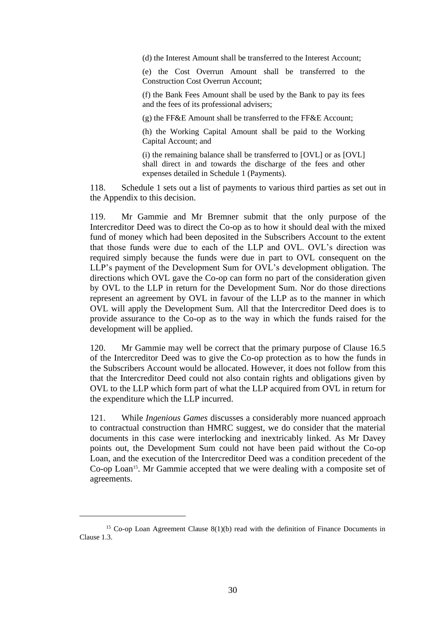(d) the Interest Amount shall be transferred to the Interest Account;

(e) the Cost Overrun Amount shall be transferred to the Construction Cost Overrun Account;

(f) the Bank Fees Amount shall be used by the Bank to pay its fees and the fees of its professional advisers;

(g) the FF&E Amount shall be transferred to the FF&E Account;

(h) the Working Capital Amount shall be paid to the Working Capital Account; and

(i) the remaining balance shall be transferred to [OVL] or as [OVL] shall direct in and towards the discharge of the fees and other expenses detailed in Schedule 1 (Payments).

118. Schedule 1 sets out a list of payments to various third parties as set out in the Appendix to this decision.

119. Mr Gammie and Mr Bremner submit that the only purpose of the Intercreditor Deed was to direct the Co-op as to how it should deal with the mixed fund of money which had been deposited in the Subscribers Account to the extent that those funds were due to each of the LLP and OVL. OVL's direction was required simply because the funds were due in part to OVL consequent on the LLP's payment of the Development Sum for OVL's development obligation. The directions which OVL gave the Co-op can form no part of the consideration given by OVL to the LLP in return for the Development Sum. Nor do those directions represent an agreement by OVL in favour of the LLP as to the manner in which OVL will apply the Development Sum. All that the Intercreditor Deed does is to provide assurance to the Co-op as to the way in which the funds raised for the development will be applied.

120. Mr Gammie may well be correct that the primary purpose of Clause 16.5 of the Intercreditor Deed was to give the Co-op protection as to how the funds in the Subscribers Account would be allocated. However, it does not follow from this that the Intercreditor Deed could not also contain rights and obligations given by OVL to the LLP which form part of what the LLP acquired from OVL in return for the expenditure which the LLP incurred.

121. While *Ingenious Games* discusses a considerably more nuanced approach to contractual construction than HMRC suggest, we do consider that the material documents in this case were interlocking and inextricably linked. As Mr Davey points out, the Development Sum could not have been paid without the Co-op Loan, and the execution of the Intercreditor Deed was a condition precedent of the Co-op Loan<sup>15</sup>. Mr Gammie accepted that we were dealing with a composite set of agreements.

<sup>&</sup>lt;sup>15</sup> Co-op Loan Agreement Clause  $8(1)(b)$  read with the definition of Finance Documents in Clause 1.3.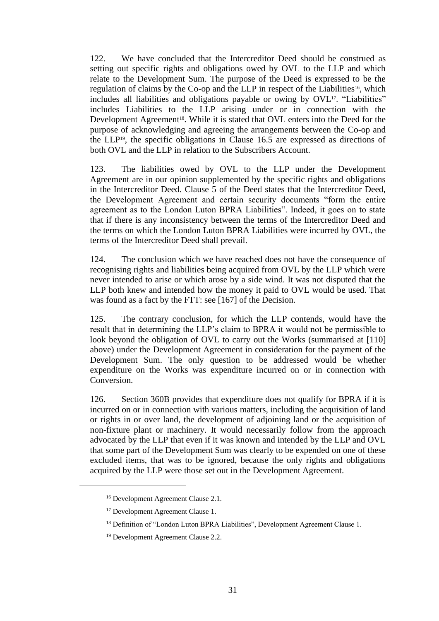122. We have concluded that the Intercreditor Deed should be construed as setting out specific rights and obligations owed by OVL to the LLP and which relate to the Development Sum. The purpose of the Deed is expressed to be the regulation of claims by the Co-op and the LLP in respect of the Liabilities<sup>16</sup>, which includes all liabilities and obligations payable or owing by OVL<sup>17</sup>. "Liabilities" includes Liabilities to the LLP arising under or in connection with the Development Agreement<sup>18</sup>. While it is stated that OVL enters into the Deed for the purpose of acknowledging and agreeing the arrangements between the Co-op and the LLP19, the specific obligations in Clause 16.5 are expressed as directions of both OVL and the LLP in relation to the Subscribers Account.

123. The liabilities owed by OVL to the LLP under the Development Agreement are in our opinion supplemented by the specific rights and obligations in the Intercreditor Deed. Clause 5 of the Deed states that the Intercreditor Deed, the Development Agreement and certain security documents "form the entire agreement as to the London Luton BPRA Liabilities". Indeed, it goes on to state that if there is any inconsistency between the terms of the Intercreditor Deed and the terms on which the London Luton BPRA Liabilities were incurred by OVL, the terms of the Intercreditor Deed shall prevail.

124. The conclusion which we have reached does not have the consequence of recognising rights and liabilities being acquired from OVL by the LLP which were never intended to arise or which arose by a side wind. It was not disputed that the LLP both knew and intended how the money it paid to OVL would be used. That was found as a fact by the FTT: see [167] of the Decision.

125. The contrary conclusion, for which the LLP contends, would have the result that in determining the LLP's claim to BPRA it would not be permissible to look beyond the obligation of OVL to carry out the Works (summarised at [110] above) under the Development Agreement in consideration for the payment of the Development Sum. The only question to be addressed would be whether expenditure on the Works was expenditure incurred on or in connection with Conversion.

126. Section 360B provides that expenditure does not qualify for BPRA if it is incurred on or in connection with various matters, including the acquisition of land or rights in or over land, the development of adjoining land or the acquisition of non-fixture plant or machinery. It would necessarily follow from the approach advocated by the LLP that even if it was known and intended by the LLP and OVL that some part of the Development Sum was clearly to be expended on one of these excluded items, that was to be ignored, because the only rights and obligations acquired by the LLP were those set out in the Development Agreement.

<sup>16</sup> Development Agreement Clause 2.1.

<sup>17</sup> Development Agreement Clause 1.

<sup>&</sup>lt;sup>18</sup> Definition of "London Luton BPRA Liabilities", Development Agreement Clause 1.

<sup>19</sup> Development Agreement Clause 2.2.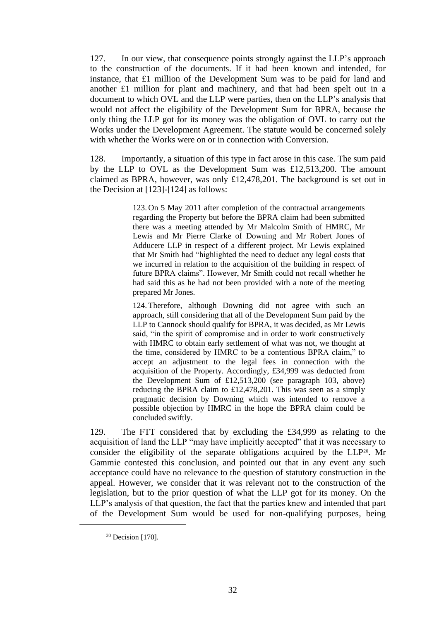127. In our view, that consequence points strongly against the LLP's approach to the construction of the documents. If it had been known and intended, for instance, that £1 million of the Development Sum was to be paid for land and another £1 million for plant and machinery, and that had been spelt out in a document to which OVL and the LLP were parties, then on the LLP's analysis that would not affect the eligibility of the Development Sum for BPRA, because the only thing the LLP got for its money was the obligation of OVL to carry out the Works under the Development Agreement. The statute would be concerned solely with whether the Works were on or in connection with Conversion.

128. Importantly, a situation of this type in fact arose in this case. The sum paid by the LLP to OVL as the Development Sum was £12,513,200. The amount claimed as BPRA, however, was only £12,478,201. The background is set out in the Decision at [123]-[124] as follows:

> 123. On 5 May 2011 after completion of the contractual arrangements regarding the Property but before the BPRA claim had been submitted there was a meeting attended by Mr Malcolm Smith of HMRC, Mr Lewis and Mr Pierre Clarke of Downing and Mr Robert Jones of Adducere LLP in respect of a different project. Mr Lewis explained that Mr Smith had "highlighted the need to deduct any legal costs that we incurred in relation to the acquisition of the building in respect of future BPRA claims". However, Mr Smith could not recall whether he had said this as he had not been provided with a note of the meeting prepared Mr Jones.

> 124. Therefore, although Downing did not agree with such an approach, still considering that all of the Development Sum paid by the LLP to Cannock should qualify for BPRA, it was decided, as Mr Lewis said, "in the spirit of compromise and in order to work constructively with HMRC to obtain early settlement of what was not, we thought at the time, considered by HMRC to be a contentious BPRA claim," to accept an adjustment to the legal fees in connection with the acquisition of the Property. Accordingly, £34,999 was deducted from the Development Sum of £12,513,200 (see paragraph 103, above) reducing the BPRA claim to £12,478,201. This was seen as a simply pragmatic decision by Downing which was intended to remove a possible objection by HMRC in the hope the BPRA claim could be concluded swiftly.

129. The FTT considered that by excluding the £34,999 as relating to the acquisition of land the LLP "may have implicitly accepted" that it was necessary to consider the eligibility of the separate obligations acquired by the LLP20. Mr Gammie contested this conclusion, and pointed out that in any event any such acceptance could have no relevance to the question of statutory construction in the appeal. However, we consider that it was relevant not to the construction of the legislation, but to the prior question of what the LLP got for its money. On the LLP's analysis of that question, the fact that the parties knew and intended that part of the Development Sum would be used for non-qualifying purposes, being

<sup>20</sup> Decision [170].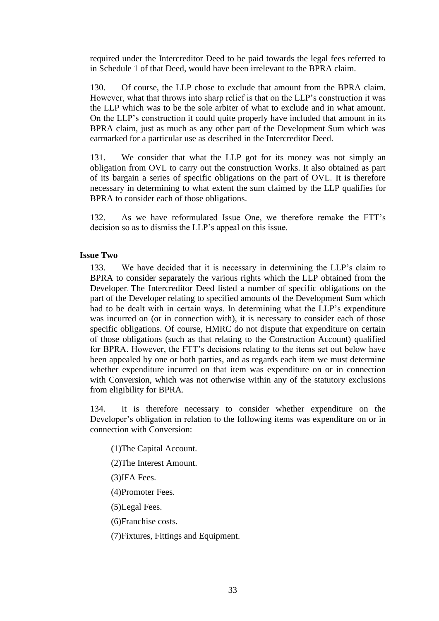required under the Intercreditor Deed to be paid towards the legal fees referred to in Schedule 1 of that Deed, would have been irrelevant to the BPRA claim.

130. Of course, the LLP chose to exclude that amount from the BPRA claim. However, what that throws into sharp relief is that on the LLP's construction it was the LLP which was to be the sole arbiter of what to exclude and in what amount. On the LLP's construction it could quite properly have included that amount in its BPRA claim, just as much as any other part of the Development Sum which was earmarked for a particular use as described in the Intercreditor Deed.

131. We consider that what the LLP got for its money was not simply an obligation from OVL to carry out the construction Works. It also obtained as part of its bargain a series of specific obligations on the part of OVL. It is therefore necessary in determining to what extent the sum claimed by the LLP qualifies for BPRA to consider each of those obligations.

132. As we have reformulated Issue One, we therefore remake the FTT's decision so as to dismiss the LLP's appeal on this issue.

## **Issue Two**

133. We have decided that it is necessary in determining the LLP's claim to BPRA to consider separately the various rights which the LLP obtained from the Developer. The Intercreditor Deed listed a number of specific obligations on the part of the Developer relating to specified amounts of the Development Sum which had to be dealt with in certain ways. In determining what the LLP's expenditure was incurred on (or in connection with), it is necessary to consider each of those specific obligations. Of course, HMRC do not dispute that expenditure on certain of those obligations (such as that relating to the Construction Account) qualified for BPRA. However, the FTT's decisions relating to the items set out below have been appealed by one or both parties, and as regards each item we must determine whether expenditure incurred on that item was expenditure on or in connection with Conversion, which was not otherwise within any of the statutory exclusions from eligibility for BPRA.

134. It is therefore necessary to consider whether expenditure on the Developer's obligation in relation to the following items was expenditure on or in connection with Conversion:

(1)The Capital Account.

(2)The Interest Amount.

(3)IFA Fees.

(4)Promoter Fees.

(5)Legal Fees.

(6)Franchise costs.

(7)Fixtures, Fittings and Equipment.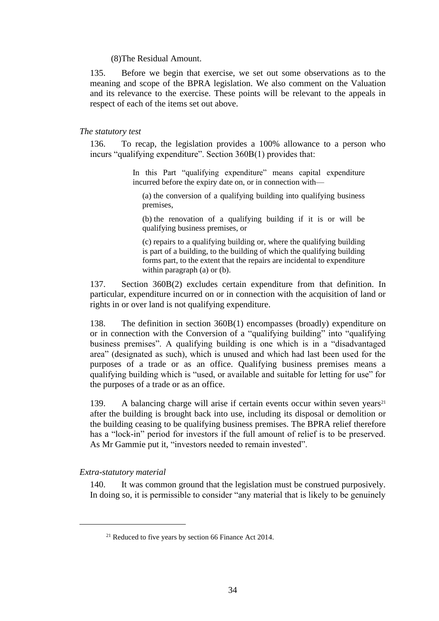### (8)The Residual Amount.

135. Before we begin that exercise, we set out some observations as to the meaning and scope of the BPRA legislation. We also comment on the Valuation and its relevance to the exercise. These points will be relevant to the appeals in respect of each of the items set out above.

## *The statutory test*

136. To recap, the legislation provides a 100% allowance to a person who incurs "qualifying expenditure". Section 360B(1) provides that:

> In this Part "qualifying expenditure" means capital expenditure incurred before the expiry date on, or in connection with—

(a) the conversion of a qualifying building into qualifying business premises,

(b) the renovation of a qualifying building if it is or will be qualifying business premises, or

(c) repairs to a qualifying building or, where the qualifying building is part of a building, to the building of which the qualifying building forms part, to the extent that the repairs are incidental to expenditure within paragraph (a) or (b).

137. Section 360B(2) excludes certain expenditure from that definition. In particular, expenditure incurred on or in connection with the acquisition of land or rights in or over land is not qualifying expenditure.

138. The definition in section 360B(1) encompasses (broadly) expenditure on or in connection with the Conversion of a "qualifying building" into "qualifying business premises". A qualifying building is one which is in a "disadvantaged area" (designated as such), which is unused and which had last been used for the purposes of a trade or as an office. Qualifying business premises means a qualifying building which is "used, or available and suitable for letting for use" for the purposes of a trade or as an office.

139. A balancing charge will arise if certain events occur within seven years<sup>21</sup> after the building is brought back into use, including its disposal or demolition or the building ceasing to be qualifying business premises. The BPRA relief therefore has a "lock-in" period for investors if the full amount of relief is to be preserved. As Mr Gammie put it, "investors needed to remain invested".

# *Extra-statutory material*

140. It was common ground that the legislation must be construed purposively. In doing so, it is permissible to consider "any material that is likely to be genuinely

<sup>&</sup>lt;sup>21</sup> Reduced to five years by section 66 Finance Act 2014.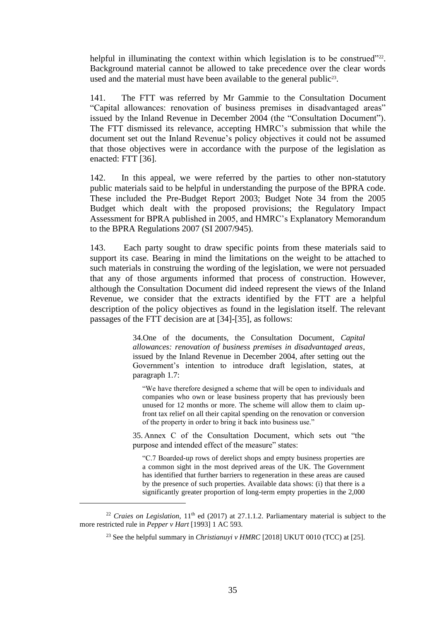helpful in illuminating the context within which legislation is to be construed"<sup>222</sup>. Background material cannot be allowed to take precedence over the clear words used and the material must have been available to the general public<sup>23</sup>.

141. The FTT was referred by Mr Gammie to the Consultation Document "Capital allowances: renovation of business premises in disadvantaged areas" issued by the Inland Revenue in December 2004 (the "Consultation Document"). The FTT dismissed its relevance, accepting HMRC's submission that while the document set out the Inland Revenue's policy objectives it could not be assumed that those objectives were in accordance with the purpose of the legislation as enacted: FTT [36].

142. In this appeal, we were referred by the parties to other non-statutory public materials said to be helpful in understanding the purpose of the BPRA code. These included the Pre-Budget Report 2003; Budget Note 34 from the 2005 Budget which dealt with the proposed provisions; the Regulatory Impact Assessment for BPRA published in 2005, and HMRC's Explanatory Memorandum to the BPRA Regulations 2007 (SI 2007/945).

143. Each party sought to draw specific points from these materials said to support its case. Bearing in mind the limitations on the weight to be attached to such materials in construing the wording of the legislation, we were not persuaded that any of those arguments informed that process of construction. However, although the Consultation Document did indeed represent the views of the Inland Revenue, we consider that the extracts identified by the FTT are a helpful description of the policy objectives as found in the legislation itself. The relevant passages of the FTT decision are at [34]-[35], as follows:

> 34.One of the documents, the Consultation Document, *Capital allowances: renovation of business premises in disadvantaged areas*, issued by the Inland Revenue in December 2004, after setting out the Government's intention to introduce draft legislation, states, at paragraph 1.7:

"We have therefore designed a scheme that will be open to individuals and companies who own or lease business property that has previously been unused for 12 months or more. The scheme will allow them to claim upfront tax relief on all their capital spending on the renovation or conversion of the property in order to bring it back into business use."

35. Annex C of the Consultation Document, which sets out "the purpose and intended effect of the measure" states:

"C.7 Boarded-up rows of derelict shops and empty business properties are a common sight in the most deprived areas of the UK. The Government has identified that further barriers to regeneration in these areas are caused by the presence of such properties. Available data shows: (i) that there is a significantly greater proportion of long-term empty properties in the 2,000

<sup>&</sup>lt;sup>22</sup> *Craies on Legislation*,  $11<sup>th</sup>$  ed (2017) at 27.1.1.2. Parliamentary material is subject to the more restricted rule in *Pepper v Hart* [1993] 1 AC 593.

<sup>&</sup>lt;sup>23</sup> See the helpful summary in *Christianuyi v HMRC* [2018] UKUT 0010 (TCC) at [25].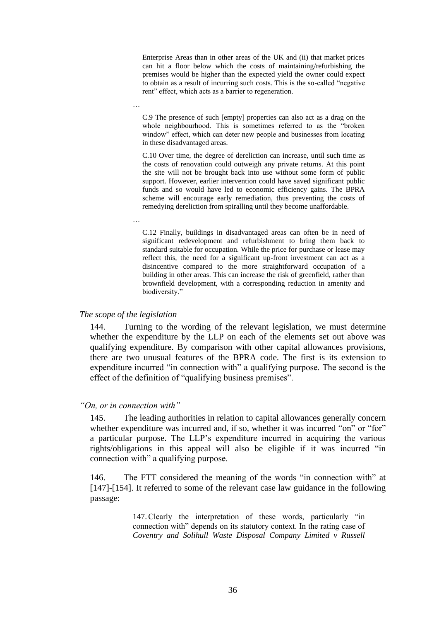Enterprise Areas than in other areas of the UK and (ii) that market prices can hit a floor below which the costs of maintaining/refurbishing the premises would be higher than the expected yield the owner could expect to obtain as a result of incurring such costs. This is the so-called "negative rent" effect, which acts as a barrier to regeneration.

C.9 The presence of such [empty] properties can also act as a drag on the whole neighbourhood. This is sometimes referred to as the "broken window" effect, which can deter new people and businesses from locating in these disadvantaged areas.

C.10 Over time, the degree of dereliction can increase, until such time as the costs of renovation could outweigh any private returns. At this point the site will not be brought back into use without some form of public support. However, earlier intervention could have saved significant public funds and so would have led to economic efficiency gains. The BPRA scheme will encourage early remediation, thus preventing the costs of remedying dereliction from spiralling until they become unaffordable.

C.12 Finally, buildings in disadvantaged areas can often be in need of significant redevelopment and refurbishment to bring them back to standard suitable for occupation. While the price for purchase or lease may reflect this, the need for a significant up-front investment can act as a disincentive compared to the more straightforward occupation of a building in other areas. This can increase the risk of greenfield, rather than brownfield development, with a corresponding reduction in amenity and biodiversity."

*The scope of the legislation*

…

…

144. Turning to the wording of the relevant legislation, we must determine whether the expenditure by the LLP on each of the elements set out above was qualifying expenditure. By comparison with other capital allowances provisions, there are two unusual features of the BPRA code. The first is its extension to expenditure incurred "in connection with" a qualifying purpose. The second is the effect of the definition of "qualifying business premises".

*"On, or in connection with"*

145. The leading authorities in relation to capital allowances generally concern whether expenditure was incurred and, if so, whether it was incurred "on" or "for" a particular purpose. The LLP's expenditure incurred in acquiring the various rights/obligations in this appeal will also be eligible if it was incurred "in connection with" a qualifying purpose.

146. The FTT considered the meaning of the words "in connection with" at [147]-[154]. It referred to some of the relevant case law guidance in the following passage:

> 147.Clearly the interpretation of these words, particularly "in connection with" depends on its statutory context. In the rating case of *Coventry and Solihull Waste Disposal Company Limited v Russell*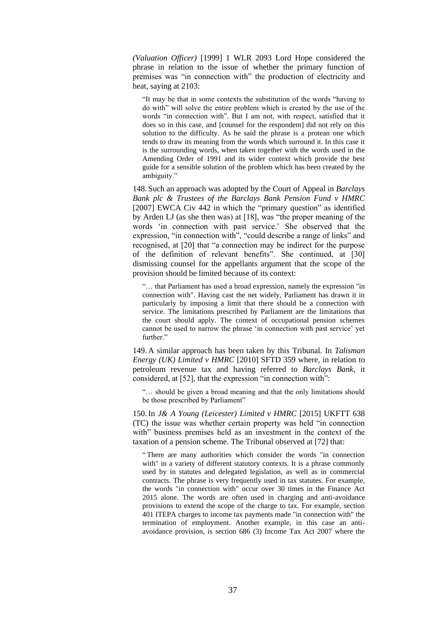*(Valuation Officer)* [\[1999\] 1 WLR 2093](http://www.bailii.org/cgi-bin/redirect.cgi?path=/uk/cases/UKHL/1999/49.html) Lord Hope considered the phrase in relation to the issue of whether the primary function of premises was "in connection with" the production of electricity and heat, saying at 2103:

"It may be that in some contexts the substitution of the words "having to do with" will solve the entire problem which is created by the use of the words "in connection with". But I am not, with respect, satisfied that it does so in this case, and [counsel for the respondent] did not rely on this solution to the difficulty. As he said the phrase is a protean one which tends to draw its meaning from the words which surround it. In this case it is the surrounding words, when taken together with the words used in the Amending Order of 1991 and its wider context which provide the best guide for a sensible solution of the problem which has been created by the ambiguity."

148. Such an approach was adopted by the Court of Appeal in *Barclays Bank plc & Trustees of the Barclays Bank Pension Fund v HMRC* [\[2007\] EWCA Civ 442](http://www.bailii.org/ew/cases/EWCA/Civ/2007/442.html) in which the "primary question" as identified by Arden LJ (as she then was) at [18], was "the proper meaning of the words 'in connection with past service.' She observed that the expression, "in connection with", "could describe a range of links" and recognised, at [20] that "a connection may be indirect for the purpose of the definition of relevant benefits". She continued, at [30] dismissing counsel for the appellants argument that the scope of the provision should be limited because of its context:

"… that Parliament has used a broad expression, namely the expression "in connection with". Having cast the net widely, Parliament has drawn it in particularly by imposing a limit that there should be a connection with service. The limitations prescribed by Parliament are the limitations that the court should apply. The context of occupational pension schemes cannot be used to narrow the phrase 'in connection with past service' yet further."

149. A similar approach has been taken by this Tribunal. In *Talisman Energy (UK) Limited v HMRC* [\[2010\] SFTD 359](http://www.bailii.org/uk/cases/UKFTT/TC/2009/TC00294.html) where, in relation to petroleum revenue tax and having referred to *Barclays Bank*, it considered, at [52], that the expression "in connection with":

"… should be given a broad meaning and that the only limitations should be those prescribed by Parliament"

150.In *J& A Young (Leicester) Limited v HMRC* [\[2015\] UKFTT 638](http://www.bailii.org/cgi-bin/redirect.cgi?path=/uk/cases/UKFTT/TC/2015/TC04771.html)  [\(TC\)](http://www.bailii.org/cgi-bin/redirect.cgi?path=/uk/cases/UKFTT/TC/2015/TC04771.html) the issue was whether certain property was held "in connection with" business premises held as an investment in the context of the taxation of a pension scheme. The Tribunal observed at [72] that:

" There are many authorities which consider the words "in connection with" in a variety of different statutory contexts. It is a phrase commonly used by in statutes and delegated legislation, as well as in commercial contracts. The phrase is very frequently used in tax statutes. For example, the words "in connection with" occur over 30 times in the Finance Act 2015 alone. The words are often used in charging and anti-avoidance provisions to extend the scope of the charge to tax. For example, section 401 ITEPA charges to income tax payments made "in connection with" the termination of employment. Another example, in this case an antiavoidance provision, is section 686 (3) Income Tax Act 2007 where the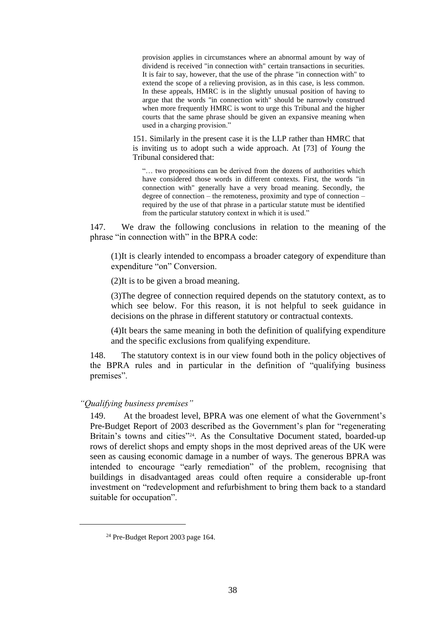provision applies in circumstances where an abnormal amount by way of dividend is received "in connection with" certain transactions in securities. It is fair to say, however, that the use of the phrase "in connection with" to extend the scope of a relieving provision, as in this case, is less common. In these appeals, HMRC is in the slightly unusual position of having to argue that the words "in connection with" should be narrowly construed when more frequently HMRC is wont to urge this Tribunal and the higher courts that the same phrase should be given an expansive meaning when used in a charging provision."

151. Similarly in the present case it is the LLP rather than HMRC that is inviting us to adopt such a wide approach. At [73] of *Young* the Tribunal considered that:

"… two propositions can be derived from the dozens of authorities which have considered those words in different contexts. First, the words "in connection with" generally have a very broad meaning. Secondly, the degree of connection – the remoteness, proximity and type of connection – required by the use of that phrase in a particular statute must be identified from the particular statutory context in which it is used."

147. We draw the following conclusions in relation to the meaning of the phrase "in connection with" in the BPRA code:

(1)It is clearly intended to encompass a broader category of expenditure than expenditure "on" Conversion.

(2)It is to be given a broad meaning.

(3)The degree of connection required depends on the statutory context, as to which see below. For this reason, it is not helpful to seek guidance in decisions on the phrase in different statutory or contractual contexts.

(4)It bears the same meaning in both the definition of qualifying expenditure and the specific exclusions from qualifying expenditure.

148. The statutory context is in our view found both in the policy objectives of the BPRA rules and in particular in the definition of "qualifying business premises".

## *"Qualifying business premises"*

149. At the broadest level, BPRA was one element of what the Government's Pre-Budget Report of 2003 described as the Government's plan for "regenerating Britain's towns and cities"<sup>24</sup>. As the Consultative Document stated, boarded-up rows of derelict shops and empty shops in the most deprived areas of the UK were seen as causing economic damage in a number of ways. The generous BPRA was intended to encourage "early remediation" of the problem, recognising that buildings in disadvantaged areas could often require a considerable up-front investment on "redevelopment and refurbishment to bring them back to a standard suitable for occupation".

<sup>24</sup> Pre-Budget Report 2003 page 164.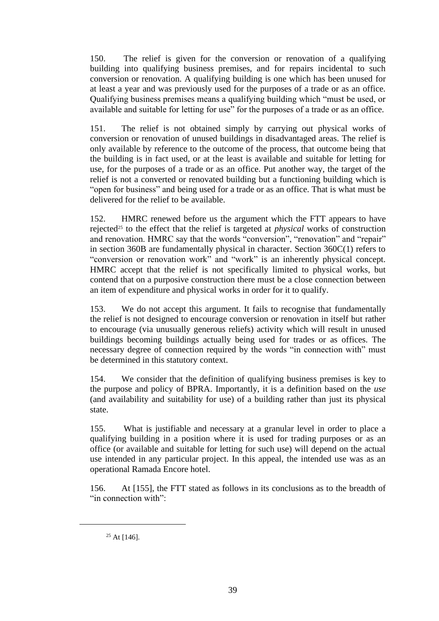150. The relief is given for the conversion or renovation of a qualifying building into qualifying business premises, and for repairs incidental to such conversion or renovation. A qualifying building is one which has been unused for at least a year and was previously used for the purposes of a trade or as an office. Qualifying business premises means a qualifying building which "must be used, or available and suitable for letting for use" for the purposes of a trade or as an office.

151. The relief is not obtained simply by carrying out physical works of conversion or renovation of unused buildings in disadvantaged areas. The relief is only available by reference to the outcome of the process, that outcome being that the building is in fact used, or at the least is available and suitable for letting for use, for the purposes of a trade or as an office. Put another way, the target of the relief is not a converted or renovated building but a functioning building which is "open for business" and being used for a trade or as an office. That is what must be delivered for the relief to be available.

152. HMRC renewed before us the argument which the FTT appears to have rejected<sup>25</sup> to the effect that the relief is targeted at *physical* works of construction and renovation. HMRC say that the words "conversion", "renovation" and "repair" in section 360B are fundamentally physical in character. Section 360C(1) refers to "conversion or renovation work" and "work" is an inherently physical concept. HMRC accept that the relief is not specifically limited to physical works, but contend that on a purposive construction there must be a close connection between an item of expenditure and physical works in order for it to qualify.

153. We do not accept this argument. It fails to recognise that fundamentally the relief is not designed to encourage conversion or renovation in itself but rather to encourage (via unusually generous reliefs) activity which will result in unused buildings becoming buildings actually being used for trades or as offices. The necessary degree of connection required by the words "in connection with" must be determined in this statutory context.

154. We consider that the definition of qualifying business premises is key to the purpose and policy of BPRA. Importantly, it is a definition based on the *use* (and availability and suitability for use) of a building rather than just its physical state.

155. What is justifiable and necessary at a granular level in order to place a qualifying building in a position where it is used for trading purposes or as an office (or available and suitable for letting for such use) will depend on the actual use intended in any particular project. In this appeal, the intended use was as an operational Ramada Encore hotel.

156. At [155], the FTT stated as follows in its conclusions as to the breadth of "in connection with":

 $25$  At [146].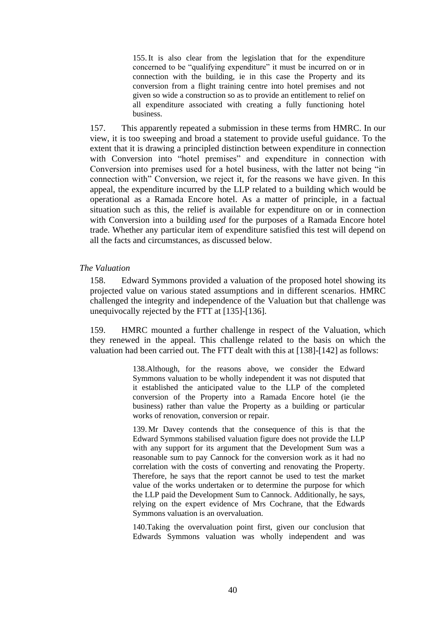155.It is also clear from the legislation that for the expenditure concerned to be "qualifying expenditure" it must be incurred on or in connection with the building, ie in this case the Property and its conversion from a flight training centre into hotel premises and not given so wide a construction so as to provide an entitlement to relief on all expenditure associated with creating a fully functioning hotel business.

157. This apparently repeated a submission in these terms from HMRC. In our view, it is too sweeping and broad a statement to provide useful guidance. To the extent that it is drawing a principled distinction between expenditure in connection with Conversion into "hotel premises" and expenditure in connection with Conversion into premises used for a hotel business, with the latter not being "in connection with" Conversion, we reject it, for the reasons we have given. In this appeal, the expenditure incurred by the LLP related to a building which would be operational as a Ramada Encore hotel. As a matter of principle, in a factual situation such as this, the relief is available for expenditure on or in connection with Conversion into a building *used* for the purposes of a Ramada Encore hotel trade. Whether any particular item of expenditure satisfied this test will depend on all the facts and circumstances, as discussed below.

### *The Valuation*

158. Edward Symmons provided a valuation of the proposed hotel showing its projected value on various stated assumptions and in different scenarios. HMRC challenged the integrity and independence of the Valuation but that challenge was unequivocally rejected by the FTT at [135]-[136].

159. HMRC mounted a further challenge in respect of the Valuation, which they renewed in the appeal. This challenge related to the basis on which the valuation had been carried out. The FTT dealt with this at [138]-[142] as follows:

> 138.Although, for the reasons above, we consider the Edward Symmons valuation to be wholly independent it was not disputed that it established the anticipated value to the LLP of the completed conversion of the Property into a Ramada Encore hotel (ie the business) rather than value the Property as a building or particular works of renovation, conversion or repair.

> 139. Mr Davey contends that the consequence of this is that the Edward Symmons stabilised valuation figure does not provide the LLP with any support for its argument that the Development Sum was a reasonable sum to pay Cannock for the conversion work as it had no correlation with the costs of converting and renovating the Property. Therefore, he says that the report cannot be used to test the market value of the works undertaken or to determine the purpose for which the LLP paid the Development Sum to Cannock. Additionally, he says, relying on the expert evidence of Mrs Cochrane, that the Edwards Symmons valuation is an overvaluation.

> 140.Taking the overvaluation point first, given our conclusion that Edwards Symmons valuation was wholly independent and was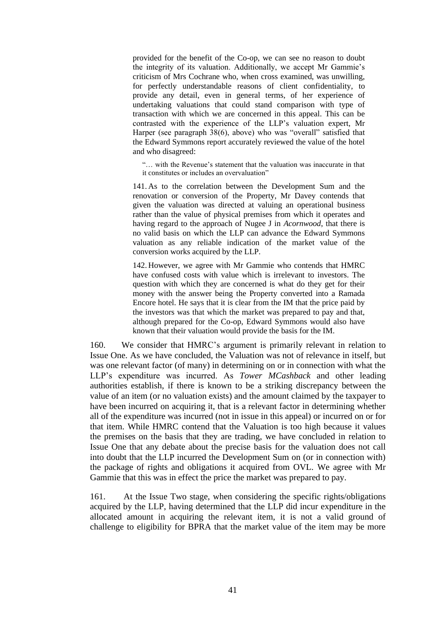provided for the benefit of the Co-op, we can see no reason to doubt the integrity of its valuation. Additionally, we accept Mr Gammie's criticism of Mrs Cochrane who, when cross examined, was unwilling, for perfectly understandable reasons of client confidentiality, to provide any detail, even in general terms, of her experience of undertaking valuations that could stand comparison with type of transaction with which we are concerned in this appeal. This can be contrasted with the experience of the LLP's valuation expert, Mr Harper (see paragraph 38(6), above) who was "overall" satisfied that the Edward Symmons report accurately reviewed the value of the hotel and who disagreed:

"… with the Revenue's statement that the valuation was inaccurate in that it constitutes or includes an overvaluation"

141. As to the correlation between the Development Sum and the renovation or conversion of the Property, Mr Davey contends that given the valuation was directed at valuing an operational business rather than the value of physical premises from which it operates and having regard to the approach of Nugee J in *Acornwood*, that there is no valid basis on which the LLP can advance the Edward Symmons valuation as any reliable indication of the market value of the conversion works acquired by the LLP.

142. However, we agree with Mr Gammie who contends that HMRC have confused costs with value which is irrelevant to investors. The question with which they are concerned is what do they get for their money with the answer being the Property converted into a Ramada Encore hotel. He says that it is clear from the IM that the price paid by the investors was that which the market was prepared to pay and that, although prepared for the Co-op, Edward Symmons would also have known that their valuation would provide the basis for the IM.

160. We consider that HMRC's argument is primarily relevant in relation to Issue One. As we have concluded, the Valuation was not of relevance in itself, but was one relevant factor (of many) in determining on or in connection with what the LLP's expenditure was incurred. As *Tower MCashback* and other leading authorities establish, if there is known to be a striking discrepancy between the value of an item (or no valuation exists) and the amount claimed by the taxpayer to have been incurred on acquiring it, that is a relevant factor in determining whether all of the expenditure was incurred (not in issue in this appeal) or incurred on or for that item. While HMRC contend that the Valuation is too high because it values the premises on the basis that they are trading, we have concluded in relation to Issue One that any debate about the precise basis for the valuation does not call into doubt that the LLP incurred the Development Sum on (or in connection with) the package of rights and obligations it acquired from OVL. We agree with Mr Gammie that this was in effect the price the market was prepared to pay.

161. At the Issue Two stage, when considering the specific rights/obligations acquired by the LLP, having determined that the LLP did incur expenditure in the allocated amount in acquiring the relevant item, it is not a valid ground of challenge to eligibility for BPRA that the market value of the item may be more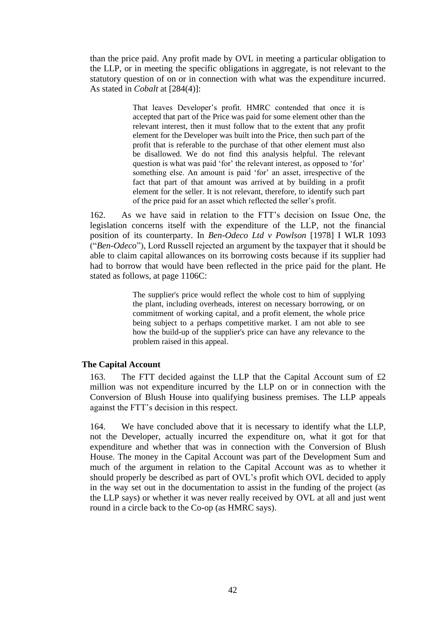than the price paid. Any profit made by OVL in meeting a particular obligation to the LLP, or in meeting the specific obligations in aggregate, is not relevant to the statutory question of on or in connection with what was the expenditure incurred. As stated in *Cobalt* at [284(4)]:

> That leaves Developer's profit. HMRC contended that once it is accepted that part of the Price was paid for some element other than the relevant interest, then it must follow that to the extent that any profit element for the Developer was built into the Price, then such part of the profit that is referable to the purchase of that other element must also be disallowed. We do not find this analysis helpful. The relevant question is what was paid 'for' the relevant interest, as opposed to 'for' something else. An amount is paid 'for' an asset, irrespective of the fact that part of that amount was arrived at by building in a profit element for the seller. It is not relevant, therefore, to identify such part of the price paid for an asset which reflected the seller's profit.

162. As we have said in relation to the FTT's decision on Issue One, the legislation concerns itself with the expenditure of the LLP, not the financial position of its counterparty. In *Ben-Odeco Ltd v Powlson* [1978] I WLR 1093 ("*Ben-Odeco*"), Lord Russell rejected an argument by the taxpayer that it should be able to claim capital allowances on its borrowing costs because if its supplier had had to borrow that would have been reflected in the price paid for the plant. He stated as follows, at page 1106C:

> The supplier's price would reflect the whole cost to him of supplying the plant, including overheads, interest on necessary borrowing, or on commitment of working capital, and a profit element, the whole price being subject to a perhaps competitive market. I am not able to see how the build-up of the supplier's price can have any relevance to the problem raised in this appeal.

### **The Capital Account**

163. The FTT decided against the LLP that the Capital Account sum of £2 million was not expenditure incurred by the LLP on or in connection with the Conversion of Blush House into qualifying business premises. The LLP appeals against the FTT's decision in this respect.

164. We have concluded above that it is necessary to identify what the LLP, not the Developer, actually incurred the expenditure on, what it got for that expenditure and whether that was in connection with the Conversion of Blush House. The money in the Capital Account was part of the Development Sum and much of the argument in relation to the Capital Account was as to whether it should properly be described as part of OVL's profit which OVL decided to apply in the way set out in the documentation to assist in the funding of the project (as the LLP says) or whether it was never really received by OVL at all and just went round in a circle back to the Co-op (as HMRC says).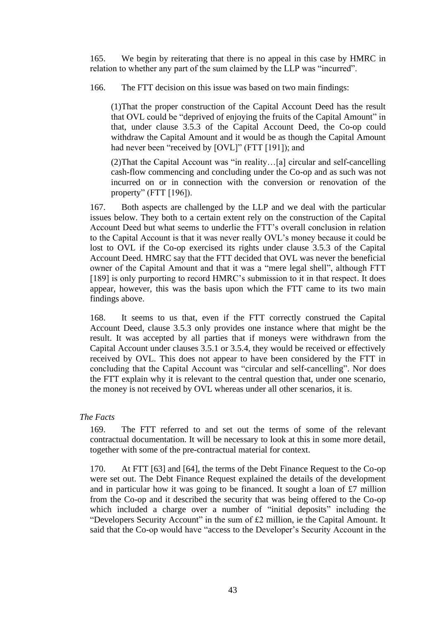165. We begin by reiterating that there is no appeal in this case by HMRC in relation to whether any part of the sum claimed by the LLP was "incurred".

166. The FTT decision on this issue was based on two main findings:

(1)That the proper construction of the Capital Account Deed has the result that OVL could be "deprived of enjoying the fruits of the Capital Amount" in that, under clause 3.5.3 of the Capital Account Deed, the Co-op could withdraw the Capital Amount and it would be as though the Capital Amount had never been "received by [OVL]" (FTT [191]); and

(2)That the Capital Account was "in reality…[a] circular and self-cancelling cash-flow commencing and concluding under the Co-op and as such was not incurred on or in connection with the conversion or renovation of the property" (FTT [196]).

167. Both aspects are challenged by the LLP and we deal with the particular issues below. They both to a certain extent rely on the construction of the Capital Account Deed but what seems to underlie the FTT's overall conclusion in relation to the Capital Account is that it was never really OVL's money because it could be lost to OVL if the Co-op exercised its rights under clause 3.5.3 of the Capital Account Deed. HMRC say that the FTT decided that OVL was never the beneficial owner of the Capital Amount and that it was a "mere legal shell", although FTT [189] is only purporting to record HMRC's submission to it in that respect. It does appear, however, this was the basis upon which the FTT came to its two main findings above.

168. It seems to us that, even if the FTT correctly construed the Capital Account Deed, clause 3.5.3 only provides one instance where that might be the result. It was accepted by all parties that if moneys were withdrawn from the Capital Account under clauses 3.5.1 or 3.5.4, they would be received or effectively received by OVL. This does not appear to have been considered by the FTT in concluding that the Capital Account was "circular and self-cancelling". Nor does the FTT explain why it is relevant to the central question that, under one scenario, the money is not received by OVL whereas under all other scenarios, it is.

## *The Facts*

169. The FTT referred to and set out the terms of some of the relevant contractual documentation. It will be necessary to look at this in some more detail, together with some of the pre-contractual material for context.

170. At FTT [63] and [64], the terms of the Debt Finance Request to the Co-op were set out. The Debt Finance Request explained the details of the development and in particular how it was going to be financed. It sought a loan of £7 million from the Co-op and it described the security that was being offered to the Co-op which included a charge over a number of "initial deposits" including the "Developers Security Account" in the sum of £2 million, ie the Capital Amount. It said that the Co-op would have "access to the Developer's Security Account in the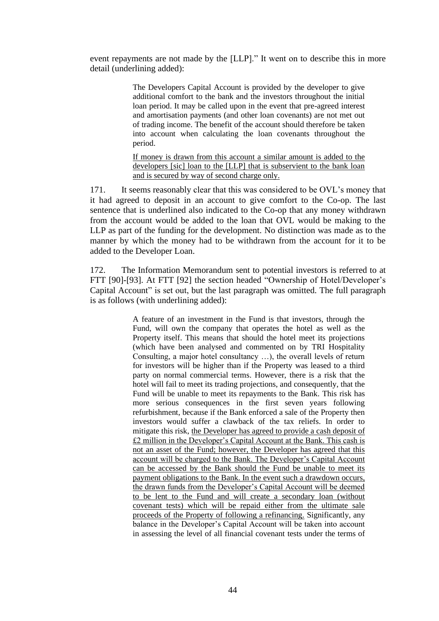event repayments are not made by the [LLP]." It went on to describe this in more detail (underlining added):

> The Developers Capital Account is provided by the developer to give additional comfort to the bank and the investors throughout the initial loan period. It may be called upon in the event that pre-agreed interest and amortisation payments (and other loan covenants) are not met out of trading income. The benefit of the account should therefore be taken into account when calculating the loan covenants throughout the period.

> If money is drawn from this account a similar amount is added to the developers [sic] loan to the [LLP] that is subservient to the bank loan and is secured by way of second charge only.

171. It seems reasonably clear that this was considered to be OVL's money that it had agreed to deposit in an account to give comfort to the Co-op. The last sentence that is underlined also indicated to the Co-op that any money withdrawn from the account would be added to the loan that OVL would be making to the LLP as part of the funding for the development. No distinction was made as to the manner by which the money had to be withdrawn from the account for it to be added to the Developer Loan.

172. The Information Memorandum sent to potential investors is referred to at FTT [90]-[93]. At FTT [92] the section headed "Ownership of Hotel/Developer's Capital Account" is set out, but the last paragraph was omitted. The full paragraph is as follows (with underlining added):

> A feature of an investment in the Fund is that investors, through the Fund, will own the company that operates the hotel as well as the Property itself. This means that should the hotel meet its projections (which have been analysed and commented on by TRI Hospitality Consulting, a major hotel consultancy …), the overall levels of return for investors will be higher than if the Property was leased to a third party on normal commercial terms. However, there is a risk that the hotel will fail to meet its trading projections, and consequently, that the Fund will be unable to meet its repayments to the Bank. This risk has more serious consequences in the first seven years following refurbishment, because if the Bank enforced a sale of the Property then investors would suffer a clawback of the tax reliefs. In order to mitigate this risk, the Developer has agreed to provide a cash deposit of £2 million in the Developer's Capital Account at the Bank. This cash is not an asset of the Fund; however, the Developer has agreed that this account will be charged to the Bank. The Developer's Capital Account can be accessed by the Bank should the Fund be unable to meet its payment obligations to the Bank. In the event such a drawdown occurs, the drawn funds from the Developer's Capital Account will be deemed to be lent to the Fund and will create a secondary loan (without covenant tests) which will be repaid either from the ultimate sale proceeds of the Property of following a refinancing. Significantly, any balance in the Developer's Capital Account will be taken into account in assessing the level of all financial covenant tests under the terms of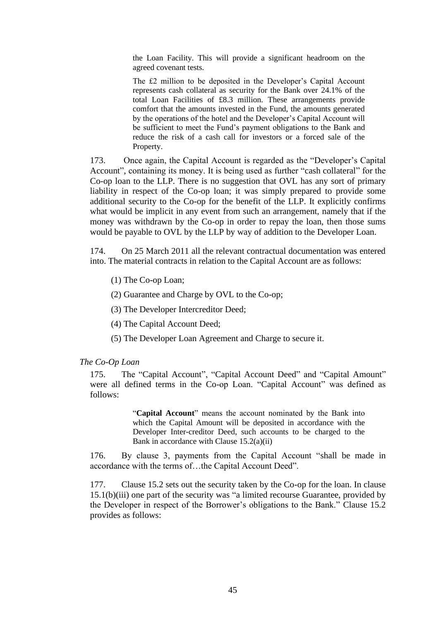the Loan Facility. This will provide a significant headroom on the agreed covenant tests.

The £2 million to be deposited in the Developer's Capital Account represents cash collateral as security for the Bank over 24.1% of the total Loan Facilities of £8.3 million. These arrangements provide comfort that the amounts invested in the Fund, the amounts generated by the operations of the hotel and the Developer's Capital Account will be sufficient to meet the Fund's payment obligations to the Bank and reduce the risk of a cash call for investors or a forced sale of the Property.

173. Once again, the Capital Account is regarded as the "Developer's Capital Account", containing its money. It is being used as further "cash collateral" for the Co-op loan to the LLP. There is no suggestion that OVL has any sort of primary liability in respect of the Co-op loan; it was simply prepared to provide some additional security to the Co-op for the benefit of the LLP. It explicitly confirms what would be implicit in any event from such an arrangement, namely that if the money was withdrawn by the Co-op in order to repay the loan, then those sums would be payable to OVL by the LLP by way of addition to the Developer Loan.

174. On 25 March 2011 all the relevant contractual documentation was entered into. The material contracts in relation to the Capital Account are as follows:

(1) The Co-op Loan;

(2) Guarantee and Charge by OVL to the Co-op;

(3) The Developer Intercreditor Deed;

(4) The Capital Account Deed;

(5) The Developer Loan Agreement and Charge to secure it.

### *The Co-Op Loan*

175. The "Capital Account", "Capital Account Deed" and "Capital Amount" were all defined terms in the Co-op Loan. "Capital Account" was defined as follows:

> "**Capital Account**" means the account nominated by the Bank into which the Capital Amount will be deposited in accordance with the Developer Inter-creditor Deed, such accounts to be charged to the Bank in accordance with Clause 15.2(a)(ii)

176. By clause 3, payments from the Capital Account "shall be made in accordance with the terms of…the Capital Account Deed".

177. Clause 15.2 sets out the security taken by the Co-op for the loan. In clause 15.1(b)(iii) one part of the security was "a limited recourse Guarantee, provided by the Developer in respect of the Borrower's obligations to the Bank." Clause 15.2 provides as follows: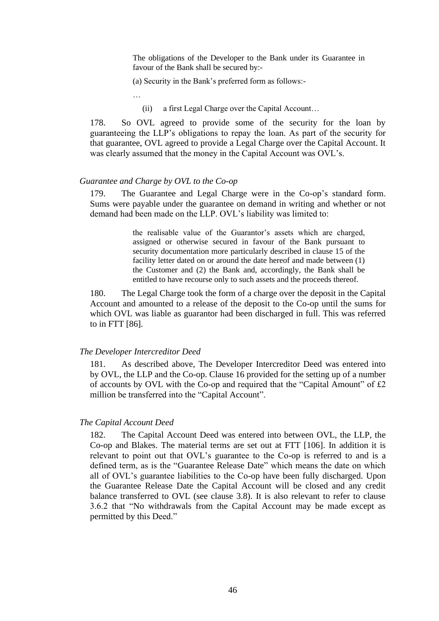The obligations of the Developer to the Bank under its Guarantee in favour of the Bank shall be secured by:-

(a) Security in the Bank's preferred form as follows:-

…

(ii) a first Legal Charge over the Capital Account…

178. So OVL agreed to provide some of the security for the loan by guaranteeing the LLP's obligations to repay the loan. As part of the security for that guarantee, OVL agreed to provide a Legal Charge over the Capital Account. It was clearly assumed that the money in the Capital Account was OVL's.

## *Guarantee and Charge by OVL to the Co-op*

179. The Guarantee and Legal Charge were in the Co-op's standard form. Sums were payable under the guarantee on demand in writing and whether or not demand had been made on the LLP. OVL's liability was limited to:

> the realisable value of the Guarantor's assets which are charged, assigned or otherwise secured in favour of the Bank pursuant to security documentation more particularly described in clause 15 of the facility letter dated on or around the date hereof and made between (1) the Customer and (2) the Bank and, accordingly, the Bank shall be entitled to have recourse only to such assets and the proceeds thereof.

180. The Legal Charge took the form of a charge over the deposit in the Capital Account and amounted to a release of the deposit to the Co-op until the sums for which OVL was liable as guarantor had been discharged in full. This was referred to in FTT [86].

#### *The Developer Intercreditor Deed*

181. As described above, The Developer Intercreditor Deed was entered into by OVL, the LLP and the Co-op. Clause 16 provided for the setting up of a number of accounts by OVL with the Co-op and required that the "Capital Amount" of £2 million be transferred into the "Capital Account".

### *The Capital Account Deed*

182. The Capital Account Deed was entered into between OVL, the LLP, the Co-op and Blakes. The material terms are set out at FTT [106]. In addition it is relevant to point out that OVL's guarantee to the Co-op is referred to and is a defined term, as is the "Guarantee Release Date" which means the date on which all of OVL's guarantee liabilities to the Co-op have been fully discharged. Upon the Guarantee Release Date the Capital Account will be closed and any credit balance transferred to OVL (see clause 3.8). It is also relevant to refer to clause 3.6.2 that "No withdrawals from the Capital Account may be made except as permitted by this Deed."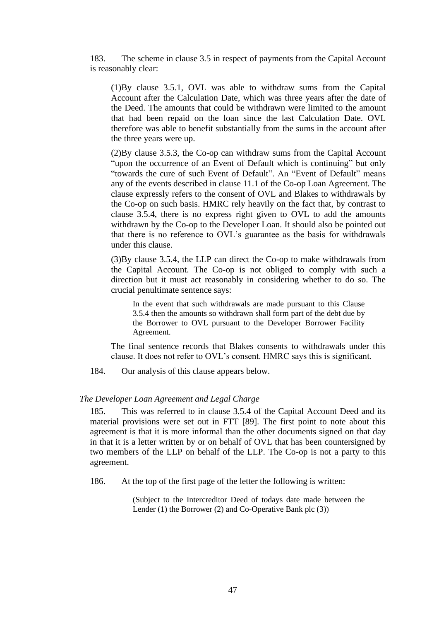183. The scheme in clause 3.5 in respect of payments from the Capital Account is reasonably clear:

(1)By clause 3.5.1, OVL was able to withdraw sums from the Capital Account after the Calculation Date, which was three years after the date of the Deed. The amounts that could be withdrawn were limited to the amount that had been repaid on the loan since the last Calculation Date. OVL therefore was able to benefit substantially from the sums in the account after the three years were up.

(2)By clause 3.5.3, the Co-op can withdraw sums from the Capital Account "upon the occurrence of an Event of Default which is continuing" but only "towards the cure of such Event of Default". An "Event of Default" means any of the events described in clause 11.1 of the Co-op Loan Agreement. The clause expressly refers to the consent of OVL and Blakes to withdrawals by the Co-op on such basis. HMRC rely heavily on the fact that, by contrast to clause 3.5.4, there is no express right given to OVL to add the amounts withdrawn by the Co-op to the Developer Loan. It should also be pointed out that there is no reference to OVL's guarantee as the basis for withdrawals under this clause.

(3)By clause 3.5.4, the LLP can direct the Co-op to make withdrawals from the Capital Account. The Co-op is not obliged to comply with such a direction but it must act reasonably in considering whether to do so. The crucial penultimate sentence says:

In the event that such withdrawals are made pursuant to this Clause 3.5.4 then the amounts so withdrawn shall form part of the debt due by the Borrower to OVL pursuant to the Developer Borrower Facility Agreement.

The final sentence records that Blakes consents to withdrawals under this clause. It does not refer to OVL's consent. HMRC says this is significant.

184. Our analysis of this clause appears below.

#### *The Developer Loan Agreement and Legal Charge*

185. This was referred to in clause 3.5.4 of the Capital Account Deed and its material provisions were set out in FTT [89]. The first point to note about this agreement is that it is more informal than the other documents signed on that day in that it is a letter written by or on behalf of OVL that has been countersigned by two members of the LLP on behalf of the LLP. The Co-op is not a party to this agreement.

186. At the top of the first page of the letter the following is written:

(Subject to the Intercreditor Deed of todays date made between the Lender (1) the Borrower (2) and Co-Operative Bank plc (3))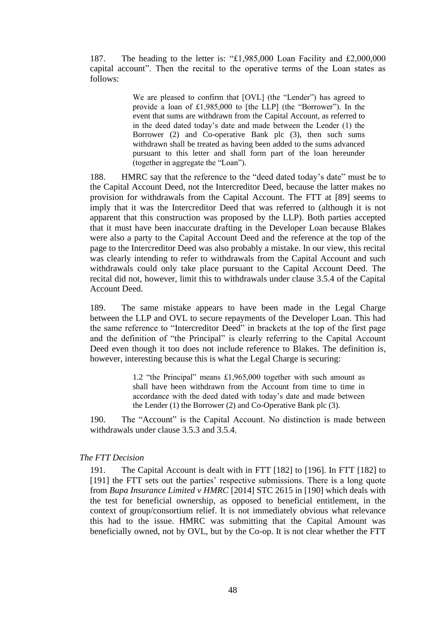187. The heading to the letter is: "£1,985,000 Loan Facility and £2,000,000 capital account". Then the recital to the operative terms of the Loan states as follows:

> We are pleased to confirm that [OVL] (the "Lender") has agreed to provide a loan of £1,985,000 to [the LLP] (the "Borrower"). In the event that sums are withdrawn from the Capital Account, as referred to in the deed dated today's date and made between the Lender (1) the Borrower (2) and Co-operative Bank plc (3), then such sums withdrawn shall be treated as having been added to the sums advanced pursuant to this letter and shall form part of the loan hereunder (together in aggregate the "Loan").

188. HMRC say that the reference to the "deed dated today's date" must be to the Capital Account Deed, not the Intercreditor Deed, because the latter makes no provision for withdrawals from the Capital Account. The FTT at [89] seems to imply that it was the Intercreditor Deed that was referred to (although it is not apparent that this construction was proposed by the LLP). Both parties accepted that it must have been inaccurate drafting in the Developer Loan because Blakes were also a party to the Capital Account Deed and the reference at the top of the page to the Intercreditor Deed was also probably a mistake. In our view, this recital was clearly intending to refer to withdrawals from the Capital Account and such withdrawals could only take place pursuant to the Capital Account Deed. The recital did not, however, limit this to withdrawals under clause 3.5.4 of the Capital Account Deed.

189. The same mistake appears to have been made in the Legal Charge between the LLP and OVL to secure repayments of the Developer Loan. This had the same reference to "Intercreditor Deed" in brackets at the top of the first page and the definition of "the Principal" is clearly referring to the Capital Account Deed even though it too does not include reference to Blakes. The definition is, however, interesting because this is what the Legal Charge is securing:

> 1.2 "the Principal" means £1,965,000 together with such amount as shall have been withdrawn from the Account from time to time in accordance with the deed dated with today's date and made between the Lender (1) the Borrower (2) and Co-Operative Bank plc (3).

190. The "Account" is the Capital Account. No distinction is made between withdrawals under clause 3.5.3 and 3.5.4.

### *The FTT Decision*

191. The Capital Account is dealt with in FTT [182] to [196]. In FTT [182] to [191] the FTT sets out the parties' respective submissions. There is a long quote from *Bupa Insurance Limited v HMRC* [2014] STC 2615 in [190] which deals with the test for beneficial ownership, as opposed to beneficial entitlement, in the context of group/consortium relief. It is not immediately obvious what relevance this had to the issue. HMRC was submitting that the Capital Amount was beneficially owned, not by OVL, but by the Co-op. It is not clear whether the FTT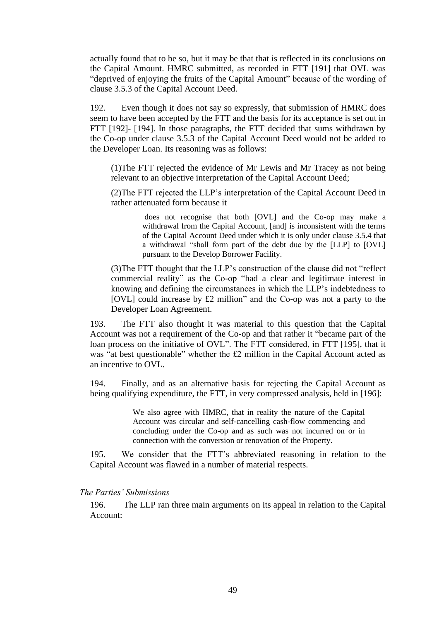actually found that to be so, but it may be that that is reflected in its conclusions on the Capital Amount. HMRC submitted, as recorded in FTT [191] that OVL was "deprived of enjoying the fruits of the Capital Amount" because of the wording of clause 3.5.3 of the Capital Account Deed.

192. Even though it does not say so expressly, that submission of HMRC does seem to have been accepted by the FTT and the basis for its acceptance is set out in FTT [192]- [194]. In those paragraphs, the FTT decided that sums withdrawn by the Co-op under clause 3.5.3 of the Capital Account Deed would not be added to the Developer Loan. Its reasoning was as follows:

(1)The FTT rejected the evidence of Mr Lewis and Mr Tracey as not being relevant to an objective interpretation of the Capital Account Deed;

(2)The FTT rejected the LLP's interpretation of the Capital Account Deed in rather attenuated form because it

> does not recognise that both [OVL] and the Co-op may make a withdrawal from the Capital Account, [and] is inconsistent with the terms of the Capital Account Deed under which it is only under clause 3.5.4 that a withdrawal "shall form part of the debt due by the [LLP] to [OVL] pursuant to the Develop Borrower Facility.

(3)The FTT thought that the LLP's construction of the clause did not "reflect commercial reality" as the Co-op "had a clear and legitimate interest in knowing and defining the circumstances in which the LLP's indebtedness to [OVL] could increase by £2 million" and the Co-op was not a party to the Developer Loan Agreement.

193. The FTT also thought it was material to this question that the Capital Account was not a requirement of the Co-op and that rather it "became part of the loan process on the initiative of OVL". The FTT considered, in FTT [195], that it was "at best questionable" whether the £2 million in the Capital Account acted as an incentive to OVL.

194. Finally, and as an alternative basis for rejecting the Capital Account as being qualifying expenditure, the FTT, in very compressed analysis, held in [196]:

> We also agree with HMRC, that in reality the nature of the Capital Account was circular and self-cancelling cash-flow commencing and concluding under the Co-op and as such was not incurred on or in connection with the conversion or renovation of the Property.

195. We consider that the FTT's abbreviated reasoning in relation to the Capital Account was flawed in a number of material respects.

## *The Parties' Submissions*

196. The LLP ran three main arguments on its appeal in relation to the Capital Account: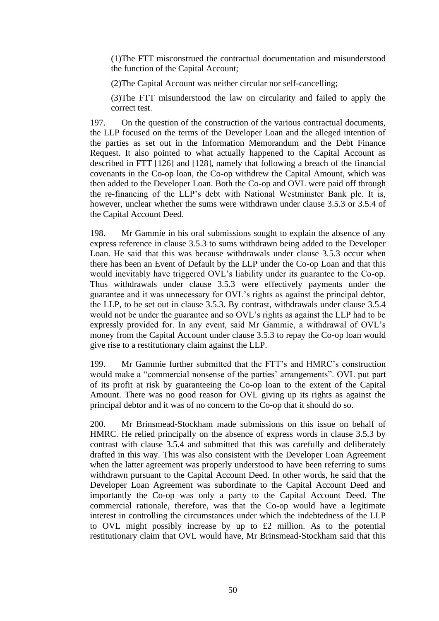(1)The FTT misconstrued the contractual documentation and misunderstood the function of the Capital Account;

(2)The Capital Account was neither circular nor self-cancelling;

(3)The FTT misunderstood the law on circularity and failed to apply the correct test.

197. On the question of the construction of the various contractual documents, the LLP focused on the terms of the Developer Loan and the alleged intention of the parties as set out in the Information Memorandum and the Debt Finance Request. It also pointed to what actually happened to the Capital Account as described in FTT [126] and [128], namely that following a breach of the financial covenants in the Co-op loan, the Co-op withdrew the Capital Amount, which was then added to the Developer Loan. Both the Co-op and OVL were paid off through the re-financing of the LLP's debt with National Westminster Bank plc. It is, however, unclear whether the sums were withdrawn under clause 3.5.3 or 3.5.4 of the Capital Account Deed.

198. Mr Gammie in his oral submissions sought to explain the absence of any express reference in clause 3.5.3 to sums withdrawn being added to the Developer Loan. He said that this was because withdrawals under clause 3.5.3 occur when there has been an Event of Default by the LLP under the Co-op Loan and that this would inevitably have triggered OVL's liability under its guarantee to the Co-op. Thus withdrawals under clause 3.5.3 were effectively payments under the guarantee and it was unnecessary for OVL's rights as against the principal debtor, the LLP, to be set out in clause 3.5.3. By contrast, withdrawals under clause 3.5.4 would not be under the guarantee and so OVL's rights as against the LLP had to be expressly provided for. In any event, said Mr Gammie, a withdrawal of OVL's money from the Capital Account under clause 3.5.3 to repay the Co-op loan would give rise to a restitutionary claim against the LLP.

199. Mr Gammie further submitted that the FTT's and HMRC's construction would make a "commercial nonsense of the parties' arrangements". OVL put part of its profit at risk by guaranteeing the Co-op loan to the extent of the Capital Amount. There was no good reason for OVL giving up its rights as against the principal debtor and it was of no concern to the Co-op that it should do so.

200. Mr Brinsmead-Stockham made submissions on this issue on behalf of HMRC. He relied principally on the absence of express words in clause 3.5.3 by contrast with clause 3.5.4 and submitted that this was carefully and deliberately drafted in this way. This was also consistent with the Developer Loan Agreement when the latter agreement was properly understood to have been referring to sums withdrawn pursuant to the Capital Account Deed. In other words, he said that the Developer Loan Agreement was subordinate to the Capital Account Deed and importantly the Co-op was only a party to the Capital Account Deed. The commercial rationale, therefore, was that the Co-op would have a legitimate interest in controlling the circumstances under which the indebtedness of the LLP to OVL might possibly increase by up to £2 million. As to the potential restitutionary claim that OVL would have, Mr Brinsmead-Stockham said that this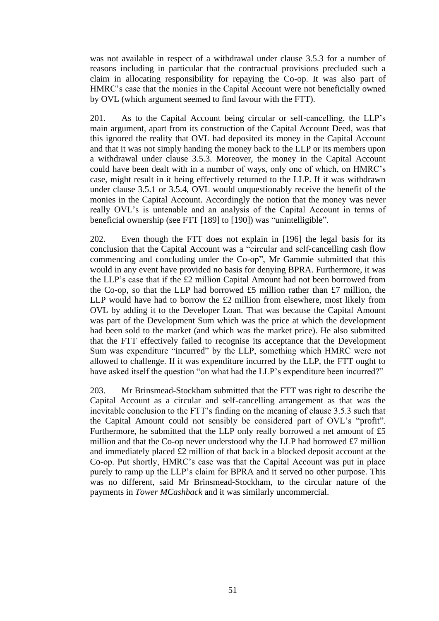was not available in respect of a withdrawal under clause 3.5.3 for a number of reasons including in particular that the contractual provisions precluded such a claim in allocating responsibility for repaying the Co-op. It was also part of HMRC's case that the monies in the Capital Account were not beneficially owned by OVL (which argument seemed to find favour with the FTT).

201. As to the Capital Account being circular or self-cancelling, the LLP's main argument, apart from its construction of the Capital Account Deed, was that this ignored the reality that OVL had deposited its money in the Capital Account and that it was not simply handing the money back to the LLP or its members upon a withdrawal under clause 3.5.3. Moreover, the money in the Capital Account could have been dealt with in a number of ways, only one of which, on HMRC's case, might result in it being effectively returned to the LLP. If it was withdrawn under clause 3.5.1 or 3.5.4, OVL would unquestionably receive the benefit of the monies in the Capital Account. Accordingly the notion that the money was never really OVL's is untenable and an analysis of the Capital Account in terms of beneficial ownership (see FTT [189] to [190]) was "unintelligible".

202. Even though the FTT does not explain in [196] the legal basis for its conclusion that the Capital Account was a "circular and self-cancelling cash flow commencing and concluding under the Co-op", Mr Gammie submitted that this would in any event have provided no basis for denying BPRA. Furthermore, it was the LLP's case that if the £2 million Capital Amount had not been borrowed from the Co-op, so that the LLP had borrowed £5 million rather than £7 million, the LLP would have had to borrow the £2 million from elsewhere, most likely from OVL by adding it to the Developer Loan. That was because the Capital Amount was part of the Development Sum which was the price at which the development had been sold to the market (and which was the market price). He also submitted that the FTT effectively failed to recognise its acceptance that the Development Sum was expenditure "incurred" by the LLP, something which HMRC were not allowed to challenge. If it was expenditure incurred by the LLP, the FTT ought to have asked itself the question "on what had the LLP's expenditure been incurred?"

203. Mr Brinsmead-Stockham submitted that the FTT was right to describe the Capital Account as a circular and self-cancelling arrangement as that was the inevitable conclusion to the FTT's finding on the meaning of clause 3.5.3 such that the Capital Amount could not sensibly be considered part of OVL's "profit". Furthermore, he submitted that the LLP only really borrowed a net amount of £5 million and that the Co-op never understood why the LLP had borrowed £7 million and immediately placed £2 million of that back in a blocked deposit account at the Co-op. Put shortly, HMRC's case was that the Capital Account was put in place purely to ramp up the LLP's claim for BPRA and it served no other purpose. This was no different, said Mr Brinsmead-Stockham, to the circular nature of the payments in *Tower MCashback* and it was similarly uncommercial.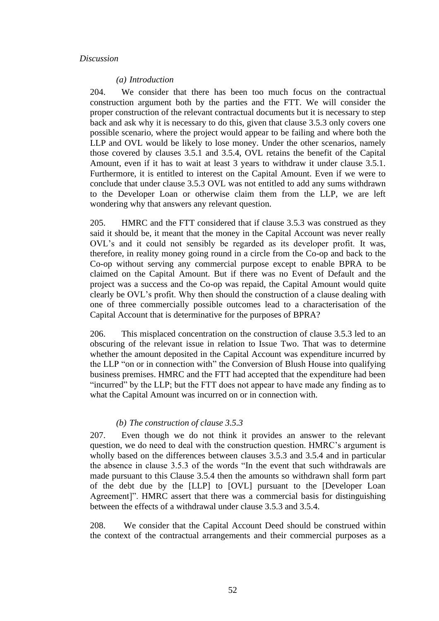### *Discussion*

#### *(a) Introduction*

204. We consider that there has been too much focus on the contractual construction argument both by the parties and the FTT. We will consider the proper construction of the relevant contractual documents but it is necessary to step back and ask why it is necessary to do this, given that clause 3.5.3 only covers one possible scenario, where the project would appear to be failing and where both the LLP and OVL would be likely to lose money. Under the other scenarios, namely those covered by clauses 3.5.1 and 3.5.4, OVL retains the benefit of the Capital Amount, even if it has to wait at least 3 years to withdraw it under clause 3.5.1. Furthermore, it is entitled to interest on the Capital Amount. Even if we were to conclude that under clause 3.5.3 OVL was not entitled to add any sums withdrawn to the Developer Loan or otherwise claim them from the LLP, we are left wondering why that answers any relevant question.

205. HMRC and the FTT considered that if clause 3.5.3 was construed as they said it should be, it meant that the money in the Capital Account was never really OVL's and it could not sensibly be regarded as its developer profit. It was, therefore, in reality money going round in a circle from the Co-op and back to the Co-op without serving any commercial purpose except to enable BPRA to be claimed on the Capital Amount. But if there was no Event of Default and the project was a success and the Co-op was repaid, the Capital Amount would quite clearly be OVL's profit. Why then should the construction of a clause dealing with one of three commercially possible outcomes lead to a characterisation of the Capital Account that is determinative for the purposes of BPRA?

206. This misplaced concentration on the construction of clause 3.5.3 led to an obscuring of the relevant issue in relation to Issue Two. That was to determine whether the amount deposited in the Capital Account was expenditure incurred by the LLP "on or in connection with" the Conversion of Blush House into qualifying business premises. HMRC and the FTT had accepted that the expenditure had been "incurred" by the LLP; but the FTT does not appear to have made any finding as to what the Capital Amount was incurred on or in connection with.

### *(b) The construction of clause 3.5.3*

207. Even though we do not think it provides an answer to the relevant question, we do need to deal with the construction question. HMRC's argument is wholly based on the differences between clauses 3.5.3 and 3.5.4 and in particular the absence in clause 3.5.3 of the words "In the event that such withdrawals are made pursuant to this Clause 3.5.4 then the amounts so withdrawn shall form part of the debt due by the [LLP] to [OVL] pursuant to the [Developer Loan Agreement]". HMRC assert that there was a commercial basis for distinguishing between the effects of a withdrawal under clause 3.5.3 and 3.5.4.

208. We consider that the Capital Account Deed should be construed within the context of the contractual arrangements and their commercial purposes as a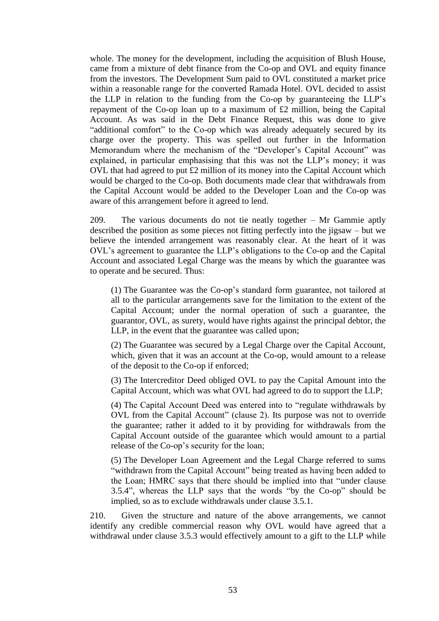whole. The money for the development, including the acquisition of Blush House, came from a mixture of debt finance from the Co-op and OVL and equity finance from the investors. The Development Sum paid to OVL constituted a market price within a reasonable range for the converted Ramada Hotel. OVL decided to assist the LLP in relation to the funding from the Co-op by guaranteeing the LLP's repayment of the Co-op loan up to a maximum of £2 million, being the Capital Account. As was said in the Debt Finance Request, this was done to give "additional comfort" to the Co-op which was already adequately secured by its charge over the property. This was spelled out further in the Information Memorandum where the mechanism of the "Developer's Capital Account" was explained, in particular emphasising that this was not the LLP's money; it was OVL that had agreed to put £2 million of its money into the Capital Account which would be charged to the Co-op. Both documents made clear that withdrawals from the Capital Account would be added to the Developer Loan and the Co-op was aware of this arrangement before it agreed to lend.

209. The various documents do not tie neatly together – Mr Gammie aptly described the position as some pieces not fitting perfectly into the jigsaw – but we believe the intended arrangement was reasonably clear. At the heart of it was OVL's agreement to guarantee the LLP's obligations to the Co-op and the Capital Account and associated Legal Charge was the means by which the guarantee was to operate and be secured. Thus:

(1) The Guarantee was the Co-op's standard form guarantee, not tailored at all to the particular arrangements save for the limitation to the extent of the Capital Account; under the normal operation of such a guarantee, the guarantor, OVL, as surety, would have rights against the principal debtor, the LLP, in the event that the guarantee was called upon;

(2) The Guarantee was secured by a Legal Charge over the Capital Account, which, given that it was an account at the Co-op, would amount to a release of the deposit to the Co-op if enforced;

(3) The Intercreditor Deed obliged OVL to pay the Capital Amount into the Capital Account, which was what OVL had agreed to do to support the LLP;

(4) The Capital Account Deed was entered into to "regulate withdrawals by OVL from the Capital Account" (clause 2). Its purpose was not to override the guarantee; rather it added to it by providing for withdrawals from the Capital Account outside of the guarantee which would amount to a partial release of the Co-op's security for the loan;

(5) The Developer Loan Agreement and the Legal Charge referred to sums "withdrawn from the Capital Account" being treated as having been added to the Loan; HMRC says that there should be implied into that "under clause 3.5.4", whereas the LLP says that the words "by the Co-op" should be implied, so as to exclude withdrawals under clause 3.5.1.

210. Given the structure and nature of the above arrangements, we cannot identify any credible commercial reason why OVL would have agreed that a withdrawal under clause 3.5.3 would effectively amount to a gift to the LLP while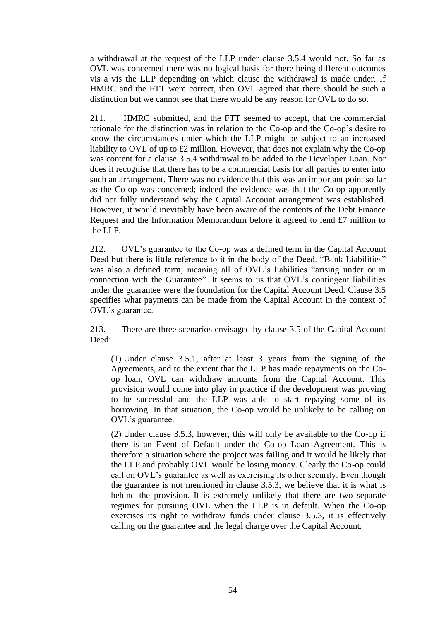a withdrawal at the request of the LLP under clause 3.5.4 would not. So far as OVL was concerned there was no logical basis for there being different outcomes vis a vis the LLP depending on which clause the withdrawal is made under. If HMRC and the FTT were correct, then OVL agreed that there should be such a distinction but we cannot see that there would be any reason for OVL to do so.

211. HMRC submitted, and the FTT seemed to accept, that the commercial rationale for the distinction was in relation to the Co-op and the Co-op's desire to know the circumstances under which the LLP might be subject to an increased liability to OVL of up to £2 million. However, that does not explain why the Co-op was content for a clause 3.5.4 withdrawal to be added to the Developer Loan. Nor does it recognise that there has to be a commercial basis for all parties to enter into such an arrangement. There was no evidence that this was an important point so far as the Co-op was concerned; indeed the evidence was that the Co-op apparently did not fully understand why the Capital Account arrangement was established. However, it would inevitably have been aware of the contents of the Debt Finance Request and the Information Memorandum before it agreed to lend £7 million to the LLP.

212. OVL's guarantee to the Co-op was a defined term in the Capital Account Deed but there is little reference to it in the body of the Deed. "Bank Liabilities" was also a defined term, meaning all of OVL's liabilities "arising under or in connection with the Guarantee". It seems to us that OVL's contingent liabilities under the guarantee were the foundation for the Capital Account Deed. Clause 3.5 specifies what payments can be made from the Capital Account in the context of OVL's guarantee.

213. There are three scenarios envisaged by clause 3.5 of the Capital Account Deed:

(1) Under clause 3.5.1, after at least 3 years from the signing of the Agreements, and to the extent that the LLP has made repayments on the Coop loan, OVL can withdraw amounts from the Capital Account. This provision would come into play in practice if the development was proving to be successful and the LLP was able to start repaying some of its borrowing. In that situation, the Co-op would be unlikely to be calling on OVL's guarantee.

(2) Under clause 3.5.3, however, this will only be available to the Co-op if there is an Event of Default under the Co-op Loan Agreement. This is therefore a situation where the project was failing and it would be likely that the LLP and probably OVL would be losing money. Clearly the Co-op could call on OVL's guarantee as well as exercising its other security. Even though the guarantee is not mentioned in clause 3.5.3, we believe that it is what is behind the provision. It is extremely unlikely that there are two separate regimes for pursuing OVL when the LLP is in default. When the Co-op exercises its right to withdraw funds under clause 3.5.3, it is effectively calling on the guarantee and the legal charge over the Capital Account.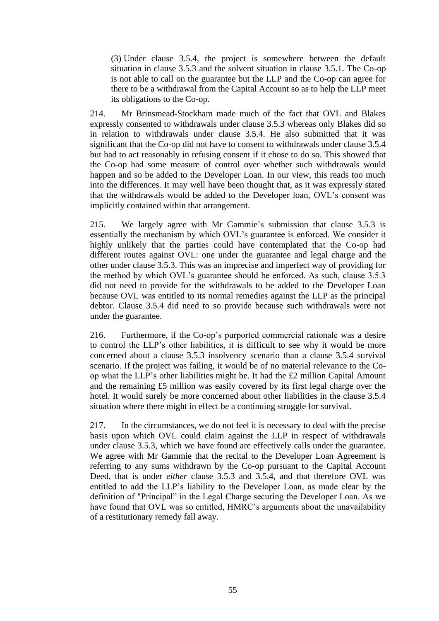(3) Under clause 3.5.4, the project is somewhere between the default situation in clause 3.5.3 and the solvent situation in clause 3.5.1. The Co-op is not able to call on the guarantee but the LLP and the Co-op can agree for there to be a withdrawal from the Capital Account so as to help the LLP meet its obligations to the Co-op.

214. Mr Brinsmead-Stockham made much of the fact that OVL and Blakes expressly consented to withdrawals under clause 3.5.3 whereas only Blakes did so in relation to withdrawals under clause 3.5.4. He also submitted that it was significant that the Co-op did not have to consent to withdrawals under clause 3.5.4 but had to act reasonably in refusing consent if it chose to do so. This showed that the Co-op had some measure of control over whether such withdrawals would happen and so be added to the Developer Loan. In our view, this reads too much into the differences. It may well have been thought that, as it was expressly stated that the withdrawals would be added to the Developer loan, OVL's consent was implicitly contained within that arrangement.

215. We largely agree with Mr Gammie's submission that clause 3.5.3 is essentially the mechanism by which OVL's guarantee is enforced. We consider it highly unlikely that the parties could have contemplated that the Co-op had different routes against OVL: one under the guarantee and legal charge and the other under clause 3.5.3. This was an imprecise and imperfect way of providing for the method by which OVL's guarantee should be enforced. As such, clause 3.5.3 did not need to provide for the withdrawals to be added to the Developer Loan because OVL was entitled to its normal remedies against the LLP as the principal debtor. Clause 3.5.4 did need to so provide because such withdrawals were not under the guarantee.

216. Furthermore, if the Co-op's purported commercial rationale was a desire to control the LLP's other liabilities, it is difficult to see why it would be more concerned about a clause 3.5.3 insolvency scenario than a clause 3.5.4 survival scenario. If the project was failing, it would be of no material relevance to the Coop what the LLP's other liabilities might be. It had the £2 million Capital Amount and the remaining £5 million was easily covered by its first legal charge over the hotel. It would surely be more concerned about other liabilities in the clause 3.5.4 situation where there might in effect be a continuing struggle for survival.

217. In the circumstances, we do not feel it is necessary to deal with the precise basis upon which OVL could claim against the LLP in respect of withdrawals under clause 3.5.3, which we have found are effectively calls under the guarantee. We agree with Mr Gammie that the recital to the Developer Loan Agreement is referring to any sums withdrawn by the Co-op pursuant to the Capital Account Deed, that is under *either* clause 3.5.3 and 3.5.4, and that therefore OVL was entitled to add the LLP's liability to the Developer Loan, as made clear by the definition of "Principal" in the Legal Charge securing the Developer Loan. As we have found that OVL was so entitled, HMRC's arguments about the unavailability of a restitutionary remedy fall away.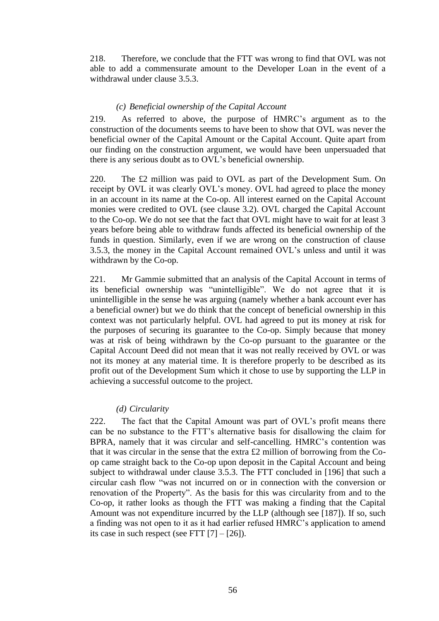218. Therefore, we conclude that the FTT was wrong to find that OVL was not able to add a commensurate amount to the Developer Loan in the event of a withdrawal under clause 3.5.3.

### *(c) Beneficial ownership of the Capital Account*

219. As referred to above, the purpose of HMRC's argument as to the construction of the documents seems to have been to show that OVL was never the beneficial owner of the Capital Amount or the Capital Account. Quite apart from our finding on the construction argument, we would have been unpersuaded that there is any serious doubt as to OVL's beneficial ownership.

220. The £2 million was paid to OVL as part of the Development Sum. On receipt by OVL it was clearly OVL's money. OVL had agreed to place the money in an account in its name at the Co-op. All interest earned on the Capital Account monies were credited to OVL (see clause 3.2). OVL charged the Capital Account to the Co-op. We do not see that the fact that OVL might have to wait for at least 3 years before being able to withdraw funds affected its beneficial ownership of the funds in question. Similarly, even if we are wrong on the construction of clause 3.5.3, the money in the Capital Account remained OVL's unless and until it was withdrawn by the Co-op.

221. Mr Gammie submitted that an analysis of the Capital Account in terms of its beneficial ownership was "unintelligible". We do not agree that it is unintelligible in the sense he was arguing (namely whether a bank account ever has a beneficial owner) but we do think that the concept of beneficial ownership in this context was not particularly helpful. OVL had agreed to put its money at risk for the purposes of securing its guarantee to the Co-op. Simply because that money was at risk of being withdrawn by the Co-op pursuant to the guarantee or the Capital Account Deed did not mean that it was not really received by OVL or was not its money at any material time. It is therefore properly to be described as its profit out of the Development Sum which it chose to use by supporting the LLP in achieving a successful outcome to the project.

#### *(d) Circularity*

222. The fact that the Capital Amount was part of OVL's profit means there can be no substance to the FTT's alternative basis for disallowing the claim for BPRA, namely that it was circular and self-cancelling. HMRC's contention was that it was circular in the sense that the extra £2 million of borrowing from the Coop came straight back to the Co-op upon deposit in the Capital Account and being subject to withdrawal under clause 3.5.3. The FTT concluded in [196] that such a circular cash flow "was not incurred on or in connection with the conversion or renovation of the Property". As the basis for this was circularity from and to the Co-op, it rather looks as though the FTT was making a finding that the Capital Amount was not expenditure incurred by the LLP (although see [187]). If so, such a finding was not open to it as it had earlier refused HMRC's application to amend its case in such respect (see FTT  $[7] - [26]$ ).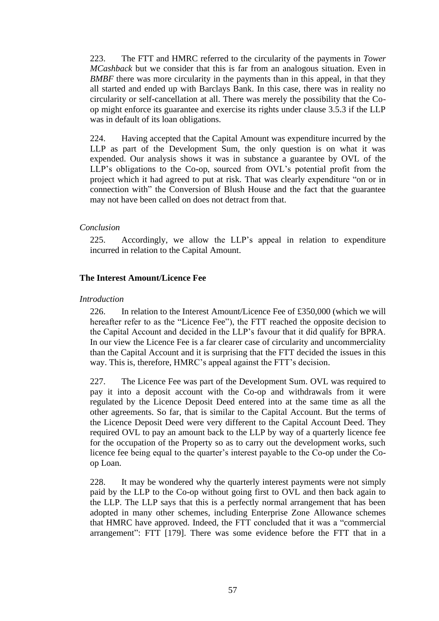223. The FTT and HMRC referred to the circularity of the payments in *Tower MCashback* but we consider that this is far from an analogous situation. Even in *BMBF* there was more circularity in the payments than in this appeal, in that they all started and ended up with Barclays Bank. In this case, there was in reality no circularity or self-cancellation at all. There was merely the possibility that the Coop might enforce its guarantee and exercise its rights under clause 3.5.3 if the LLP was in default of its loan obligations.

224. Having accepted that the Capital Amount was expenditure incurred by the LLP as part of the Development Sum, the only question is on what it was expended. Our analysis shows it was in substance a guarantee by OVL of the LLP's obligations to the Co-op, sourced from OVL's potential profit from the project which it had agreed to put at risk. That was clearly expenditure "on or in connection with" the Conversion of Blush House and the fact that the guarantee may not have been called on does not detract from that.

## *Conclusion*

225. Accordingly, we allow the LLP's appeal in relation to expenditure incurred in relation to the Capital Amount.

## **The Interest Amount/Licence Fee**

## *Introduction*

226. In relation to the Interest Amount/Licence Fee of £350,000 (which we will hereafter refer to as the "Licence Fee"), the FTT reached the opposite decision to the Capital Account and decided in the LLP's favour that it did qualify for BPRA. In our view the Licence Fee is a far clearer case of circularity and uncommerciality than the Capital Account and it is surprising that the FTT decided the issues in this way. This is, therefore, HMRC's appeal against the FTT's decision.

227. The Licence Fee was part of the Development Sum. OVL was required to pay it into a deposit account with the Co-op and withdrawals from it were regulated by the Licence Deposit Deed entered into at the same time as all the other agreements. So far, that is similar to the Capital Account. But the terms of the Licence Deposit Deed were very different to the Capital Account Deed. They required OVL to pay an amount back to the LLP by way of a quarterly licence fee for the occupation of the Property so as to carry out the development works, such licence fee being equal to the quarter's interest payable to the Co-op under the Coop Loan.

228. It may be wondered why the quarterly interest payments were not simply paid by the LLP to the Co-op without going first to OVL and then back again to the LLP. The LLP says that this is a perfectly normal arrangement that has been adopted in many other schemes, including Enterprise Zone Allowance schemes that HMRC have approved. Indeed, the FTT concluded that it was a "commercial arrangement": FTT [179]. There was some evidence before the FTT that in a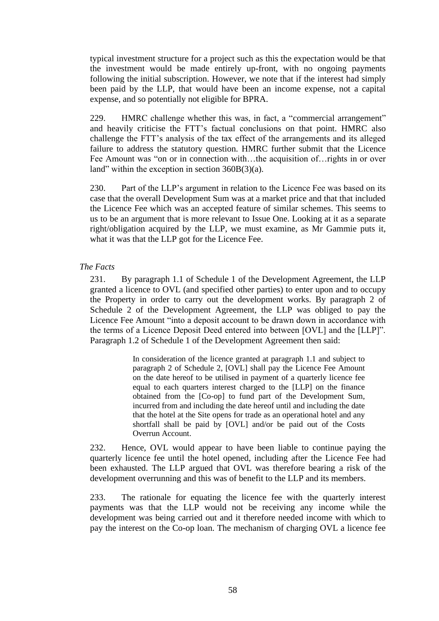typical investment structure for a project such as this the expectation would be that the investment would be made entirely up-front, with no ongoing payments following the initial subscription. However, we note that if the interest had simply been paid by the LLP, that would have been an income expense, not a capital expense, and so potentially not eligible for BPRA.

229. HMRC challenge whether this was, in fact, a "commercial arrangement" and heavily criticise the FTT's factual conclusions on that point. HMRC also challenge the FTT's analysis of the tax effect of the arrangements and its alleged failure to address the statutory question. HMRC further submit that the Licence Fee Amount was "on or in connection with…the acquisition of…rights in or over land" within the exception in section 360B(3)(a).

230. Part of the LLP's argument in relation to the Licence Fee was based on its case that the overall Development Sum was at a market price and that that included the Licence Fee which was an accepted feature of similar schemes. This seems to us to be an argument that is more relevant to Issue One. Looking at it as a separate right/obligation acquired by the LLP, we must examine, as Mr Gammie puts it, what it was that the LLP got for the Licence Fee.

## *The Facts*

231. By paragraph 1.1 of Schedule 1 of the Development Agreement, the LLP granted a licence to OVL (and specified other parties) to enter upon and to occupy the Property in order to carry out the development works. By paragraph 2 of Schedule 2 of the Development Agreement, the LLP was obliged to pay the Licence Fee Amount "into a deposit account to be drawn down in accordance with the terms of a Licence Deposit Deed entered into between [OVL] and the [LLP]". Paragraph 1.2 of Schedule 1 of the Development Agreement then said:

> In consideration of the licence granted at paragraph 1.1 and subject to paragraph 2 of Schedule 2, [OVL] shall pay the Licence Fee Amount on the date hereof to be utilised in payment of a quarterly licence fee equal to each quarters interest charged to the [LLP] on the finance obtained from the [Co-op] to fund part of the Development Sum, incurred from and including the date hereof until and including the date that the hotel at the Site opens for trade as an operational hotel and any shortfall shall be paid by [OVL] and/or be paid out of the Costs Overrun Account.

232. Hence, OVL would appear to have been liable to continue paying the quarterly licence fee until the hotel opened, including after the Licence Fee had been exhausted. The LLP argued that OVL was therefore bearing a risk of the development overrunning and this was of benefit to the LLP and its members.

233. The rationale for equating the licence fee with the quarterly interest payments was that the LLP would not be receiving any income while the development was being carried out and it therefore needed income with which to pay the interest on the Co-op loan. The mechanism of charging OVL a licence fee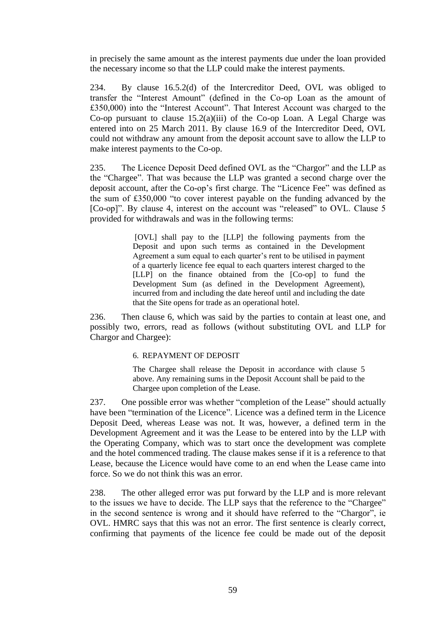in precisely the same amount as the interest payments due under the loan provided the necessary income so that the LLP could make the interest payments.

234. By clause 16.5.2(d) of the Intercreditor Deed, OVL was obliged to transfer the "Interest Amount" (defined in the Co-op Loan as the amount of £350,000) into the "Interest Account". That Interest Account was charged to the Co-op pursuant to clause 15.2(a)(iii) of the Co-op Loan. A Legal Charge was entered into on 25 March 2011. By clause 16.9 of the Intercreditor Deed, OVL could not withdraw any amount from the deposit account save to allow the LLP to make interest payments to the Co-op.

235. The Licence Deposit Deed defined OVL as the "Chargor" and the LLP as the "Chargee". That was because the LLP was granted a second charge over the deposit account, after the Co-op's first charge. The "Licence Fee" was defined as the sum of £350,000 "to cover interest payable on the funding advanced by the [Co-op]". By clause 4, interest on the account was "released" to OVL. Clause 5 provided for withdrawals and was in the following terms:

> [OVL] shall pay to the [LLP] the following payments from the Deposit and upon such terms as contained in the Development Agreement a sum equal to each quarter's rent to be utilised in payment of a quarterly licence fee equal to each quarters interest charged to the [LLP] on the finance obtained from the [Co-op] to fund the Development Sum (as defined in the Development Agreement), incurred from and including the date hereof until and including the date that the Site opens for trade as an operational hotel.

236. Then clause 6, which was said by the parties to contain at least one, and possibly two, errors, read as follows (without substituting OVL and LLP for Chargor and Chargee):

### 6. REPAYMENT OF DEPOSIT

The Chargee shall release the Deposit in accordance with clause 5 above. Any remaining sums in the Deposit Account shall be paid to the Chargee upon completion of the Lease.

237. One possible error was whether "completion of the Lease" should actually have been "termination of the Licence". Licence was a defined term in the Licence Deposit Deed, whereas Lease was not. It was, however, a defined term in the Development Agreement and it was the Lease to be entered into by the LLP with the Operating Company, which was to start once the development was complete and the hotel commenced trading. The clause makes sense if it is a reference to that Lease, because the Licence would have come to an end when the Lease came into force. So we do not think this was an error.

238. The other alleged error was put forward by the LLP and is more relevant to the issues we have to decide. The LLP says that the reference to the "Chargee" in the second sentence is wrong and it should have referred to the "Chargor", ie OVL. HMRC says that this was not an error. The first sentence is clearly correct, confirming that payments of the licence fee could be made out of the deposit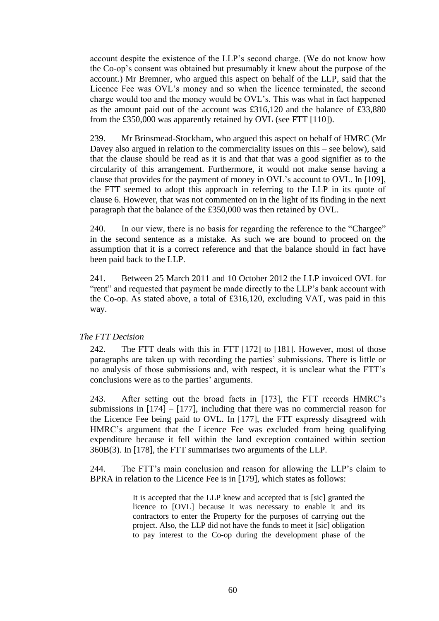account despite the existence of the LLP's second charge. (We do not know how the Co-op's consent was obtained but presumably it knew about the purpose of the account.) Mr Bremner, who argued this aspect on behalf of the LLP, said that the Licence Fee was OVL's money and so when the licence terminated, the second charge would too and the money would be OVL's. This was what in fact happened as the amount paid out of the account was £316,120 and the balance of £33,880 from the £350,000 was apparently retained by OVL (see FTT [110]).

239. Mr Brinsmead-Stockham, who argued this aspect on behalf of HMRC (Mr Davey also argued in relation to the commerciality issues on this – see below), said that the clause should be read as it is and that that was a good signifier as to the circularity of this arrangement. Furthermore, it would not make sense having a clause that provides for the payment of money in OVL's account to OVL. In [109], the FTT seemed to adopt this approach in referring to the LLP in its quote of clause 6. However, that was not commented on in the light of its finding in the next paragraph that the balance of the £350,000 was then retained by OVL.

240. In our view, there is no basis for regarding the reference to the "Chargee" in the second sentence as a mistake. As such we are bound to proceed on the assumption that it is a correct reference and that the balance should in fact have been paid back to the LLP.

241. Between 25 March 2011 and 10 October 2012 the LLP invoiced OVL for "rent" and requested that payment be made directly to the LLP's bank account with the Co-op. As stated above, a total of £316,120, excluding VAT, was paid in this way.

# *The FTT Decision*

242. The FTT deals with this in FTT [172] to [181]. However, most of those paragraphs are taken up with recording the parties' submissions. There is little or no analysis of those submissions and, with respect, it is unclear what the FTT's conclusions were as to the parties' arguments.

243. After setting out the broad facts in [173], the FTT records HMRC's submissions in  $[174] - [177]$ , including that there was no commercial reason for the Licence Fee being paid to OVL. In [177], the FTT expressly disagreed with HMRC's argument that the Licence Fee was excluded from being qualifying expenditure because it fell within the land exception contained within section 360B(3). In [178], the FTT summarises two arguments of the LLP.

244. The FTT's main conclusion and reason for allowing the LLP's claim to BPRA in relation to the Licence Fee is in [179], which states as follows:

> It is accepted that the LLP knew and accepted that is [sic] granted the licence to [OVL] because it was necessary to enable it and its contractors to enter the Property for the purposes of carrying out the project. Also, the LLP did not have the funds to meet it [sic] obligation to pay interest to the Co-op during the development phase of the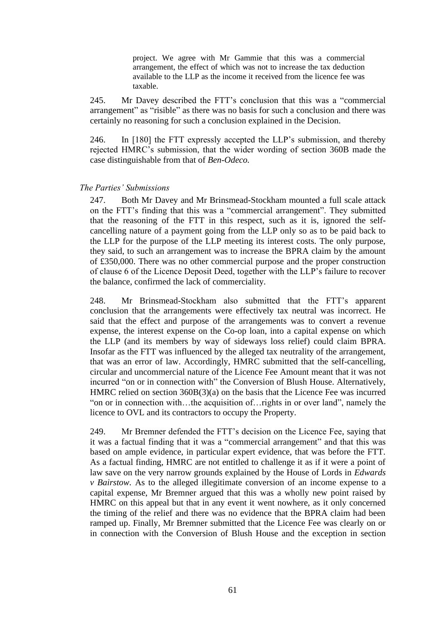project. We agree with Mr Gammie that this was a commercial arrangement, the effect of which was not to increase the tax deduction available to the LLP as the income it received from the licence fee was taxable.

245. Mr Davey described the FTT's conclusion that this was a "commercial arrangement" as "risible" as there was no basis for such a conclusion and there was certainly no reasoning for such a conclusion explained in the Decision.

246. In [180] the FTT expressly accepted the LLP's submission, and thereby rejected HMRC's submission, that the wider wording of section 360B made the case distinguishable from that of *Ben-Odeco.*

### *The Parties' Submissions*

247. Both Mr Davey and Mr Brinsmead-Stockham mounted a full scale attack on the FTT's finding that this was a "commercial arrangement". They submitted that the reasoning of the FTT in this respect, such as it is, ignored the selfcancelling nature of a payment going from the LLP only so as to be paid back to the LLP for the purpose of the LLP meeting its interest costs. The only purpose, they said, to such an arrangement was to increase the BPRA claim by the amount of £350,000. There was no other commercial purpose and the proper construction of clause 6 of the Licence Deposit Deed, together with the LLP's failure to recover the balance, confirmed the lack of commerciality.

248. Mr Brinsmead-Stockham also submitted that the FTT's apparent conclusion that the arrangements were effectively tax neutral was incorrect. He said that the effect and purpose of the arrangements was to convert a revenue expense, the interest expense on the Co-op loan, into a capital expense on which the LLP (and its members by way of sideways loss relief) could claim BPRA. Insofar as the FTT was influenced by the alleged tax neutrality of the arrangement, that was an error of law. Accordingly, HMRC submitted that the self-cancelling, circular and uncommercial nature of the Licence Fee Amount meant that it was not incurred "on or in connection with" the Conversion of Blush House. Alternatively, HMRC relied on section 360B(3)(a) on the basis that the Licence Fee was incurred "on or in connection with…the acquisition of…rights in or over land", namely the licence to OVL and its contractors to occupy the Property.

249. Mr Bremner defended the FTT's decision on the Licence Fee, saying that it was a factual finding that it was a "commercial arrangement" and that this was based on ample evidence, in particular expert evidence, that was before the FTT. As a factual finding, HMRC are not entitled to challenge it as if it were a point of law save on the very narrow grounds explained by the House of Lords in *Edwards v Bairstow.* As to the alleged illegitimate conversion of an income expense to a capital expense, Mr Bremner argued that this was a wholly new point raised by HMRC on this appeal but that in any event it went nowhere, as it only concerned the timing of the relief and there was no evidence that the BPRA claim had been ramped up. Finally, Mr Bremner submitted that the Licence Fee was clearly on or in connection with the Conversion of Blush House and the exception in section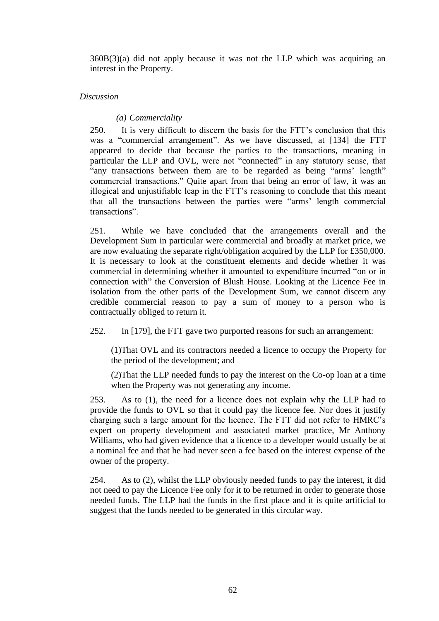360B(3)(a) did not apply because it was not the LLP which was acquiring an interest in the Property.

## *Discussion*

# *(a) Commerciality*

250. It is very difficult to discern the basis for the FTT's conclusion that this was a "commercial arrangement". As we have discussed, at [134] the FTT appeared to decide that because the parties to the transactions, meaning in particular the LLP and OVL, were not "connected" in any statutory sense, that "any transactions between them are to be regarded as being "arms' length" commercial transactions." Quite apart from that being an error of law, it was an illogical and unjustifiable leap in the FTT's reasoning to conclude that this meant that all the transactions between the parties were "arms' length commercial transactions".

251. While we have concluded that the arrangements overall and the Development Sum in particular were commercial and broadly at market price, we are now evaluating the separate right/obligation acquired by the LLP for £350,000. It is necessary to look at the constituent elements and decide whether it was commercial in determining whether it amounted to expenditure incurred "on or in connection with" the Conversion of Blush House. Looking at the Licence Fee in isolation from the other parts of the Development Sum, we cannot discern any credible commercial reason to pay a sum of money to a person who is contractually obliged to return it.

252. In [179], the FTT gave two purported reasons for such an arrangement:

(1)That OVL and its contractors needed a licence to occupy the Property for the period of the development; and

(2)That the LLP needed funds to pay the interest on the Co-op loan at a time when the Property was not generating any income.

253. As to (1), the need for a licence does not explain why the LLP had to provide the funds to OVL so that it could pay the licence fee. Nor does it justify charging such a large amount for the licence. The FTT did not refer to HMRC's expert on property development and associated market practice, Mr Anthony Williams, who had given evidence that a licence to a developer would usually be at a nominal fee and that he had never seen a fee based on the interest expense of the owner of the property.

254. As to (2), whilst the LLP obviously needed funds to pay the interest, it did not need to pay the Licence Fee only for it to be returned in order to generate those needed funds. The LLP had the funds in the first place and it is quite artificial to suggest that the funds needed to be generated in this circular way.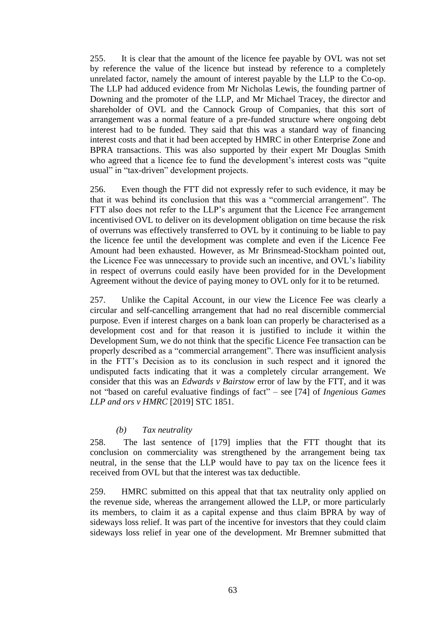255. It is clear that the amount of the licence fee payable by OVL was not set by reference the value of the licence but instead by reference to a completely unrelated factor, namely the amount of interest payable by the LLP to the Co-op. The LLP had adduced evidence from Mr Nicholas Lewis, the founding partner of Downing and the promoter of the LLP, and Mr Michael Tracey, the director and shareholder of OVL and the Cannock Group of Companies, that this sort of arrangement was a normal feature of a pre-funded structure where ongoing debt interest had to be funded. They said that this was a standard way of financing interest costs and that it had been accepted by HMRC in other Enterprise Zone and BPRA transactions. This was also supported by their expert Mr Douglas Smith who agreed that a licence fee to fund the development's interest costs was "quite usual" in "tax-driven" development projects.

256. Even though the FTT did not expressly refer to such evidence, it may be that it was behind its conclusion that this was a "commercial arrangement". The FTT also does not refer to the LLP's argument that the Licence Fee arrangement incentivised OVL to deliver on its development obligation on time because the risk of overruns was effectively transferred to OVL by it continuing to be liable to pay the licence fee until the development was complete and even if the Licence Fee Amount had been exhausted. However, as Mr Brinsmead-Stockham pointed out, the Licence Fee was unnecessary to provide such an incentive, and OVL's liability in respect of overruns could easily have been provided for in the Development Agreement without the device of paying money to OVL only for it to be returned.

257. Unlike the Capital Account, in our view the Licence Fee was clearly a circular and self-cancelling arrangement that had no real discernible commercial purpose. Even if interest charges on a bank loan can properly be characterised as a development cost and for that reason it is justified to include it within the Development Sum, we do not think that the specific Licence Fee transaction can be properly described as a "commercial arrangement". There was insufficient analysis in the FTT's Decision as to its conclusion in such respect and it ignored the undisputed facts indicating that it was a completely circular arrangement. We consider that this was an *Edwards v Bairstow* error of law by the FTT, and it was not "based on careful evaluative findings of fact" – see [74] of *Ingenious Games LLP and ors v HMRC* [2019] STC 1851.

## *(b) Tax neutrality*

258. The last sentence of [179] implies that the FTT thought that its conclusion on commerciality was strengthened by the arrangement being tax neutral, in the sense that the LLP would have to pay tax on the licence fees it received from OVL but that the interest was tax deductible.

259. HMRC submitted on this appeal that that tax neutrality only applied on the revenue side, whereas the arrangement allowed the LLP, or more particularly its members, to claim it as a capital expense and thus claim BPRA by way of sideways loss relief. It was part of the incentive for investors that they could claim sideways loss relief in year one of the development. Mr Bremner submitted that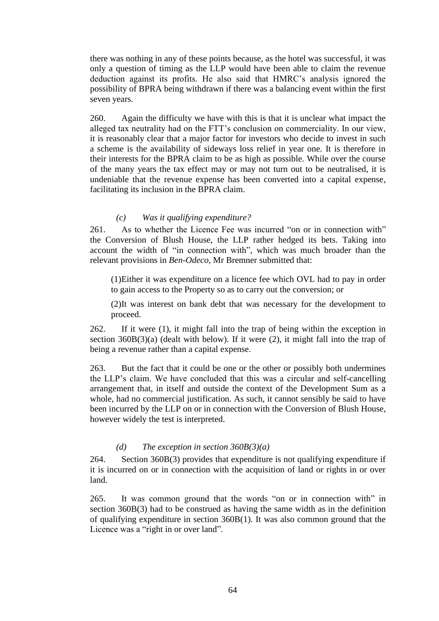there was nothing in any of these points because, as the hotel was successful, it was only a question of timing as the LLP would have been able to claim the revenue deduction against its profits. He also said that HMRC's analysis ignored the possibility of BPRA being withdrawn if there was a balancing event within the first seven years.

260. Again the difficulty we have with this is that it is unclear what impact the alleged tax neutrality had on the FTT's conclusion on commerciality. In our view, it is reasonably clear that a major factor for investors who decide to invest in such a scheme is the availability of sideways loss relief in year one. It is therefore in their interests for the BPRA claim to be as high as possible. While over the course of the many years the tax effect may or may not turn out to be neutralised, it is undeniable that the revenue expense has been converted into a capital expense, facilitating its inclusion in the BPRA claim.

# *(c) Was it qualifying expenditure?*

261. As to whether the Licence Fee was incurred "on or in connection with" the Conversion of Blush House, the LLP rather hedged its bets. Taking into account the width of "in connection with", which was much broader than the relevant provisions in *Ben-Odeco*, Mr Bremner submitted that:

(1)Either it was expenditure on a licence fee which OVL had to pay in order to gain access to the Property so as to carry out the conversion; or

(2)It was interest on bank debt that was necessary for the development to proceed.

262. If it were (1), it might fall into the trap of being within the exception in section 360B(3)(a) (dealt with below). If it were (2), it might fall into the trap of being a revenue rather than a capital expense.

263. But the fact that it could be one or the other or possibly both undermines the LLP's claim. We have concluded that this was a circular and self-cancelling arrangement that, in itself and outside the context of the Development Sum as a whole, had no commercial justification. As such, it cannot sensibly be said to have been incurred by the LLP on or in connection with the Conversion of Blush House, however widely the test is interpreted.

# *(d) The exception in section 360B(3)(a)*

264. Section 360B(3) provides that expenditure is not qualifying expenditure if it is incurred on or in connection with the acquisition of land or rights in or over land.

265. It was common ground that the words "on or in connection with" in section 360B(3) had to be construed as having the same width as in the definition of qualifying expenditure in section 360B(1). It was also common ground that the Licence was a "right in or over land".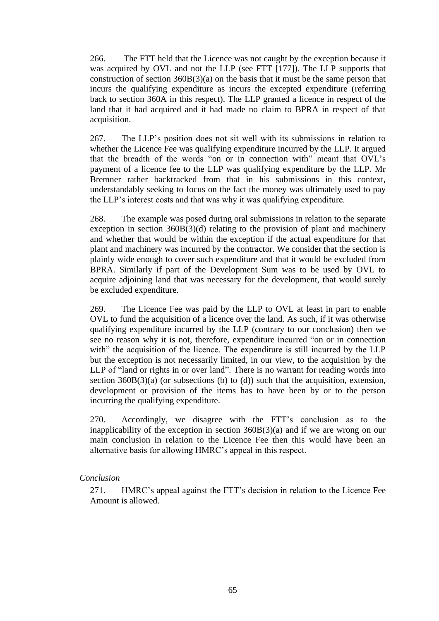266. The FTT held that the Licence was not caught by the exception because it was acquired by OVL and not the LLP (see FTT [177]). The LLP supports that construction of section 360B(3)(a) on the basis that it must be the same person that incurs the qualifying expenditure as incurs the excepted expenditure (referring back to section 360A in this respect). The LLP granted a licence in respect of the land that it had acquired and it had made no claim to BPRA in respect of that acquisition.

267. The LLP's position does not sit well with its submissions in relation to whether the Licence Fee was qualifying expenditure incurred by the LLP. It argued that the breadth of the words "on or in connection with" meant that OVL's payment of a licence fee to the LLP was qualifying expenditure by the LLP. Mr Bremner rather backtracked from that in his submissions in this context, understandably seeking to focus on the fact the money was ultimately used to pay the LLP's interest costs and that was why it was qualifying expenditure.

268. The example was posed during oral submissions in relation to the separate exception in section 360B(3)(d) relating to the provision of plant and machinery and whether that would be within the exception if the actual expenditure for that plant and machinery was incurred by the contractor. We consider that the section is plainly wide enough to cover such expenditure and that it would be excluded from BPRA. Similarly if part of the Development Sum was to be used by OVL to acquire adjoining land that was necessary for the development, that would surely be excluded expenditure.

269. The Licence Fee was paid by the LLP to OVL at least in part to enable OVL to fund the acquisition of a licence over the land. As such, if it was otherwise qualifying expenditure incurred by the LLP (contrary to our conclusion) then we see no reason why it is not, therefore, expenditure incurred "on or in connection with" the acquisition of the licence. The expenditure is still incurred by the LLP but the exception is not necessarily limited, in our view, to the acquisition by the LLP of "land or rights in or over land". There is no warrant for reading words into section  $360B(3)(a)$  (or subsections (b) to (d)) such that the acquisition, extension, development or provision of the items has to have been by or to the person incurring the qualifying expenditure.

270. Accordingly, we disagree with the FTT's conclusion as to the inapplicability of the exception in section 360B(3)(a) and if we are wrong on our main conclusion in relation to the Licence Fee then this would have been an alternative basis for allowing HMRC's appeal in this respect.

## *Conclusion*

271. HMRC's appeal against the FTT's decision in relation to the Licence Fee Amount is allowed.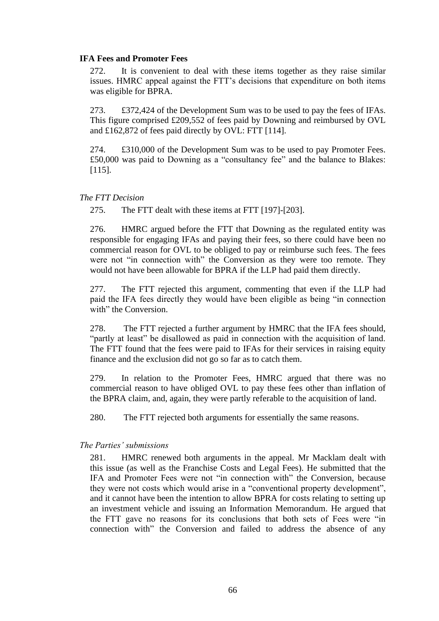## **IFA Fees and Promoter Fees**

272. It is convenient to deal with these items together as they raise similar issues. HMRC appeal against the FTT's decisions that expenditure on both items was eligible for BPRA.

273. £372,424 of the Development Sum was to be used to pay the fees of IFAs. This figure comprised £209,552 of fees paid by Downing and reimbursed by OVL and £162,872 of fees paid directly by OVL: FTT [114].

274. £310,000 of the Development Sum was to be used to pay Promoter Fees. £50,000 was paid to Downing as a "consultancy fee" and the balance to Blakes: [115].

## *The FTT Decision*

275. The FTT dealt with these items at FTT [197]-[203].

276. HMRC argued before the FTT that Downing as the regulated entity was responsible for engaging IFAs and paying their fees, so there could have been no commercial reason for OVL to be obliged to pay or reimburse such fees. The fees were not "in connection with" the Conversion as they were too remote. They would not have been allowable for BPRA if the LLP had paid them directly.

277. The FTT rejected this argument, commenting that even if the LLP had paid the IFA fees directly they would have been eligible as being "in connection with" the Conversion.

278. The FTT rejected a further argument by HMRC that the IFA fees should, "partly at least" be disallowed as paid in connection with the acquisition of land. The FTT found that the fees were paid to IFAs for their services in raising equity finance and the exclusion did not go so far as to catch them.

279. In relation to the Promoter Fees, HMRC argued that there was no commercial reason to have obliged OVL to pay these fees other than inflation of the BPRA claim, and, again, they were partly referable to the acquisition of land.

280. The FTT rejected both arguments for essentially the same reasons.

## *The Parties' submissions*

281. HMRC renewed both arguments in the appeal. Mr Macklam dealt with this issue (as well as the Franchise Costs and Legal Fees). He submitted that the IFA and Promoter Fees were not "in connection with" the Conversion, because they were not costs which would arise in a "conventional property development", and it cannot have been the intention to allow BPRA for costs relating to setting up an investment vehicle and issuing an Information Memorandum. He argued that the FTT gave no reasons for its conclusions that both sets of Fees were "in connection with" the Conversion and failed to address the absence of any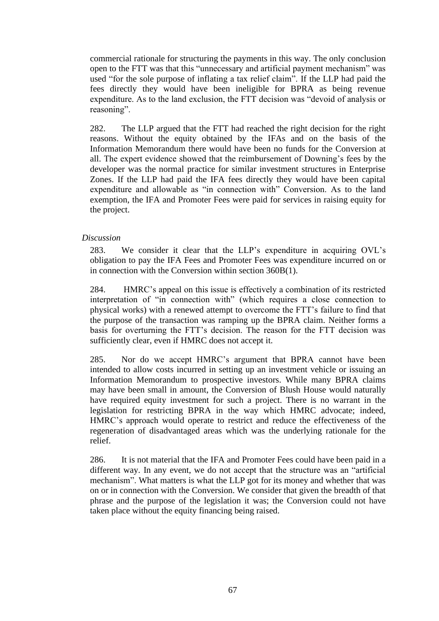commercial rationale for structuring the payments in this way. The only conclusion open to the FTT was that this "unnecessary and artificial payment mechanism" was used "for the sole purpose of inflating a tax relief claim". If the LLP had paid the fees directly they would have been ineligible for BPRA as being revenue expenditure. As to the land exclusion, the FTT decision was "devoid of analysis or reasoning".

282. The LLP argued that the FTT had reached the right decision for the right reasons. Without the equity obtained by the IFAs and on the basis of the Information Memorandum there would have been no funds for the Conversion at all. The expert evidence showed that the reimbursement of Downing's fees by the developer was the normal practice for similar investment structures in Enterprise Zones. If the LLP had paid the IFA fees directly they would have been capital expenditure and allowable as "in connection with" Conversion. As to the land exemption, the IFA and Promoter Fees were paid for services in raising equity for the project.

# *Discussion*

283. We consider it clear that the LLP's expenditure in acquiring OVL's obligation to pay the IFA Fees and Promoter Fees was expenditure incurred on or in connection with the Conversion within section 360B(1).

284. HMRC's appeal on this issue is effectively a combination of its restricted interpretation of "in connection with" (which requires a close connection to physical works) with a renewed attempt to overcome the FTT's failure to find that the purpose of the transaction was ramping up the BPRA claim. Neither forms a basis for overturning the FTT's decision. The reason for the FTT decision was sufficiently clear, even if HMRC does not accept it.

285. Nor do we accept HMRC's argument that BPRA cannot have been intended to allow costs incurred in setting up an investment vehicle or issuing an Information Memorandum to prospective investors. While many BPRA claims may have been small in amount, the Conversion of Blush House would naturally have required equity investment for such a project. There is no warrant in the legislation for restricting BPRA in the way which HMRC advocate; indeed, HMRC's approach would operate to restrict and reduce the effectiveness of the regeneration of disadvantaged areas which was the underlying rationale for the relief.

286. It is not material that the IFA and Promoter Fees could have been paid in a different way. In any event, we do not accept that the structure was an "artificial mechanism". What matters is what the LLP got for its money and whether that was on or in connection with the Conversion. We consider that given the breadth of that phrase and the purpose of the legislation it was; the Conversion could not have taken place without the equity financing being raised.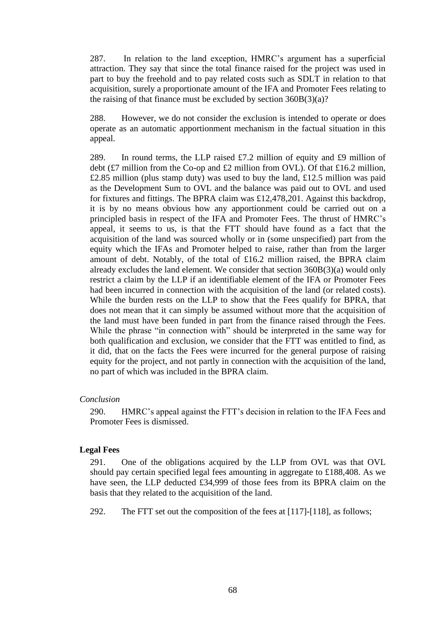287. In relation to the land exception, HMRC's argument has a superficial attraction. They say that since the total finance raised for the project was used in part to buy the freehold and to pay related costs such as SDLT in relation to that acquisition, surely a proportionate amount of the IFA and Promoter Fees relating to the raising of that finance must be excluded by section  $360B(3)(a)$ ?

288. However, we do not consider the exclusion is intended to operate or does operate as an automatic apportionment mechanism in the factual situation in this appeal.

289. In round terms, the LLP raised £7.2 million of equity and £9 million of debt (£7 million from the Co-op and £2 million from OVL). Of that £16.2 million, £2.85 million (plus stamp duty) was used to buy the land, £12.5 million was paid as the Development Sum to OVL and the balance was paid out to OVL and used for fixtures and fittings. The BPRA claim was £12,478,201. Against this backdrop, it is by no means obvious how any apportionment could be carried out on a principled basis in respect of the IFA and Promoter Fees. The thrust of HMRC's appeal, it seems to us, is that the FTT should have found as a fact that the acquisition of the land was sourced wholly or in (some unspecified) part from the equity which the IFAs and Promoter helped to raise, rather than from the larger amount of debt. Notably, of the total of £16.2 million raised, the BPRA claim already excludes the land element. We consider that section 360B(3)(a) would only restrict a claim by the LLP if an identifiable element of the IFA or Promoter Fees had been incurred in connection with the acquisition of the land (or related costs). While the burden rests on the LLP to show that the Fees qualify for BPRA, that does not mean that it can simply be assumed without more that the acquisition of the land must have been funded in part from the finance raised through the Fees. While the phrase "in connection with" should be interpreted in the same way for both qualification and exclusion, we consider that the FTT was entitled to find, as it did, that on the facts the Fees were incurred for the general purpose of raising equity for the project, and not partly in connection with the acquisition of the land, no part of which was included in the BPRA claim.

### *Conclusion*

290. HMRC's appeal against the FTT's decision in relation to the IFA Fees and Promoter Fees is dismissed.

### **Legal Fees**

291. One of the obligations acquired by the LLP from OVL was that OVL should pay certain specified legal fees amounting in aggregate to £188,408. As we have seen, the LLP deducted £34,999 of those fees from its BPRA claim on the basis that they related to the acquisition of the land.

292. The FTT set out the composition of the fees at [117]-[118], as follows;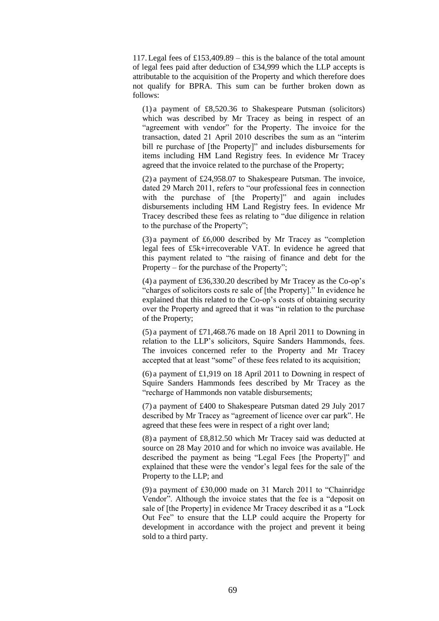117. Legal fees of £153,409.89 – this is the balance of the total amount of legal fees paid after deduction of £34,999 which the LLP accepts is attributable to the acquisition of the Property and which therefore does not qualify for BPRA. This sum can be further broken down as follows:

(1) a payment of £8,520.36 to Shakespeare Putsman (solicitors) which was described by Mr Tracey as being in respect of an "agreement with vendor" for the Property. The invoice for the transaction, dated 21 April 2010 describes the sum as an "interim bill re purchase of [the Property]" and includes disbursements for items including HM Land Registry fees. In evidence Mr Tracey agreed that the invoice related to the purchase of the Property;

(2) a payment of £24,958.07 to Shakespeare Putsman. The invoice, dated 29 March 2011, refers to "our professional fees in connection with the purchase of [the Property]" and again includes disbursements including HM Land Registry fees. In evidence Mr Tracey described these fees as relating to "due diligence in relation to the purchase of the Property";

(3) a payment of £6,000 described by Mr Tracey as "completion legal fees of £5k+irrecoverable VAT. In evidence he agreed that this payment related to "the raising of finance and debt for the Property – for the purchase of the Property";

(4) a payment of £36,330.20 described by Mr Tracey as the Co-op's "charges of solicitors costs re sale of [the Property]." In evidence he explained that this related to the Co-op's costs of obtaining security over the Property and agreed that it was "in relation to the purchase of the Property;

(5) a payment of £71,468.76 made on 18 April 2011 to Downing in relation to the LLP's solicitors, Squire Sanders Hammonds, fees. The invoices concerned refer to the Property and Mr Tracey accepted that at least "some" of these fees related to its acquisition;

(6) a payment of £1,919 on 18 April 2011 to Downing in respect of Squire Sanders Hammonds fees described by Mr Tracey as the "recharge of Hammonds non vatable disbursements;

(7) a payment of £400 to Shakespeare Putsman dated 29 July 2017 described by Mr Tracey as "agreement of licence over car park". He agreed that these fees were in respect of a right over land;

(8) a payment of £8,812.50 which Mr Tracey said was deducted at source on 28 May 2010 and for which no invoice was available. He described the payment as being "Legal Fees [the Property]" and explained that these were the vendor's legal fees for the sale of the Property to the LLP; and

(9) a payment of £30,000 made on 31 March 2011 to "Chainridge Vendor". Although the invoice states that the fee is a "deposit on sale of [the Property] in evidence Mr Tracey described it as a "Lock Out Fee" to ensure that the LLP could acquire the Property for development in accordance with the project and prevent it being sold to a third party.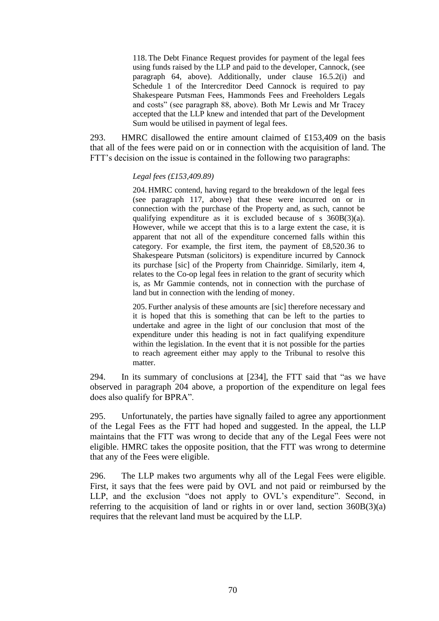118. The Debt Finance Request provides for payment of the legal fees using funds raised by the LLP and paid to the developer, Cannock, (see paragraph 64, above). Additionally, under clause 16.5.2(i) and Schedule 1 of the Intercreditor Deed Cannock is required to pay Shakespeare Putsman Fees, Hammonds Fees and Freeholders Legals and costs" (see paragraph 88, above). Both Mr Lewis and Mr Tracey accepted that the LLP knew and intended that part of the Development Sum would be utilised in payment of legal fees.

293. HMRC disallowed the entire amount claimed of £153,409 on the basis that all of the fees were paid on or in connection with the acquisition of land. The FTT's decision on the issue is contained in the following two paragraphs:

### *Legal fees (£153,409.89)*

204. HMRC contend, having regard to the breakdown of the legal fees (see paragraph 117, above) that these were incurred on or in connection with the purchase of the Property and, as such, cannot be qualifying expenditure as it is excluded because of s 360B(3)(a). However, while we accept that this is to a large extent the case, it is apparent that not all of the expenditure concerned falls within this category. For example, the first item, the payment of £8,520.36 to Shakespeare Putsman (solicitors) is expenditure incurred by Cannock its purchase [sic] of the Property from Chainridge. Similarly, item 4, relates to the Co-op legal fees in relation to the grant of security which is, as Mr Gammie contends, not in connection with the purchase of land but in connection with the lending of money.

205. Further analysis of these amounts are [sic] therefore necessary and it is hoped that this is something that can be left to the parties to undertake and agree in the light of our conclusion that most of the expenditure under this heading is not in fact qualifying expenditure within the legislation. In the event that it is not possible for the parties to reach agreement either may apply to the Tribunal to resolve this matter.

294. In its summary of conclusions at [234], the FTT said that "as we have observed in paragraph 204 above, a proportion of the expenditure on legal fees does also qualify for BPRA".

295. Unfortunately, the parties have signally failed to agree any apportionment of the Legal Fees as the FTT had hoped and suggested. In the appeal, the LLP maintains that the FTT was wrong to decide that any of the Legal Fees were not eligible. HMRC takes the opposite position, that the FTT was wrong to determine that any of the Fees were eligible.

296. The LLP makes two arguments why all of the Legal Fees were eligible. First, it says that the fees were paid by OVL and not paid or reimbursed by the LLP, and the exclusion "does not apply to OVL's expenditure". Second, in referring to the acquisition of land or rights in or over land, section 360B(3)(a) requires that the relevant land must be acquired by the LLP.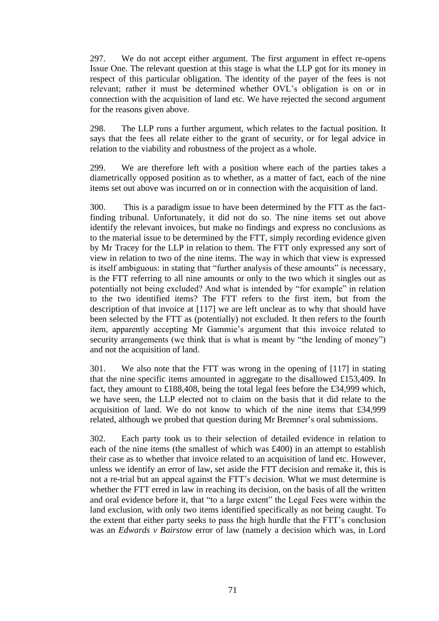297. We do not accept either argument. The first argument in effect re-opens Issue One. The relevant question at this stage is what the LLP got for its money in respect of this particular obligation. The identity of the payer of the fees is not relevant; rather it must be determined whether OVL's obligation is on or in connection with the acquisition of land etc. We have rejected the second argument for the reasons given above.

298. The LLP runs a further argument, which relates to the factual position. It says that the fees all relate either to the grant of security, or for legal advice in relation to the viability and robustness of the project as a whole.

299. We are therefore left with a position where each of the parties takes a diametrically opposed position as to whether, as a matter of fact, each of the nine items set out above was incurred on or in connection with the acquisition of land.

300. This is a paradigm issue to have been determined by the FTT as the factfinding tribunal. Unfortunately, it did not do so. The nine items set out above identify the relevant invoices, but make no findings and express no conclusions as to the material issue to be determined by the FTT, simply recording evidence given by Mr Tracey for the LLP in relation to them. The FTT only expressed any sort of view in relation to two of the nine items. The way in which that view is expressed is itself ambiguous: in stating that "further analysis of these amounts" is necessary, is the FTT referring to all nine amounts or only to the two which it singles out as potentially not being excluded? And what is intended by "for example" in relation to the two identified items? The FTT refers to the first item, but from the description of that invoice at [117] we are left unclear as to why that should have been selected by the FTT as (potentially) not excluded. It then refers to the fourth item, apparently accepting Mr Gammie's argument that this invoice related to security arrangements (we think that is what is meant by "the lending of money") and not the acquisition of land.

301. We also note that the FTT was wrong in the opening of [117] in stating that the nine specific items amounted in aggregate to the disallowed £153,409. In fact, they amount to £188,408, being the total legal fees before the £34,999 which, we have seen, the LLP elected not to claim on the basis that it did relate to the acquisition of land. We do not know to which of the nine items that £34,999 related, although we probed that question during Mr Bremner's oral submissions.

302. Each party took us to their selection of detailed evidence in relation to each of the nine items (the smallest of which was £400) in an attempt to establish their case as to whether that invoice related to an acquisition of land etc. However, unless we identify an error of law, set aside the FTT decision and remake it, this is not a re-trial but an appeal against the FTT's decision. What we must determine is whether the FTT erred in law in reaching its decision, on the basis of all the written and oral evidence before it, that "to a large extent" the Legal Fees were within the land exclusion, with only two items identified specifically as not being caught. To the extent that either party seeks to pass the high hurdle that the FTT's conclusion was an *Edwards v Bairstow* error of law (namely a decision which was, in Lord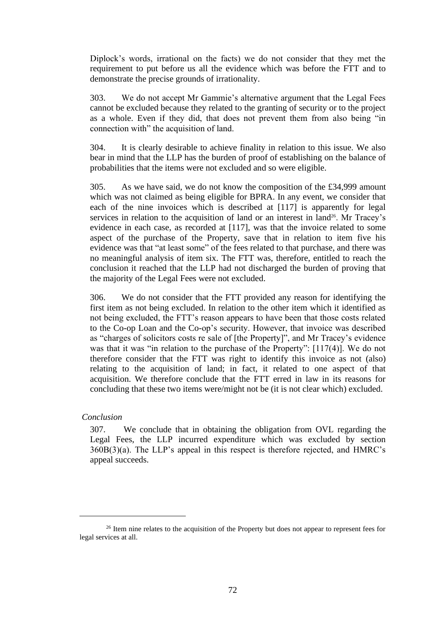Diplock's words, irrational on the facts) we do not consider that they met the requirement to put before us all the evidence which was before the FTT and to demonstrate the precise grounds of irrationality.

303. We do not accept Mr Gammie's alternative argument that the Legal Fees cannot be excluded because they related to the granting of security or to the project as a whole. Even if they did, that does not prevent them from also being "in connection with" the acquisition of land.

304. It is clearly desirable to achieve finality in relation to this issue. We also bear in mind that the LLP has the burden of proof of establishing on the balance of probabilities that the items were not excluded and so were eligible.

305. As we have said, we do not know the composition of the £34,999 amount which was not claimed as being eligible for BPRA. In any event, we consider that each of the nine invoices which is described at [117] is apparently for legal services in relation to the acquisition of land or an interest in land<sup>26</sup>. Mr Tracey's evidence in each case, as recorded at [117], was that the invoice related to some aspect of the purchase of the Property, save that in relation to item five his evidence was that "at least some" of the fees related to that purchase, and there was no meaningful analysis of item six. The FTT was, therefore, entitled to reach the conclusion it reached that the LLP had not discharged the burden of proving that the majority of the Legal Fees were not excluded.

306. We do not consider that the FTT provided any reason for identifying the first item as not being excluded. In relation to the other item which it identified as not being excluded, the FTT's reason appears to have been that those costs related to the Co-op Loan and the Co-op's security. However, that invoice was described as "charges of solicitors costs re sale of [the Property]", and Mr Tracey's evidence was that it was "in relation to the purchase of the Property": [117(4)]. We do not therefore consider that the FTT was right to identify this invoice as not (also) relating to the acquisition of land; in fact, it related to one aspect of that acquisition. We therefore conclude that the FTT erred in law in its reasons for concluding that these two items were/might not be (it is not clear which) excluded.

### *Conclusion*

307. We conclude that in obtaining the obligation from OVL regarding the Legal Fees, the LLP incurred expenditure which was excluded by section 360B(3)(a). The LLP's appeal in this respect is therefore rejected, and HMRC's appeal succeeds.

<sup>&</sup>lt;sup>26</sup> Item nine relates to the acquisition of the Property but does not appear to represent fees for legal services at all.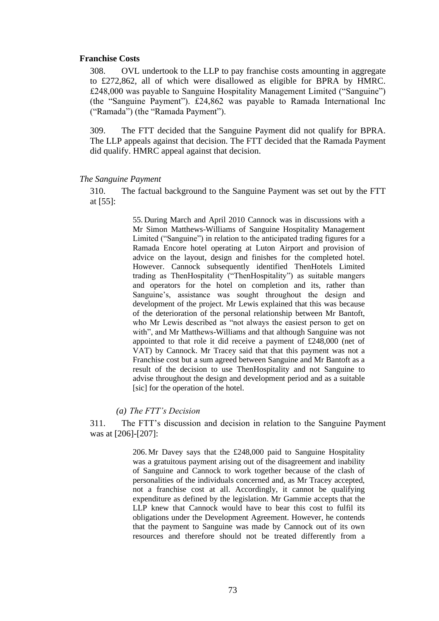## **Franchise Costs**

308. OVL undertook to the LLP to pay franchise costs amounting in aggregate to £272,862, all of which were disallowed as eligible for BPRA by HMRC. £248,000 was payable to Sanguine Hospitality Management Limited ("Sanguine") (the "Sanguine Payment"). £24,862 was payable to Ramada International Inc ("Ramada") (the "Ramada Payment").

309. The FTT decided that the Sanguine Payment did not qualify for BPRA. The LLP appeals against that decision. The FTT decided that the Ramada Payment did qualify. HMRC appeal against that decision.

# *The Sanguine Payment*

310. The factual background to the Sanguine Payment was set out by the FTT at [55]:

> 55. During March and April 2010 Cannock was in discussions with a Mr Simon Matthews-Williams of Sanguine Hospitality Management Limited ("Sanguine") in relation to the anticipated trading figures for a Ramada Encore hotel operating at Luton Airport and provision of advice on the layout, design and finishes for the completed hotel. However. Cannock subsequently identified ThenHotels Limited trading as ThenHospitality ("ThenHospitality") as suitable mangers and operators for the hotel on completion and its, rather than Sanguine's, assistance was sought throughout the design and development of the project. Mr Lewis explained that this was because of the deterioration of the personal relationship between Mr Bantoft, who Mr Lewis described as "not always the easiest person to get on with", and Mr Matthews-Williams and that although Sanguine was not appointed to that role it did receive a payment of £248,000 (net of VAT) by Cannock. Mr Tracey said that that this payment was not a Franchise cost but a sum agreed between Sanguine and Mr Bantoft as a result of the decision to use ThenHospitality and not Sanguine to advise throughout the design and development period and as a suitable [sic] for the operation of the hotel.

# *(a) The FTT's Decision*

311. The FTT's discussion and decision in relation to the Sanguine Payment was at [206]-[207]:

> 206. Mr Davey says that the £248,000 paid to Sanguine Hospitality was a gratuitous payment arising out of the disagreement and inability of Sanguine and Cannock to work together because of the clash of personalities of the individuals concerned and, as Mr Tracey accepted, not a franchise cost at all. Accordingly, it cannot be qualifying expenditure as defined by the legislation. Mr Gammie accepts that the LLP knew that Cannock would have to bear this cost to fulfil its obligations under the Development Agreement. However, he contends that the payment to Sanguine was made by Cannock out of its own resources and therefore should not be treated differently from a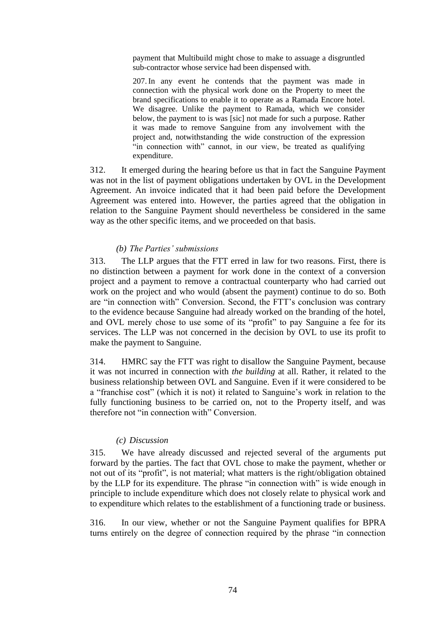payment that Multibuild might chose to make to assuage a disgruntled sub-contractor whose service had been dispensed with.

207.In any event he contends that the payment was made in connection with the physical work done on the Property to meet the brand specifications to enable it to operate as a Ramada Encore hotel. We disagree. Unlike the payment to Ramada, which we consider below, the payment to is was [sic] not made for such a purpose. Rather it was made to remove Sanguine from any involvement with the project and, notwithstanding the wide construction of the expression "in connection with" cannot, in our view, be treated as qualifying expenditure.

312. It emerged during the hearing before us that in fact the Sanguine Payment was not in the list of payment obligations undertaken by OVL in the Development Agreement. An invoice indicated that it had been paid before the Development Agreement was entered into. However, the parties agreed that the obligation in relation to the Sanguine Payment should nevertheless be considered in the same way as the other specific items, and we proceeded on that basis.

# *(b) The Parties' submissions*

313. The LLP argues that the FTT erred in law for two reasons. First, there is no distinction between a payment for work done in the context of a conversion project and a payment to remove a contractual counterparty who had carried out work on the project and who would (absent the payment) continue to do so. Both are "in connection with" Conversion. Second, the FTT's conclusion was contrary to the evidence because Sanguine had already worked on the branding of the hotel, and OVL merely chose to use some of its "profit" to pay Sanguine a fee for its services. The LLP was not concerned in the decision by OVL to use its profit to make the payment to Sanguine.

314. HMRC say the FTT was right to disallow the Sanguine Payment, because it was not incurred in connection with *the building* at all. Rather, it related to the business relationship between OVL and Sanguine. Even if it were considered to be a "franchise cost" (which it is not) it related to Sanguine's work in relation to the fully functioning business to be carried on, not to the Property itself, and was therefore not "in connection with" Conversion.

# *(c) Discussion*

315. We have already discussed and rejected several of the arguments put forward by the parties. The fact that OVL chose to make the payment, whether or not out of its "profit", is not material; what matters is the right/obligation obtained by the LLP for its expenditure. The phrase "in connection with" is wide enough in principle to include expenditure which does not closely relate to physical work and to expenditure which relates to the establishment of a functioning trade or business.

316. In our view, whether or not the Sanguine Payment qualifies for BPRA turns entirely on the degree of connection required by the phrase "in connection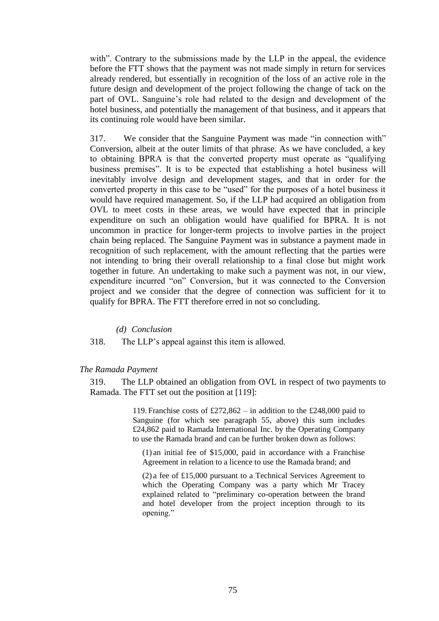with". Contrary to the submissions made by the LLP in the appeal, the evidence before the FTT shows that the payment was not made simply in return for services already rendered, but essentially in recognition of the loss of an active role in the future design and development of the project following the change of tack on the part of OVL. Sanguine's role had related to the design and development of the hotel business, and potentially the management of that business, and it appears that its continuing role would have been similar.

317. We consider that the Sanguine Payment was made "in connection with" Conversion, albeit at the outer limits of that phrase. As we have concluded, a key to obtaining BPRA is that the converted property must operate as "qualifying business premises". It is to be expected that establishing a hotel business will inevitably involve design and development stages, and that in order for the converted property in this case to be "used" for the purposes of a hotel business it would have required management. So, if the LLP had acquired an obligation from OVL to meet costs in these areas, we would have expected that in principle expenditure on such an obligation would have qualified for BPRA. It is not uncommon in practice for longer-term projects to involve parties in the project chain being replaced. The Sanguine Payment was in substance a payment made in recognition of such replacement, with the amount reflecting that the parties were not intending to bring their overall relationship to a final close but might work together in future. An undertaking to make such a payment was not, in our view, expenditure incurred "on" Conversion, but it was connected to the Conversion project and we consider that the degree of connection was sufficient for it to qualify for BPRA. The FTT therefore erred in not so concluding.

# *(d) Conclusion*

318. The LLP's appeal against this item is allowed.

### *The Ramada Payment*

319. The LLP obtained an obligation from OVL in respect of two payments to Ramada. The FTT set out the position at [119]:

> 119. Franchise costs of  $£272,862 -$  in addition to the £248,000 paid to Sanguine (for which see paragraph 55, above) this sum includes £24,862 paid to Ramada International Inc. by the Operating Company to use the Ramada brand and can be further broken down as follows:

(1) an initial fee of \$15,000, paid in accordance with a Franchise Agreement in relation to a licence to use the Ramada brand; and

(2) a fee of £15,000 pursuant to a Technical Services Agreement to which the Operating Company was a party which Mr Tracey explained related to "preliminary co-operation between the brand and hotel developer from the project inception through to its opening."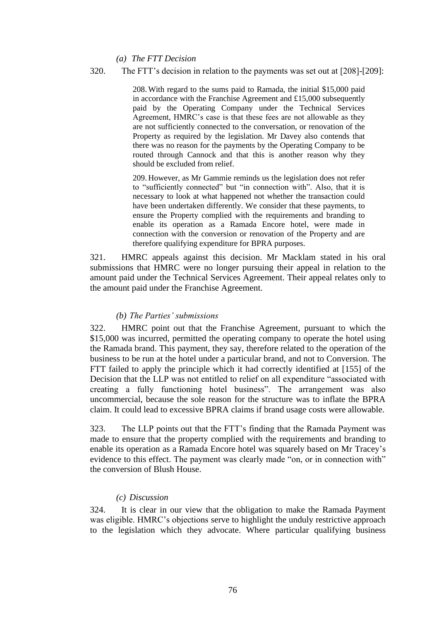*(a) The FTT Decision*

# 320. The FTT's decision in relation to the payments was set out at [208]-[209]:

208. With regard to the sums paid to Ramada, the initial \$15,000 paid in accordance with the Franchise Agreement and £15,000 subsequently paid by the Operating Company under the Technical Services Agreement, HMRC's case is that these fees are not allowable as they are not sufficiently connected to the conversation, or renovation of the Property as required by the legislation. Mr Davey also contends that there was no reason for the payments by the Operating Company to be routed through Cannock and that this is another reason why they should be excluded from relief.

209. However, as Mr Gammie reminds us the legislation does not refer to "sufficiently connected" but "in connection with". Also, that it is necessary to look at what happened not whether the transaction could have been undertaken differently. We consider that these payments, to ensure the Property complied with the requirements and branding to enable its operation as a Ramada Encore hotel, were made in connection with the conversion or renovation of the Property and are therefore qualifying expenditure for BPRA purposes.

321. HMRC appeals against this decision. Mr Macklam stated in his oral submissions that HMRC were no longer pursuing their appeal in relation to the amount paid under the Technical Services Agreement. Their appeal relates only to the amount paid under the Franchise Agreement.

## *(b) The Parties' submissions*

322. HMRC point out that the Franchise Agreement, pursuant to which the \$15,000 was incurred, permitted the operating company to operate the hotel using the Ramada brand. This payment, they say, therefore related to the operation of the business to be run at the hotel under a particular brand, and not to Conversion. The FTT failed to apply the principle which it had correctly identified at [155] of the Decision that the LLP was not entitled to relief on all expenditure "associated with creating a fully functioning hotel business". The arrangement was also uncommercial, because the sole reason for the structure was to inflate the BPRA claim. It could lead to excessive BPRA claims if brand usage costs were allowable.

323. The LLP points out that the FTT's finding that the Ramada Payment was made to ensure that the property complied with the requirements and branding to enable its operation as a Ramada Encore hotel was squarely based on Mr Tracey's evidence to this effect. The payment was clearly made "on, or in connection with" the conversion of Blush House.

## *(c) Discussion*

324. It is clear in our view that the obligation to make the Ramada Payment was eligible. HMRC's objections serve to highlight the unduly restrictive approach to the legislation which they advocate. Where particular qualifying business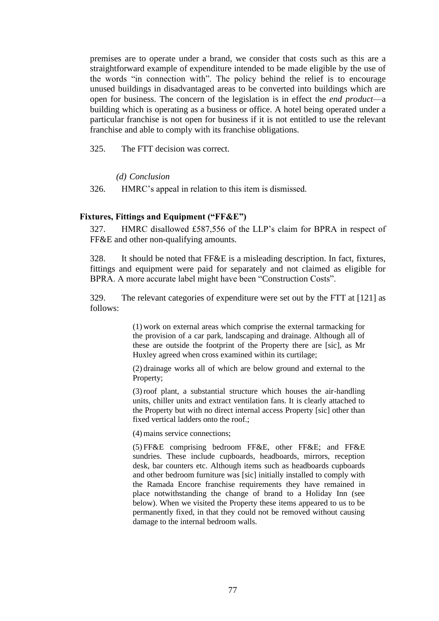premises are to operate under a brand, we consider that costs such as this are a straightforward example of expenditure intended to be made eligible by the use of the words "in connection with". The policy behind the relief is to encourage unused buildings in disadvantaged areas to be converted into buildings which are open for business. The concern of the legislation is in effect the *end product*—a building which is operating as a business or office. A hotel being operated under a particular franchise is not open for business if it is not entitled to use the relevant franchise and able to comply with its franchise obligations.

325. The FTT decision was correct.

*(d) Conclusion*

326. HMRC's appeal in relation to this item is dismissed.

# **Fixtures, Fittings and Equipment ("FF&E")**

327. HMRC disallowed £587,556 of the LLP's claim for BPRA in respect of FF&E and other non-qualifying amounts.

328. It should be noted that FF&E is a misleading description. In fact, fixtures, fittings and equipment were paid for separately and not claimed as eligible for BPRA. A more accurate label might have been "Construction Costs".

329. The relevant categories of expenditure were set out by the FTT at [121] as follows:

> (1) work on external areas which comprise the external tarmacking for the provision of a car park, landscaping and drainage. Although all of these are outside the footprint of the Property there are [sic], as Mr Huxley agreed when cross examined within its curtilage;

> (2) drainage works all of which are below ground and external to the Property;

> (3)roof plant, a substantial structure which houses the air-handling units, chiller units and extract ventilation fans. It is clearly attached to the Property but with no direct internal access Property [sic] other than fixed vertical ladders onto the roof.;

(4) mains service connections;

(5) FF&E comprising bedroom FF&E, other FF&E; and FF&E sundries. These include cupboards, headboards, mirrors, reception desk, bar counters etc. Although items such as headboards cupboards and other bedroom furniture was [sic] initially installed to comply with the Ramada Encore franchise requirements they have remained in place notwithstanding the change of brand to a Holiday Inn (see below). When we visited the Property these items appeared to us to be permanently fixed, in that they could not be removed without causing damage to the internal bedroom walls.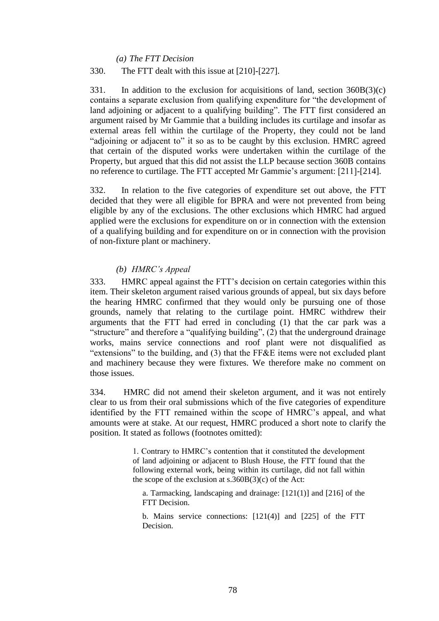*(a) The FTT Decision*

# 330. The FTT dealt with this issue at [210]-[227].

331. In addition to the exclusion for acquisitions of land, section 360B(3)(c) contains a separate exclusion from qualifying expenditure for "the development of land adjoining or adjacent to a qualifying building". The FTT first considered an argument raised by Mr Gammie that a building includes its curtilage and insofar as external areas fell within the curtilage of the Property, they could not be land "adjoining or adjacent to" it so as to be caught by this exclusion. HMRC agreed that certain of the disputed works were undertaken within the curtilage of the Property, but argued that this did not assist the LLP because section 360B contains no reference to curtilage. The FTT accepted Mr Gammie's argument: [211]-[214].

332. In relation to the five categories of expenditure set out above, the FTT decided that they were all eligible for BPRA and were not prevented from being eligible by any of the exclusions. The other exclusions which HMRC had argued applied were the exclusions for expenditure on or in connection with the extension of a qualifying building and for expenditure on or in connection with the provision of non-fixture plant or machinery.

# *(b) HMRC's Appeal*

333. HMRC appeal against the FTT's decision on certain categories within this item. Their skeleton argument raised various grounds of appeal, but six days before the hearing HMRC confirmed that they would only be pursuing one of those grounds, namely that relating to the curtilage point. HMRC withdrew their arguments that the FTT had erred in concluding (1) that the car park was a "structure" and therefore a "qualifying building", (2) that the underground drainage works, mains service connections and roof plant were not disqualified as "extensions" to the building, and (3) that the FF&E items were not excluded plant and machinery because they were fixtures. We therefore make no comment on those issues.

334. HMRC did not amend their skeleton argument, and it was not entirely clear to us from their oral submissions which of the five categories of expenditure identified by the FTT remained within the scope of HMRC's appeal, and what amounts were at stake. At our request, HMRC produced a short note to clarify the position. It stated as follows (footnotes omitted):

> 1. Contrary to HMRC's contention that it constituted the development of land adjoining or adjacent to Blush House, the FTT found that the following external work, being within its curtilage, did not fall within the scope of the exclusion at  $s.360B(3)(c)$  of the Act:

a. Tarmacking, landscaping and drainage: [121(1)] and [216] of the FTT Decision.

b. Mains service connections: [121(4)] and [225] of the FTT Decision.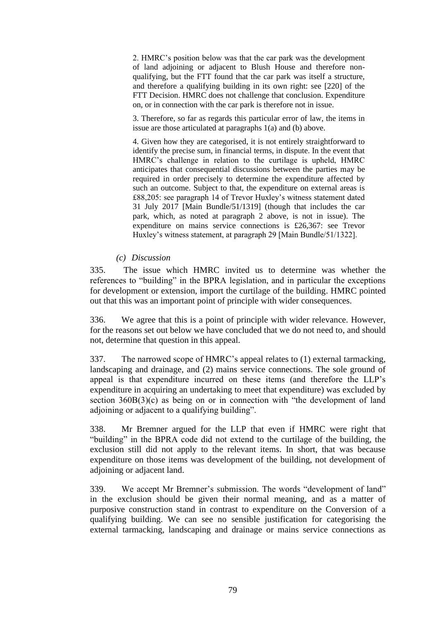2. HMRC's position below was that the car park was the development of land adjoining or adjacent to Blush House and therefore nonqualifying, but the FTT found that the car park was itself a structure, and therefore a qualifying building in its own right: see [220] of the FTT Decision. HMRC does not challenge that conclusion. Expenditure on, or in connection with the car park is therefore not in issue.

3. Therefore, so far as regards this particular error of law, the items in issue are those articulated at paragraphs 1(a) and (b) above.

4. Given how they are categorised, it is not entirely straightforward to identify the precise sum, in financial terms, in dispute. In the event that HMRC's challenge in relation to the curtilage is upheld, HMRC anticipates that consequential discussions between the parties may be required in order precisely to determine the expenditure affected by such an outcome. Subject to that, the expenditure on external areas is £88,205: see paragraph 14 of Trevor Huxley's witness statement dated 31 July 2017 [Main Bundle/51/1319] (though that includes the car park, which, as noted at paragraph 2 above, is not in issue). The expenditure on mains service connections is £26,367: see Trevor Huxley's witness statement, at paragraph 29 [Main Bundle/51/1322].

# *(c) Discussion*

335. The issue which HMRC invited us to determine was whether the references to "building" in the BPRA legislation, and in particular the exceptions for development or extension, import the curtilage of the building. HMRC pointed out that this was an important point of principle with wider consequences.

336. We agree that this is a point of principle with wider relevance. However, for the reasons set out below we have concluded that we do not need to, and should not, determine that question in this appeal.

337. The narrowed scope of HMRC's appeal relates to (1) external tarmacking, landscaping and drainage, and (2) mains service connections. The sole ground of appeal is that expenditure incurred on these items (and therefore the LLP's expenditure in acquiring an undertaking to meet that expenditure) was excluded by section  $360B(3)(c)$  as being on or in connection with "the development of land adjoining or adjacent to a qualifying building".

338. Mr Bremner argued for the LLP that even if HMRC were right that "building" in the BPRA code did not extend to the curtilage of the building, the exclusion still did not apply to the relevant items. In short, that was because expenditure on those items was development of the building, not development of adjoining or adjacent land.

339. We accept Mr Bremner's submission. The words "development of land" in the exclusion should be given their normal meaning, and as a matter of purposive construction stand in contrast to expenditure on the Conversion of a qualifying building. We can see no sensible justification for categorising the external tarmacking, landscaping and drainage or mains service connections as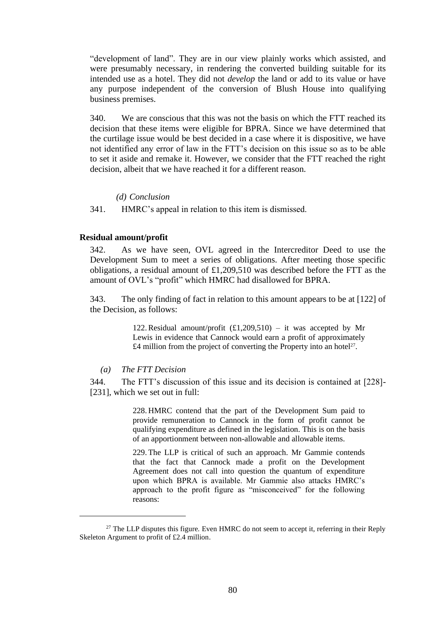"development of land". They are in our view plainly works which assisted, and were presumably necessary, in rendering the converted building suitable for its intended use as a hotel. They did not *develop* the land or add to its value or have any purpose independent of the conversion of Blush House into qualifying business premises.

340. We are conscious that this was not the basis on which the FTT reached its decision that these items were eligible for BPRA. Since we have determined that the curtilage issue would be best decided in a case where it is dispositive, we have not identified any error of law in the FTT's decision on this issue so as to be able to set it aside and remake it. However, we consider that the FTT reached the right decision, albeit that we have reached it for a different reason.

#### *(d) Conclusion*

341. HMRC's appeal in relation to this item is dismissed.

## **Residual amount/profit**

342. As we have seen, OVL agreed in the Intercreditor Deed to use the Development Sum to meet a series of obligations. After meeting those specific obligations, a residual amount of £1,209,510 was described before the FTT as the amount of OVL's "profit" which HMRC had disallowed for BPRA.

343. The only finding of fact in relation to this amount appears to be at [122] of the Decision, as follows:

> 122. Residual amount/profit  $(f1,209,510) -$  it was accepted by Mr Lewis in evidence that Cannock would earn a profit of approximately £4 million from the project of converting the Property into an hotel<sup>27</sup>.

# *(a) The FTT Decision*

344. The FTT's discussion of this issue and its decision is contained at [228]- [231], which we set out in full:

> 228. HMRC contend that the part of the Development Sum paid to provide remuneration to Cannock in the form of profit cannot be qualifying expenditure as defined in the legislation. This is on the basis of an apportionment between non-allowable and allowable items.

> 229. The LLP is critical of such an approach. Mr Gammie contends that the fact that Cannock made a profit on the Development Agreement does not call into question the quantum of expenditure upon which BPRA is available. Mr Gammie also attacks HMRC's approach to the profit figure as "misconceived" for the following reasons:

 $27$  The LLP disputes this figure. Even HMRC do not seem to accept it, referring in their Reply Skeleton Argument to profit of £2.4 million.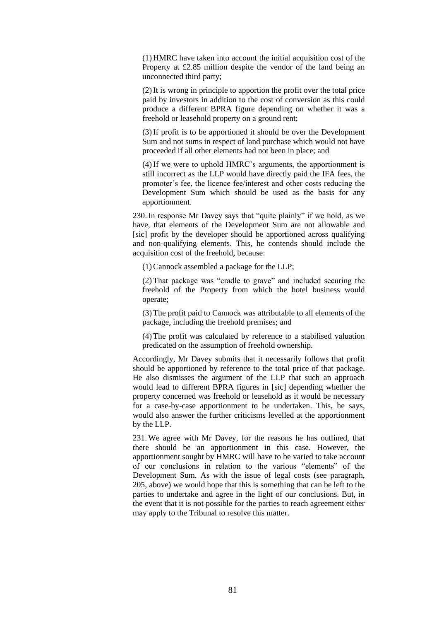(1) HMRC have taken into account the initial acquisition cost of the Property at £2.85 million despite the vendor of the land being an unconnected third party;

(2)It is wrong in principle to apportion the profit over the total price paid by investors in addition to the cost of conversion as this could produce a different BPRA figure depending on whether it was a freehold or leasehold property on a ground rent;

(3)If profit is to be apportioned it should be over the Development Sum and not sums in respect of land purchase which would not have proceeded if all other elements had not been in place; and

(4)If we were to uphold HMRC's arguments, the apportionment is still incorrect as the LLP would have directly paid the IFA fees, the promoter's fee, the licence fee/interest and other costs reducing the Development Sum which should be used as the basis for any apportionment.

230.In response Mr Davey says that "quite plainly" if we hold, as we have, that elements of the Development Sum are not allowable and [sic] profit by the developer should be apportioned across qualifying and non-qualifying elements. This, he contends should include the acquisition cost of the freehold, because:

(1)Cannock assembled a package for the LLP;

(2) That package was "cradle to grave" and included securing the freehold of the Property from which the hotel business would operate;

(3) The profit paid to Cannock was attributable to all elements of the package, including the freehold premises; and

(4) The profit was calculated by reference to a stabilised valuation predicated on the assumption of freehold ownership.

Accordingly, Mr Davey submits that it necessarily follows that profit should be apportioned by reference to the total price of that package. He also dismisses the argument of the LLP that such an approach would lead to different BPRA figures in [sic] depending whether the property concerned was freehold or leasehold as it would be necessary for a case-by-case apportionment to be undertaken. This, he says, would also answer the further criticisms levelled at the apportionment by the LLP.

231. We agree with Mr Davey, for the reasons he has outlined, that there should be an apportionment in this case. However, the apportionment sought by HMRC will have to be varied to take account of our conclusions in relation to the various "elements" of the Development Sum. As with the issue of legal costs (see paragraph, 205, above) we would hope that this is something that can be left to the parties to undertake and agree in the light of our conclusions. But, in the event that it is not possible for the parties to reach agreement either may apply to the Tribunal to resolve this matter.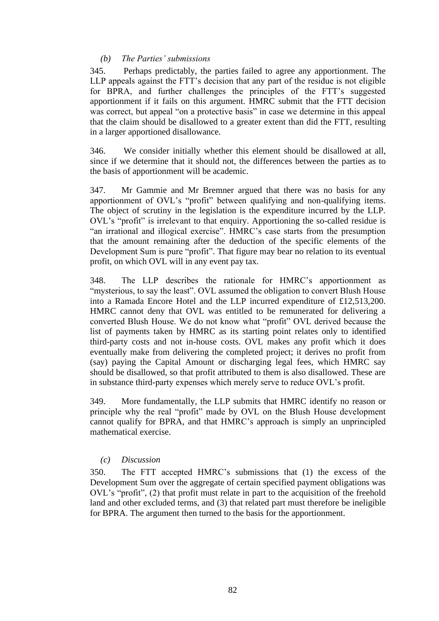# *(b) The Parties' submissions*

345. Perhaps predictably, the parties failed to agree any apportionment. The LLP appeals against the FTT's decision that any part of the residue is not eligible for BPRA, and further challenges the principles of the FTT's suggested apportionment if it fails on this argument. HMRC submit that the FTT decision was correct, but appeal "on a protective basis" in case we determine in this appeal that the claim should be disallowed to a greater extent than did the FTT, resulting in a larger apportioned disallowance.

346. We consider initially whether this element should be disallowed at all, since if we determine that it should not, the differences between the parties as to the basis of apportionment will be academic.

347. Mr Gammie and Mr Bremner argued that there was no basis for any apportionment of OVL's "profit" between qualifying and non-qualifying items. The object of scrutiny in the legislation is the expenditure incurred by the LLP. OVL's "profit" is irrelevant to that enquiry. Apportioning the so-called residue is "an irrational and illogical exercise". HMRC's case starts from the presumption that the amount remaining after the deduction of the specific elements of the Development Sum is pure "profit". That figure may bear no relation to its eventual profit, on which OVL will in any event pay tax.

348. The LLP describes the rationale for HMRC's apportionment as "mysterious, to say the least". OVL assumed the obligation to convert Blush House into a Ramada Encore Hotel and the LLP incurred expenditure of £12,513,200. HMRC cannot deny that OVL was entitled to be remunerated for delivering a converted Blush House. We do not know what "profit" OVL derived because the list of payments taken by HMRC as its starting point relates only to identified third-party costs and not in-house costs. OVL makes any profit which it does eventually make from delivering the completed project; it derives no profit from (say) paying the Capital Amount or discharging legal fees, which HMRC say should be disallowed, so that profit attributed to them is also disallowed. These are in substance third-party expenses which merely serve to reduce OVL's profit.

349. More fundamentally, the LLP submits that HMRC identify no reason or principle why the real "profit" made by OVL on the Blush House development cannot qualify for BPRA, and that HMRC's approach is simply an unprincipled mathematical exercise.

# *(c) Discussion*

350. The FTT accepted HMRC's submissions that (1) the excess of the Development Sum over the aggregate of certain specified payment obligations was OVL's "profit", (2) that profit must relate in part to the acquisition of the freehold land and other excluded terms, and (3) that related part must therefore be ineligible for BPRA. The argument then turned to the basis for the apportionment.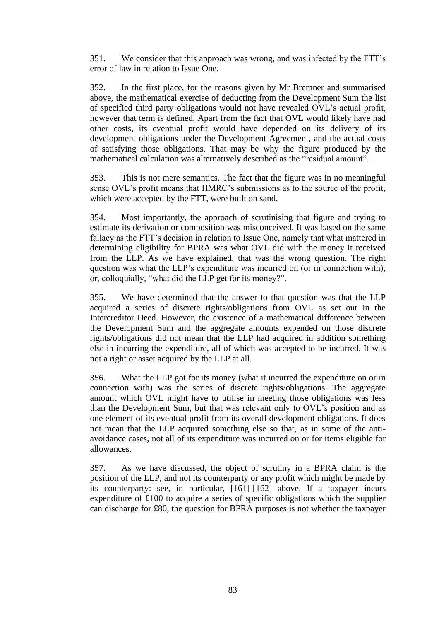351. We consider that this approach was wrong, and was infected by the FTT's error of law in relation to Issue One.

352. In the first place, for the reasons given by Mr Bremner and summarised above, the mathematical exercise of deducting from the Development Sum the list of specified third party obligations would not have revealed OVL's actual profit, however that term is defined. Apart from the fact that OVL would likely have had other costs, its eventual profit would have depended on its delivery of its development obligations under the Development Agreement, and the actual costs of satisfying those obligations. That may be why the figure produced by the mathematical calculation was alternatively described as the "residual amount".

353. This is not mere semantics. The fact that the figure was in no meaningful sense OVL's profit means that HMRC's submissions as to the source of the profit, which were accepted by the FTT, were built on sand.

354. Most importantly, the approach of scrutinising that figure and trying to estimate its derivation or composition was misconceived. It was based on the same fallacy as the FTT's decision in relation to Issue One, namely that what mattered in determining eligibility for BPRA was what OVL did with the money it received from the LLP. As we have explained, that was the wrong question. The right question was what the LLP's expenditure was incurred on (or in connection with), or, colloquially, "what did the LLP get for its money?".

355. We have determined that the answer to that question was that the LLP acquired a series of discrete rights/obligations from OVL as set out in the Intercreditor Deed. However, the existence of a mathematical difference between the Development Sum and the aggregate amounts expended on those discrete rights/obligations did not mean that the LLP had acquired in addition something else in incurring the expenditure, all of which was accepted to be incurred. It was not a right or asset acquired by the LLP at all.

356. What the LLP got for its money (what it incurred the expenditure on or in connection with) was the series of discrete rights/obligations. The aggregate amount which OVL might have to utilise in meeting those obligations was less than the Development Sum, but that was relevant only to OVL's position and as one element of its eventual profit from its overall development obligations. It does not mean that the LLP acquired something else so that, as in some of the antiavoidance cases, not all of its expenditure was incurred on or for items eligible for allowances.

357. As we have discussed, the object of scrutiny in a BPRA claim is the position of the LLP, and not its counterparty or any profit which might be made by its counterparty: see, in particular, [161]-[162] above. If a taxpayer incurs expenditure of £100 to acquire a series of specific obligations which the supplier can discharge for £80, the question for BPRA purposes is not whether the taxpayer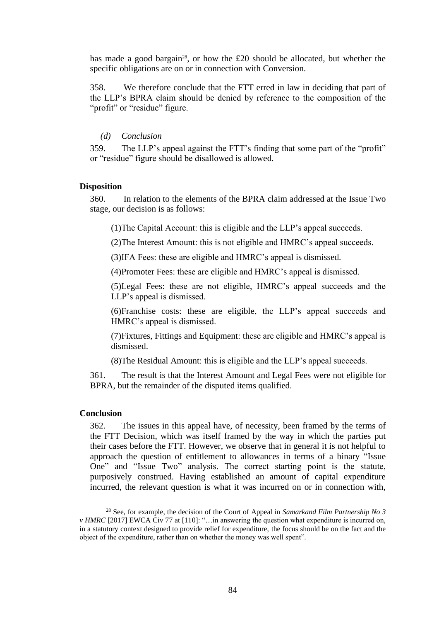has made a good bargain<sup>28</sup>, or how the  $£20$  should be allocated, but whether the specific obligations are on or in connection with Conversion.

358. We therefore conclude that the FTT erred in law in deciding that part of the LLP's BPRA claim should be denied by reference to the composition of the "profit" or "residue" figure.

# *(d) Conclusion*

359. The LLP's appeal against the FTT's finding that some part of the "profit" or "residue" figure should be disallowed is allowed.

# **Disposition**

360. In relation to the elements of the BPRA claim addressed at the Issue Two stage, our decision is as follows:

(1)The Capital Account: this is eligible and the LLP's appeal succeeds.

(2)The Interest Amount: this is not eligible and HMRC's appeal succeeds.

(3)IFA Fees: these are eligible and HMRC's appeal is dismissed.

(4)Promoter Fees: these are eligible and HMRC's appeal is dismissed.

(5)Legal Fees: these are not eligible, HMRC's appeal succeeds and the LLP's appeal is dismissed.

(6)Franchise costs: these are eligible, the LLP's appeal succeeds and HMRC's appeal is dismissed.

(7)Fixtures, Fittings and Equipment: these are eligible and HMRC's appeal is dismissed.

(8)The Residual Amount: this is eligible and the LLP's appeal succeeds.

361. The result is that the Interest Amount and Legal Fees were not eligible for BPRA, but the remainder of the disputed items qualified.

### **Conclusion**

362. The issues in this appeal have, of necessity, been framed by the terms of the FTT Decision, which was itself framed by the way in which the parties put their cases before the FTT. However, we observe that in general it is not helpful to approach the question of entitlement to allowances in terms of a binary "Issue One" and "Issue Two" analysis. The correct starting point is the statute, purposively construed. Having established an amount of capital expenditure incurred, the relevant question is what it was incurred on or in connection with,

<sup>28</sup> See, for example, the decision of the Court of Appeal in *Samarkand Film Partnership No 3 v HMRC* [2017] EWCA Civ 77 at [110]: "... in answering the question what expenditure is incurred on, in a statutory context designed to provide relief for expenditure, the focus should be on the fact and the object of the expenditure, rather than on whether the money was well spent".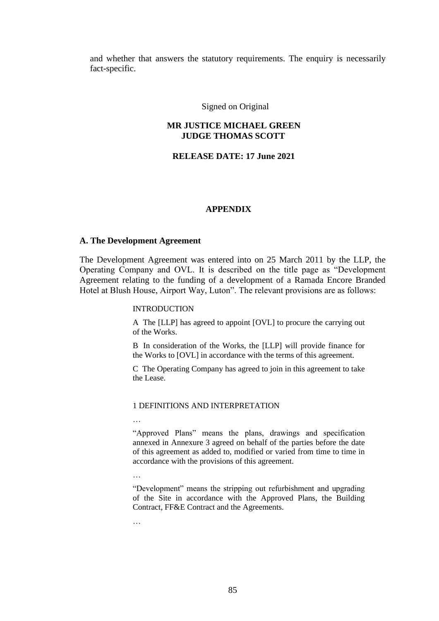and whether that answers the statutory requirements. The enquiry is necessarily fact-specific.

Signed on Original

# **MR JUSTICE MICHAEL GREEN JUDGE THOMAS SCOTT**

## **RELEASE DATE: 17 June 2021**

#### **APPENDIX**

### **A. The Development Agreement**

The Development Agreement was entered into on 25 March 2011 by the LLP, the Operating Company and OVL. It is described on the title page as "Development Agreement relating to the funding of a development of a Ramada Encore Branded Hotel at Blush House, Airport Way, Luton". The relevant provisions are as follows:

#### INTRODUCTION

A The [LLP] has agreed to appoint [OVL] to procure the carrying out of the Works.

B In consideration of the Works, the [LLP] will provide finance for the Works to [OVL] in accordance with the terms of this agreement.

C The Operating Company has agreed to join in this agreement to take the Lease.

#### 1 DEFINITIONS AND INTERPRETATION

…

"Approved Plans" means the plans, drawings and specification annexed in Annexure 3 agreed on behalf of the parties before the date of this agreement as added to, modified or varied from time to time in accordance with the provisions of this agreement.

…

"Development" means the stripping out refurbishment and upgrading of the Site in accordance with the Approved Plans, the Building Contract, FF&E Contract and the Agreements.

…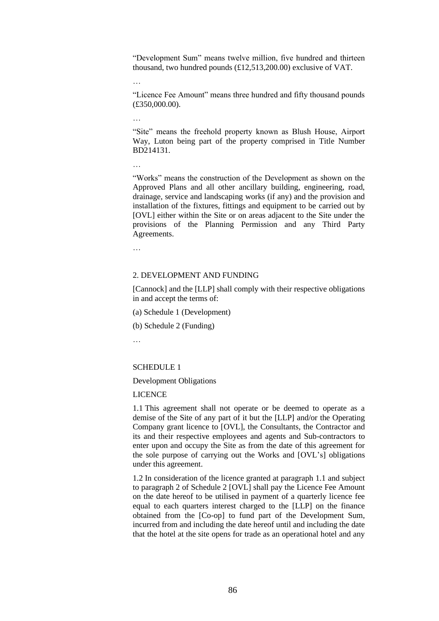"Development Sum" means twelve million, five hundred and thirteen thousand, two hundred pounds (£12,513,200.00) exclusive of VAT.

…

"Licence Fee Amount" means three hundred and fifty thousand pounds (£350,000.00).

…

"Site" means the freehold property known as Blush House, Airport Way, Luton being part of the property comprised in Title Number BD214131.

…

"Works" means the construction of the Development as shown on the Approved Plans and all other ancillary building, engineering, road, drainage, service and landscaping works (if any) and the provision and installation of the fixtures, fittings and equipment to be carried out by [OVL] either within the Site or on areas adjacent to the Site under the provisions of the Planning Permission and any Third Party Agreements.

…

#### 2. DEVELOPMENT AND FUNDING

[Cannock] and the [LLP] shall comply with their respective obligations in and accept the terms of:

(a) Schedule 1 (Development)

(b) Schedule 2 (Funding)

…

### SCHEDULE 1

Development Obligations

### LICENCE

1.1 This agreement shall not operate or be deemed to operate as a demise of the Site of any part of it but the [LLP] and/or the Operating Company grant licence to [OVL], the Consultants, the Contractor and its and their respective employees and agents and Sub-contractors to enter upon and occupy the Site as from the date of this agreement for the sole purpose of carrying out the Works and [OVL's] obligations under this agreement.

1.2 In consideration of the licence granted at paragraph 1.1 and subject to paragraph 2 of Schedule 2 [OVL] shall pay the Licence Fee Amount on the date hereof to be utilised in payment of a quarterly licence fee equal to each quarters interest charged to the [LLP] on the finance obtained from the [Co-op] to fund part of the Development Sum, incurred from and including the date hereof until and including the date that the hotel at the site opens for trade as an operational hotel and any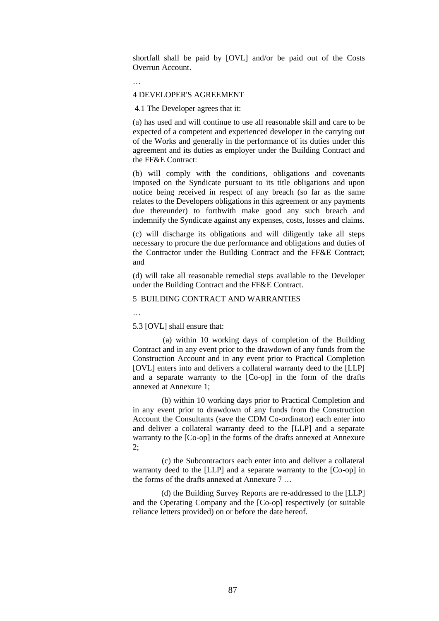shortfall shall be paid by [OVL] and/or be paid out of the Costs Overrun Account.

…

## 4 DEVELOPER'S AGREEMENT

4.1 The Developer agrees that it:

(a) has used and will continue to use all reasonable skill and care to be expected of a competent and experienced developer in the carrying out of the Works and generally in the performance of its duties under this agreement and its duties as employer under the Building Contract and the FF&E Contract:

(b) will comply with the conditions, obligations and covenants imposed on the Syndicate pursuant to its title obligations and upon notice being received in respect of any breach (so far as the same relates to the Developers obligations in this agreement or any payments due thereunder) to forthwith make good any such breach and indemnify the Syndicate against any expenses, costs, losses and claims.

(c) will discharge its obligations and will diligently take all steps necessary to procure the due performance and obligations and duties of the Contractor under the Building Contract and the FF&E Contract; and

(d) will take all reasonable remedial steps available to the Developer under the Building Contract and the FF&E Contract.

## 5 BUILDING CONTRACT AND WARRANTIES

…

#### 5.3 [OVL] shall ensure that:

 (a) within 10 working days of completion of the Building Contract and in any event prior to the drawdown of any funds from the Construction Account and in any event prior to Practical Completion [OVL] enters into and delivers a collateral warranty deed to the [LLP] and a separate warranty to the [Co-op] in the form of the drafts annexed at Annexure 1;

 (b) within 10 working days prior to Practical Completion and in any event prior to drawdown of any funds from the Construction Account the Consultants (save the CDM Co-ordinator) each enter into and deliver a collateral warranty deed to the [LLP] and a separate warranty to the [Co-op] in the forms of the drafts annexed at Annexure 2;

 (c) the Subcontractors each enter into and deliver a collateral warranty deed to the [LLP] and a separate warranty to the [Co-op] in the forms of the drafts annexed at Annexure 7 …

 (d) the Building Survey Reports are re-addressed to the [LLP] and the Operating Company and the [Co-op] respectively (or suitable reliance letters provided) on or before the date hereof.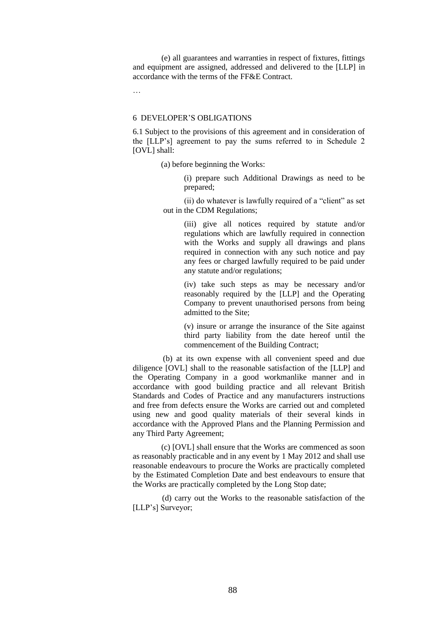(e) all guarantees and warranties in respect of fixtures, fittings and equipment are assigned, addressed and delivered to the [LLP] in accordance with the terms of the FF&E Contract.

…

### 6 DEVELOPER'S OBLIGATIONS

6.1 Subject to the provisions of this agreement and in consideration of the [LLP's] agreement to pay the sums referred to in Schedule 2 [OVL] shall:

(a) before beginning the Works:

(i) prepare such Additional Drawings as need to be prepared;

(ii) do whatever is lawfully required of a "client" as set out in the CDM Regulations;

> (iii) give all notices required by statute and/or regulations which are lawfully required in connection with the Works and supply all drawings and plans required in connection with any such notice and pay any fees or charged lawfully required to be paid under any statute and/or regulations;

> (iv) take such steps as may be necessary and/or reasonably required by the [LLP] and the Operating Company to prevent unauthorised persons from being admitted to the Site;

> (v) insure or arrange the insurance of the Site against third party liability from the date hereof until the commencement of the Building Contract;

 (b) at its own expense with all convenient speed and due diligence [OVL] shall to the reasonable satisfaction of the [LLP] and the Operating Company in a good workmanlike manner and in accordance with good building practice and all relevant British Standards and Codes of Practice and any manufacturers instructions and free from defects ensure the Works are carried out and completed using new and good quality materials of their several kinds in accordance with the Approved Plans and the Planning Permission and any Third Party Agreement;

 (c) [OVL] shall ensure that the Works are commenced as soon as reasonably practicable and in any event by 1 May 2012 and shall use reasonable endeavours to procure the Works are practically completed by the Estimated Completion Date and best endeavours to ensure that the Works are practically completed by the Long Stop date;

 (d) carry out the Works to the reasonable satisfaction of the [LLP's] Surveyor;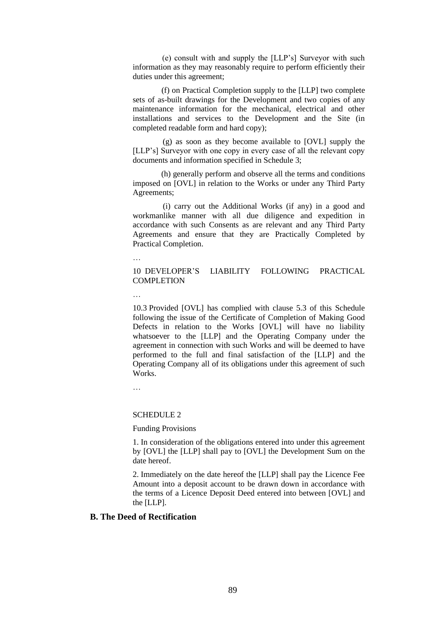(e) consult with and supply the [LLP's] Surveyor with such information as they may reasonably require to perform efficiently their duties under this agreement;

 (f) on Practical Completion supply to the [LLP] two complete sets of as-built drawings for the Development and two copies of any maintenance information for the mechanical, electrical and other installations and services to the Development and the Site (in completed readable form and hard copy);

 (g) as soon as they become available to [OVL] supply the [LLP's] Surveyor with one copy in every case of all the relevant copy documents and information specified in Schedule 3;

 (h) generally perform and observe all the terms and conditions imposed on [OVL] in relation to the Works or under any Third Party Agreements;

 (i) carry out the Additional Works (if any) in a good and workmanlike manner with all due diligence and expedition in accordance with such Consents as are relevant and any Third Party Agreements and ensure that they are Practically Completed by Practical Completion.

…

10 DEVELOPER'S LIABILITY FOLLOWING PRACTICAL COMPLETION

…

10.3 Provided [OVL] has complied with clause 5.3 of this Schedule following the issue of the Certificate of Completion of Making Good Defects in relation to the Works [OVL] will have no liability whatsoever to the [LLP] and the Operating Company under the agreement in connection with such Works and will be deemed to have performed to the full and final satisfaction of the [LLP] and the Operating Company all of its obligations under this agreement of such **Works**.

…

#### SCHEDULE 2

Funding Provisions

1. In consideration of the obligations entered into under this agreement by [OVL] the [LLP] shall pay to [OVL] the Development Sum on the date hereof.

2. Immediately on the date hereof the [LLP] shall pay the Licence Fee Amount into a deposit account to be drawn down in accordance with the terms of a Licence Deposit Deed entered into between [OVL] and the [LLP].

# **B. The Deed of Rectification**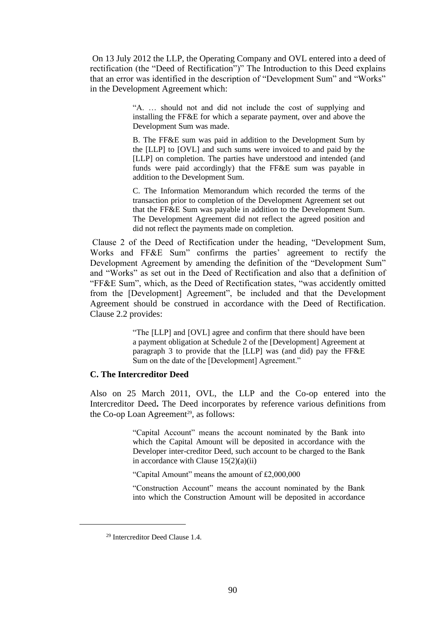On 13 July 2012 the LLP, the Operating Company and OVL entered into a deed of rectification (the "Deed of Rectification")" The Introduction to this Deed explains that an error was identified in the description of "Development Sum" and "Works" in the Development Agreement which:

> "A. … should not and did not include the cost of supplying and installing the FF&E for which a separate payment, over and above the Development Sum was made.

> B. The FF&E sum was paid in addition to the Development Sum by the [LLP] to [OVL] and such sums were invoiced to and paid by the [LLP] on completion. The parties have understood and intended (and funds were paid accordingly) that the FF&E sum was payable in addition to the Development Sum.

> C. The Information Memorandum which recorded the terms of the transaction prior to completion of the Development Agreement set out that the FF&E Sum was payable in addition to the Development Sum. The Development Agreement did not reflect the agreed position and did not reflect the payments made on completion.

Clause 2 of the Deed of Rectification under the heading, "Development Sum, Works and FF&E Sum" confirms the parties' agreement to rectify the Development Agreement by amending the definition of the "Development Sum" and "Works" as set out in the Deed of Rectification and also that a definition of "FF&E Sum", which, as the Deed of Rectification states, "was accidently omitted from the [Development] Agreement", be included and that the Development Agreement should be construed in accordance with the Deed of Rectification. Clause 2.2 provides:

> "The [LLP] and [OVL] agree and confirm that there should have been a payment obligation at Schedule 2 of the [Development] Agreement at paragraph 3 to provide that the [LLP] was (and did) pay the FF&E Sum on the date of the [Development] Agreement."

## **C. The Intercreditor Deed**

Also on 25 March 2011, OVL, the LLP and the Co-op entered into the Intercreditor Deed**.** The Deed incorporates by reference various definitions from the Co-op Loan Agreement<sup>29</sup>, as follows:

> "Capital Account" means the account nominated by the Bank into which the Capital Amount will be deposited in accordance with the Developer inter-creditor Deed, such account to be charged to the Bank in accordance with Clause  $15(2)(a)(ii)$

"Capital Amount" means the amount of £2,000,000

"Construction Account" means the account nominated by the Bank into which the Construction Amount will be deposited in accordance

<sup>29</sup> Intercreditor Deed Clause 1.4.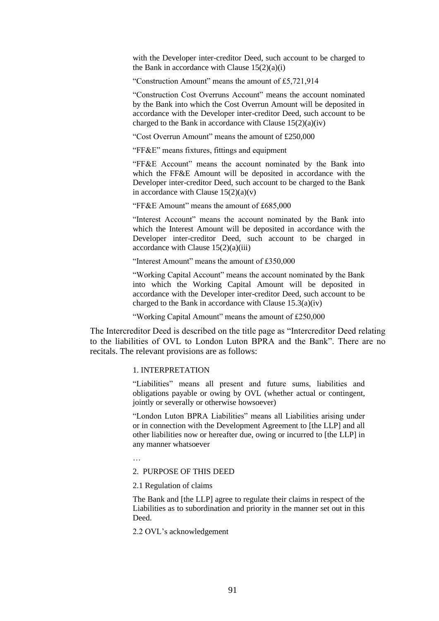with the Developer inter-creditor Deed, such account to be charged to the Bank in accordance with Clause  $15(2)(a)(i)$ 

"Construction Amount" means the amount of £5,721,914

"Construction Cost Overruns Account" means the account nominated by the Bank into which the Cost Overrun Amount will be deposited in accordance with the Developer inter-creditor Deed, such account to be charged to the Bank in accordance with Clause  $15(2)(a)(iv)$ 

"Cost Overrun Amount" means the amount of £250,000

"FF&E" means fixtures, fittings and equipment

"FF&E Account" means the account nominated by the Bank into which the FF&E Amount will be deposited in accordance with the Developer inter-creditor Deed, such account to be charged to the Bank in accordance with Clause  $15(2)(a)(v)$ 

"FF&E Amount" means the amount of £685,000

"Interest Account" means the account nominated by the Bank into which the Interest Amount will be deposited in accordance with the Developer inter-creditor Deed, such account to be charged in accordance with Clause  $15(2)(a)(iii)$ 

"Interest Amount" means the amount of £350,000

"Working Capital Account" means the account nominated by the Bank into which the Working Capital Amount will be deposited in accordance with the Developer inter-creditor Deed, such account to be charged to the Bank in accordance with Clause 15.3(a)(iv)

"Working Capital Amount" means the amount of £250,000

The Intercreditor Deed is described on the title page as "Intercreditor Deed relating to the liabilities of OVL to London Luton BPRA and the Bank". There are no recitals. The relevant provisions are as follows:

### 1. INTERPRETATION

"Liabilities" means all present and future sums, liabilities and obligations payable or owing by OVL (whether actual or contingent, jointly or severally or otherwise howsoever)

"London Luton BPRA Liabilities" means all Liabilities arising under or in connection with the Development Agreement to [the LLP] and all other liabilities now or hereafter due, owing or incurred to [the LLP] in any manner whatsoever

…

2. PURPOSE OF THIS DEED

2.1 Regulation of claims

The Bank and [the LLP] agree to regulate their claims in respect of the Liabilities as to subordination and priority in the manner set out in this Deed.

2.2 OVL's acknowledgement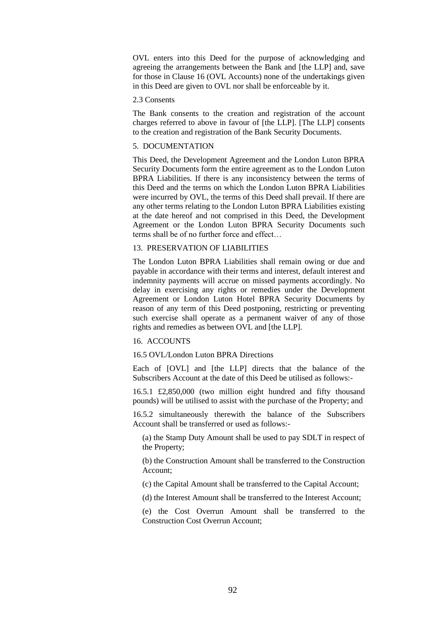OVL enters into this Deed for the purpose of acknowledging and agreeing the arrangements between the Bank and [the LLP] and, save for those in Clause 16 (OVL Accounts) none of the undertakings given in this Deed are given to OVL nor shall be enforceable by it.

#### 2.3 Consents

The Bank consents to the creation and registration of the account charges referred to above in favour of [the LLP]. [The LLP] consents to the creation and registration of the Bank Security Documents.

### 5. DOCUMENTATION

This Deed, the Development Agreement and the London Luton BPRA Security Documents form the entire agreement as to the London Luton BPRA Liabilities. If there is any inconsistency between the terms of this Deed and the terms on which the London Luton BPRA Liabilities were incurred by OVL, the terms of this Deed shall prevail. If there are any other terms relating to the London Luton BPRA Liabilities existing at the date hereof and not comprised in this Deed, the Development Agreement or the London Luton BPRA Security Documents such terms shall be of no further force and effect…

#### 13. PRESERVATION OF LIABILITIES

The London Luton BPRA Liabilities shall remain owing or due and payable in accordance with their terms and interest, default interest and indemnity payments will accrue on missed payments accordingly. No delay in exercising any rights or remedies under the Development Agreement or London Luton Hotel BPRA Security Documents by reason of any term of this Deed postponing, restricting or preventing such exercise shall operate as a permanent waiver of any of those rights and remedies as between OVL and [the LLP].

#### 16. ACCOUNTS

# 16.5 OVL/London Luton BPRA Directions

Each of [OVL] and [the LLP] directs that the balance of the Subscribers Account at the date of this Deed be utilised as follows:-

16.5.1 £2,850,000 (two million eight hundred and fifty thousand pounds) will be utilised to assist with the purchase of the Property; and

16.5.2 simultaneously therewith the balance of the Subscribers Account shall be transferred or used as follows:-

(a) the Stamp Duty Amount shall be used to pay SDLT in respect of the Property;

(b) the Construction Amount shall be transferred to the Construction Account;

(c) the Capital Amount shall be transferred to the Capital Account;

(d) the Interest Amount shall be transferred to the Interest Account;

(e) the Cost Overrun Amount shall be transferred to the Construction Cost Overrun Account;